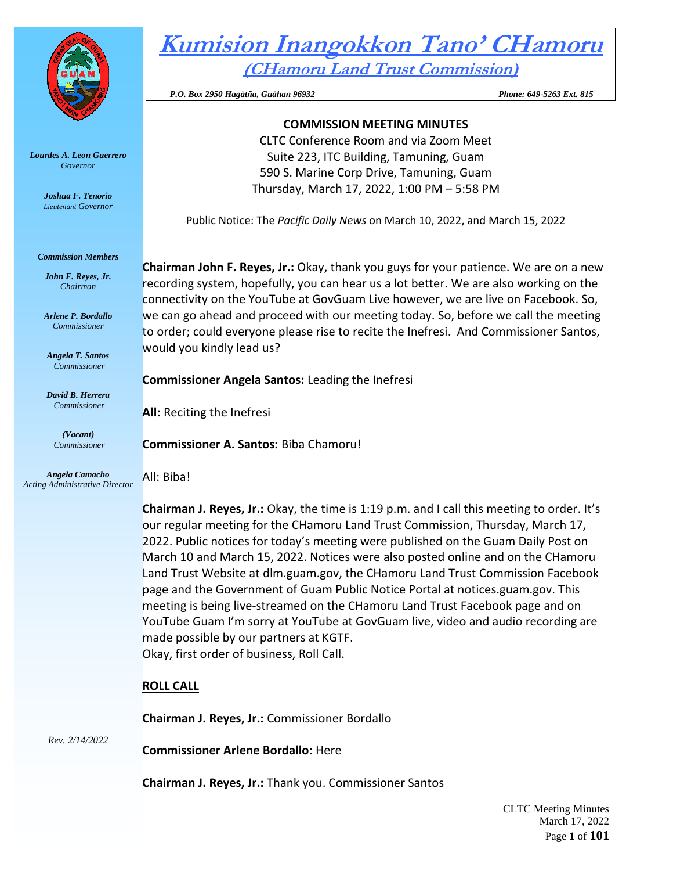

*Lourdes A. Leon Guerrero Governor* 

> *Joshua F. Tenorio Lieutenant Governor*

*Commission Members John F. Reyes, Jr. Chairman*

*Arlene P. Bordallo Commissioner*

*Angela T. Santos Commissioner*

*David B. Herrera Commissioner*

> *(Vacant) Commissioner*

*Angela Camacho*

# **Kumision Inangokkon Tano' CHamoru (CHamoru Land Trust Commission)**

 *P.O. Box 2950 Hagåtña, Guåhan 96932 Phone: 649-5263 Ext. 815* 

# **COMMISSION MEETING MINUTES**

CLTC Conference Room and via Zoom Meet Suite 223, ITC Building, Tamuning, Guam 590 S. Marine Corp Drive, Tamuning, Guam Thursday, March 17, 2022, 1:00 PM – 5:58 PM

Public Notice: The *Pacific Daily News* on March 10, 2022, and March 15, 2022

**Chairman John F. Reyes, Jr.:** Okay, thank you guys for your patience. We are on a new recording system, hopefully, you can hear us a lot better. We are also working on the connectivity on the YouTube at GovGuam Live however, we are live on Facebook. So, we can go ahead and proceed with our meeting today. So, before we call the meeting to order; could everyone please rise to recite the Inefresi. And Commissioner Santos, would you kindly lead us?

# **Commissioner Angela Santos:** Leading the Inefresi

**All:** Reciting the Inefresi

**Commissioner A. Santos:** Biba Chamoru!

*Acting Administrative Director* All: Biba!

> **Chairman J. Reyes, Jr.:** Okay, the time is 1:19 p.m. and I call this meeting to order. It's our regular meeting for the CHamoru Land Trust Commission, Thursday, March 17, 2022. Public notices for today's meeting were published on the Guam Daily Post on March 10 and March 15, 2022. Notices were also posted online and on the CHamoru Land Trust Website at dlm.guam.gov, the CHamoru Land Trust Commission Facebook page and the Government of Guam Public Notice Portal at notices.guam.gov. This meeting is being live-streamed on the CHamoru Land Trust Facebook page and on YouTube Guam I'm sorry at YouTube at GovGuam live, video and audio recording are made possible by our partners at KGTF. Okay, first order of business, Roll Call.

# **ROLL CALL**

**Chairman J. Reyes, Jr.:** Commissioner Bordallo

*Rev. 2/14/2022*

**Commissioner Arlene Bordallo**: Here

**Chairman J. Reyes, Jr.:** Thank you. Commissioner Santos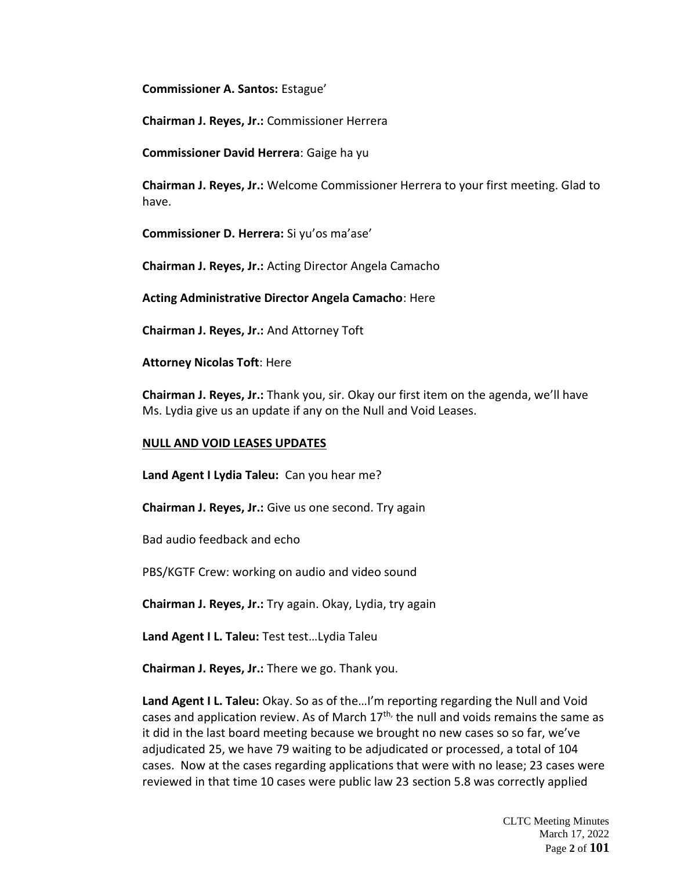**Commissioner A. Santos:** Estague'

**Chairman J. Reyes, Jr.:** Commissioner Herrera

**Commissioner David Herrera**: Gaige ha yu

**Chairman J. Reyes, Jr.:** Welcome Commissioner Herrera to your first meeting. Glad to have.

**Commissioner D. Herrera:** Si yu'os ma'ase'

**Chairman J. Reyes, Jr.:** Acting Director Angela Camacho

**Acting Administrative Director Angela Camacho**: Here

**Chairman J. Reyes, Jr.:** And Attorney Toft

**Attorney Nicolas Toft**: Here

**Chairman J. Reyes, Jr.:** Thank you, sir. Okay our first item on the agenda, we'll have Ms. Lydia give us an update if any on the Null and Void Leases.

#### **NULL AND VOID LEASES UPDATES**

**Land Agent I Lydia Taleu:** Can you hear me?

**Chairman J. Reyes, Jr.:** Give us one second. Try again

Bad audio feedback and echo

PBS/KGTF Crew: working on audio and video sound

**Chairman J. Reyes, Jr.:** Try again. Okay, Lydia, try again

**Land Agent I L. Taleu:** Test test…Lydia Taleu

**Chairman J. Reyes, Jr.:** There we go. Thank you.

**Land Agent I L. Taleu:** Okay. So as of the…I'm reporting regarding the Null and Void cases and application review. As of March  $17<sup>th</sup>$ , the null and voids remains the same as it did in the last board meeting because we brought no new cases so so far, we've adjudicated 25, we have 79 waiting to be adjudicated or processed, a total of 104 cases. Now at the cases regarding applications that were with no lease; 23 cases were reviewed in that time 10 cases were public law 23 section 5.8 was correctly applied

> CLTC Meeting Minutes March 17, 2022 Page **2** of **101**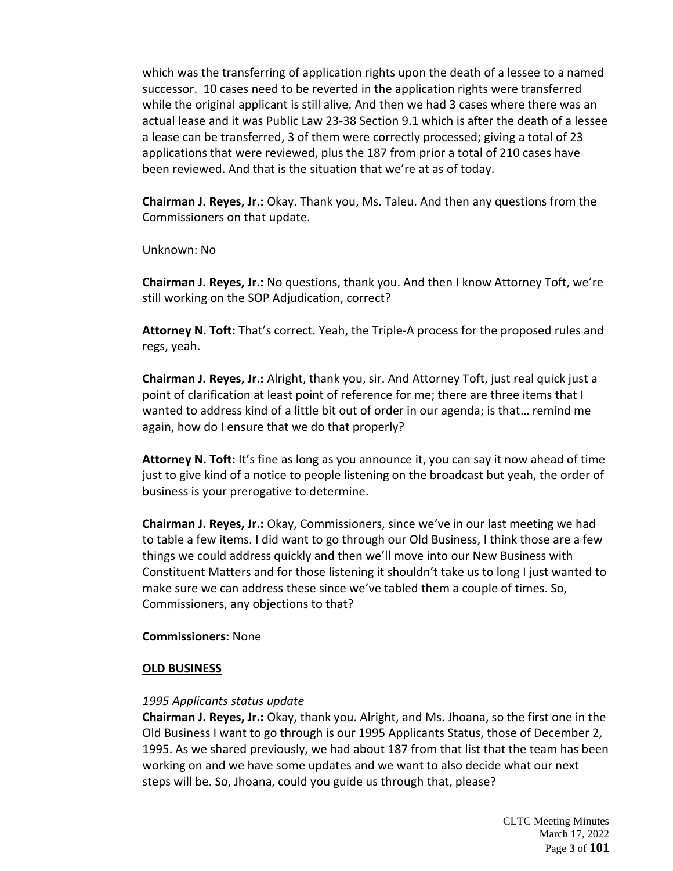which was the transferring of application rights upon the death of a lessee to a named successor. 10 cases need to be reverted in the application rights were transferred while the original applicant is still alive. And then we had 3 cases where there was an actual lease and it was Public Law 23-38 Section 9.1 which is after the death of a lessee a lease can be transferred, 3 of them were correctly processed; giving a total of 23 applications that were reviewed, plus the 187 from prior a total of 210 cases have been reviewed. And that is the situation that we're at as of today.

**Chairman J. Reyes, Jr.:** Okay. Thank you, Ms. Taleu. And then any questions from the Commissioners on that update.

Unknown: No

**Chairman J. Reyes, Jr.:** No questions, thank you. And then I know Attorney Toft, we're still working on the SOP Adjudication, correct?

**Attorney N. Toft:** That's correct. Yeah, the Triple-A process for the proposed rules and regs, yeah.

**Chairman J. Reyes, Jr.:** Alright, thank you, sir. And Attorney Toft, just real quick just a point of clarification at least point of reference for me; there are three items that I wanted to address kind of a little bit out of order in our agenda; is that… remind me again, how do I ensure that we do that properly?

Attorney N. Toft: It's fine as long as you announce it, you can say it now ahead of time just to give kind of a notice to people listening on the broadcast but yeah, the order of business is your prerogative to determine.

**Chairman J. Reyes, Jr.:** Okay, Commissioners, since we've in our last meeting we had to table a few items. I did want to go through our Old Business, I think those are a few things we could address quickly and then we'll move into our New Business with Constituent Matters and for those listening it shouldn't take us to long I just wanted to make sure we can address these since we've tabled them a couple of times. So, Commissioners, any objections to that?

#### **Commissioners:** None

#### **OLD BUSINESS**

# *1995 Applicants status update*

**Chairman J. Reyes, Jr.:** Okay, thank you. Alright, and Ms. Jhoana, so the first one in the Old Business I want to go through is our 1995 Applicants Status, those of December 2, 1995. As we shared previously, we had about 187 from that list that the team has been working on and we have some updates and we want to also decide what our next steps will be. So, Jhoana, could you guide us through that, please?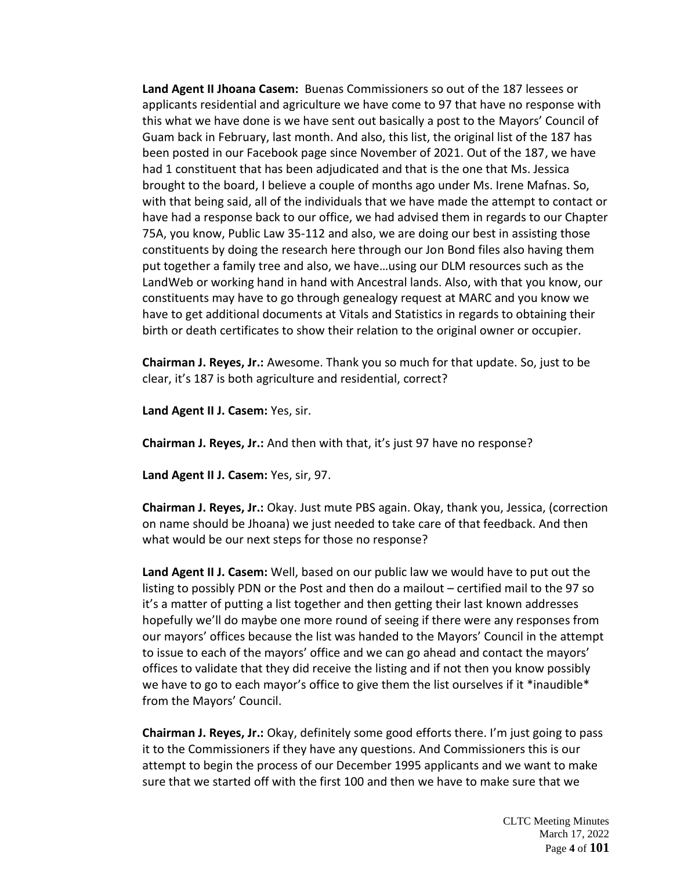**Land Agent II Jhoana Casem:** Buenas Commissioners so out of the 187 lessees or applicants residential and agriculture we have come to 97 that have no response with this what we have done is we have sent out basically a post to the Mayors' Council of Guam back in February, last month. And also, this list, the original list of the 187 has been posted in our Facebook page since November of 2021. Out of the 187, we have had 1 constituent that has been adjudicated and that is the one that Ms. Jessica brought to the board, I believe a couple of months ago under Ms. Irene Mafnas. So, with that being said, all of the individuals that we have made the attempt to contact or have had a response back to our office, we had advised them in regards to our Chapter 75A, you know, Public Law 35-112 and also, we are doing our best in assisting those constituents by doing the research here through our Jon Bond files also having them put together a family tree and also, we have…using our DLM resources such as the LandWeb or working hand in hand with Ancestral lands. Also, with that you know, our constituents may have to go through genealogy request at MARC and you know we have to get additional documents at Vitals and Statistics in regards to obtaining their birth or death certificates to show their relation to the original owner or occupier.

**Chairman J. Reyes, Jr.:** Awesome. Thank you so much for that update. So, just to be clear, it's 187 is both agriculture and residential, correct?

**Land Agent II J. Casem:** Yes, sir.

**Chairman J. Reyes, Jr.:** And then with that, it's just 97 have no response?

**Land Agent II J. Casem:** Yes, sir, 97.

**Chairman J. Reyes, Jr.:** Okay. Just mute PBS again. Okay, thank you, Jessica, (correction on name should be Jhoana) we just needed to take care of that feedback. And then what would be our next steps for those no response?

**Land Agent II J. Casem:** Well, based on our public law we would have to put out the listing to possibly PDN or the Post and then do a mailout – certified mail to the 97 so it's a matter of putting a list together and then getting their last known addresses hopefully we'll do maybe one more round of seeing if there were any responses from our mayors' offices because the list was handed to the Mayors' Council in the attempt to issue to each of the mayors' office and we can go ahead and contact the mayors' offices to validate that they did receive the listing and if not then you know possibly we have to go to each mayor's office to give them the list ourselves if it \*inaudible\* from the Mayors' Council.

**Chairman J. Reyes, Jr.:** Okay, definitely some good efforts there. I'm just going to pass it to the Commissioners if they have any questions. And Commissioners this is our attempt to begin the process of our December 1995 applicants and we want to make sure that we started off with the first 100 and then we have to make sure that we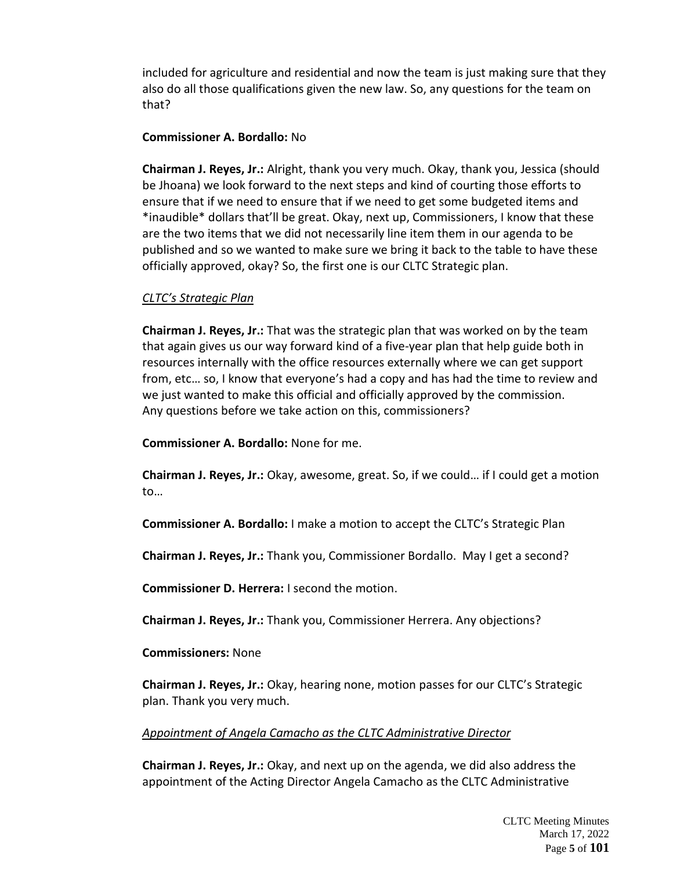included for agriculture and residential and now the team is just making sure that they also do all those qualifications given the new law. So, any questions for the team on that?

### **Commissioner A. Bordallo:** No

**Chairman J. Reyes, Jr.:** Alright, thank you very much. Okay, thank you, Jessica (should be Jhoana) we look forward to the next steps and kind of courting those efforts to ensure that if we need to ensure that if we need to get some budgeted items and \*inaudible\* dollars that'll be great. Okay, next up, Commissioners, I know that these are the two items that we did not necessarily line item them in our agenda to be published and so we wanted to make sure we bring it back to the table to have these officially approved, okay? So, the first one is our CLTC Strategic plan.

# *CLTC's Strategic Plan*

**Chairman J. Reyes, Jr.:** That was the strategic plan that was worked on by the team that again gives us our way forward kind of a five-year plan that help guide both in resources internally with the office resources externally where we can get support from, etc… so, I know that everyone's had a copy and has had the time to review and we just wanted to make this official and officially approved by the commission. Any questions before we take action on this, commissioners?

**Commissioner A. Bordallo:** None for me.

**Chairman J. Reyes, Jr.:** Okay, awesome, great. So, if we could… if I could get a motion to…

**Commissioner A. Bordallo:** I make a motion to accept the CLTC's Strategic Plan

**Chairman J. Reyes, Jr.:** Thank you, Commissioner Bordallo. May I get a second?

**Commissioner D. Herrera:** I second the motion.

**Chairman J. Reyes, Jr.:** Thank you, Commissioner Herrera. Any objections?

#### **Commissioners:** None

**Chairman J. Reyes, Jr.:** Okay, hearing none, motion passes for our CLTC's Strategic plan. Thank you very much.

#### *Appointment of Angela Camacho as the CLTC Administrative Director*

**Chairman J. Reyes, Jr.:** Okay, and next up on the agenda, we did also address the appointment of the Acting Director Angela Camacho as the CLTC Administrative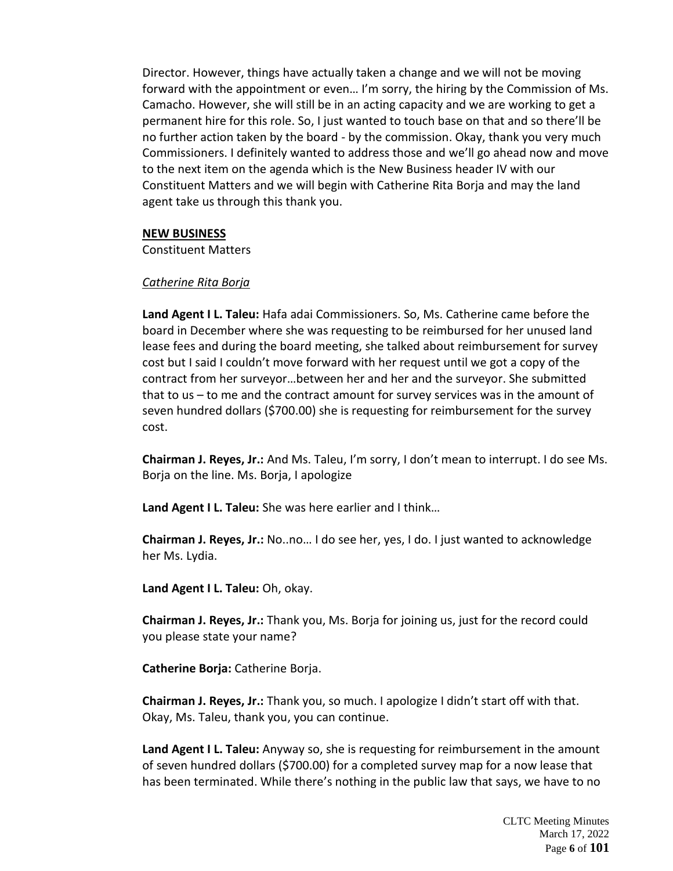Director. However, things have actually taken a change and we will not be moving forward with the appointment or even… I'm sorry, the hiring by the Commission of Ms. Camacho. However, she will still be in an acting capacity and we are working to get a permanent hire for this role. So, I just wanted to touch base on that and so there'll be no further action taken by the board - by the commission. Okay, thank you very much Commissioners. I definitely wanted to address those and we'll go ahead now and move to the next item on the agenda which is the New Business header IV with our Constituent Matters and we will begin with Catherine Rita Borja and may the land agent take us through this thank you.

#### **NEW BUSINESS**

Constituent Matters

#### *Catherine Rita Borja*

**Land Agent I L. Taleu:** Hafa adai Commissioners. So, Ms. Catherine came before the board in December where she was requesting to be reimbursed for her unused land lease fees and during the board meeting, she talked about reimbursement for survey cost but I said I couldn't move forward with her request until we got a copy of the contract from her surveyor…between her and her and the surveyor. She submitted that to us – to me and the contract amount for survey services was in the amount of seven hundred dollars (\$700.00) she is requesting for reimbursement for the survey cost.

**Chairman J. Reyes, Jr.:** And Ms. Taleu, I'm sorry, I don't mean to interrupt. I do see Ms. Borja on the line. Ms. Borja, I apologize

**Land Agent I L. Taleu:** She was here earlier and I think…

**Chairman J. Reyes, Jr.:** No..no… I do see her, yes, I do. I just wanted to acknowledge her Ms. Lydia.

**Land Agent I L. Taleu:** Oh, okay.

**Chairman J. Reyes, Jr.:** Thank you, Ms. Borja for joining us, just for the record could you please state your name?

**Catherine Borja:** Catherine Borja.

**Chairman J. Reyes, Jr.:** Thank you, so much. I apologize I didn't start off with that. Okay, Ms. Taleu, thank you, you can continue.

**Land Agent I L. Taleu:** Anyway so, she is requesting for reimbursement in the amount of seven hundred dollars (\$700.00) for a completed survey map for a now lease that has been terminated. While there's nothing in the public law that says, we have to no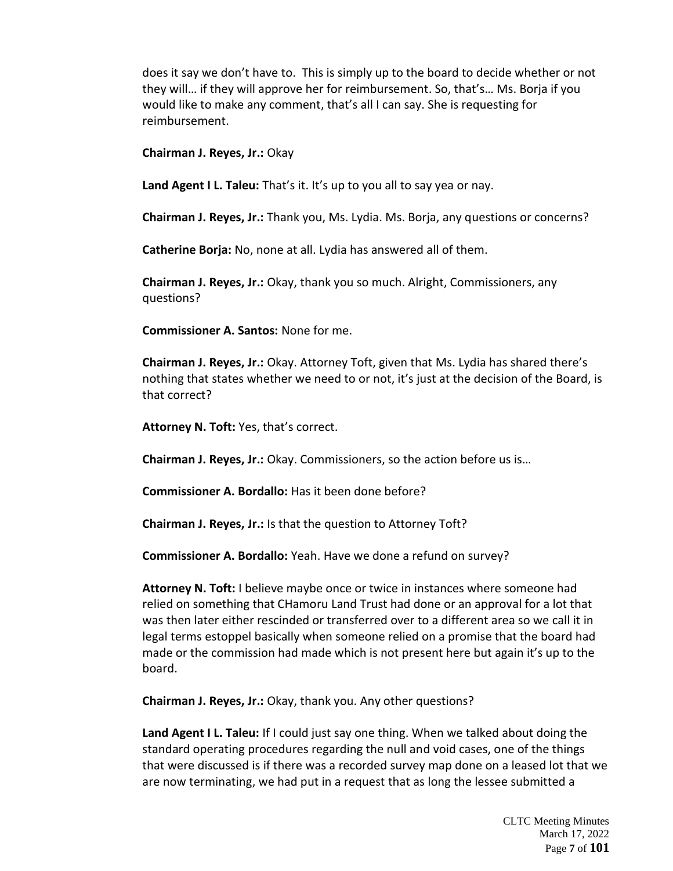does it say we don't have to. This is simply up to the board to decide whether or not they will… if they will approve her for reimbursement. So, that's… Ms. Borja if you would like to make any comment, that's all I can say. She is requesting for reimbursement.

**Chairman J. Reyes, Jr.:** Okay

**Land Agent I L. Taleu:** That's it. It's up to you all to say yea or nay.

**Chairman J. Reyes, Jr.:** Thank you, Ms. Lydia. Ms. Borja, any questions or concerns?

**Catherine Borja:** No, none at all. Lydia has answered all of them.

**Chairman J. Reyes, Jr.:** Okay, thank you so much. Alright, Commissioners, any questions?

**Commissioner A. Santos:** None for me.

**Chairman J. Reyes, Jr.:** Okay. Attorney Toft, given that Ms. Lydia has shared there's nothing that states whether we need to or not, it's just at the decision of the Board, is that correct?

**Attorney N. Toft:** Yes, that's correct.

**Chairman J. Reyes, Jr.:** Okay. Commissioners, so the action before us is…

**Commissioner A. Bordallo:** Has it been done before?

**Chairman J. Reyes, Jr.:** Is that the question to Attorney Toft?

**Commissioner A. Bordallo:** Yeah. Have we done a refund on survey?

**Attorney N. Toft:** I believe maybe once or twice in instances where someone had relied on something that CHamoru Land Trust had done or an approval for a lot that was then later either rescinded or transferred over to a different area so we call it in legal terms estoppel basically when someone relied on a promise that the board had made or the commission had made which is not present here but again it's up to the board.

**Chairman J. Reyes, Jr.:** Okay, thank you. Any other questions?

**Land Agent I L. Taleu:** If I could just say one thing. When we talked about doing the standard operating procedures regarding the null and void cases, one of the things that were discussed is if there was a recorded survey map done on a leased lot that we are now terminating, we had put in a request that as long the lessee submitted a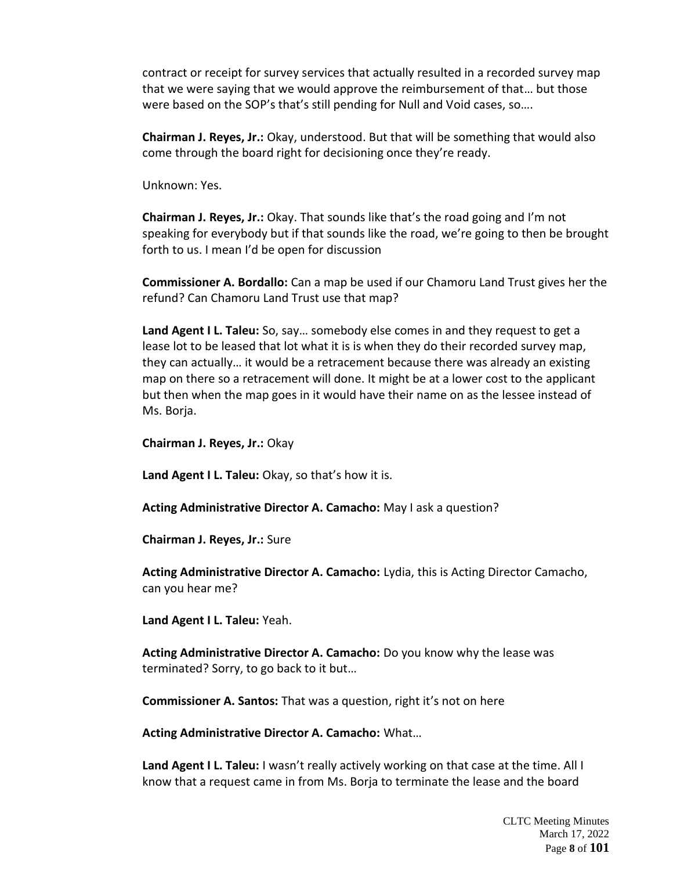contract or receipt for survey services that actually resulted in a recorded survey map that we were saying that we would approve the reimbursement of that… but those were based on the SOP's that's still pending for Null and Void cases, so….

**Chairman J. Reyes, Jr.:** Okay, understood. But that will be something that would also come through the board right for decisioning once they're ready.

Unknown: Yes.

**Chairman J. Reyes, Jr.:** Okay. That sounds like that's the road going and I'm not speaking for everybody but if that sounds like the road, we're going to then be brought forth to us. I mean I'd be open for discussion

**Commissioner A. Bordallo:** Can a map be used if our Chamoru Land Trust gives her the refund? Can Chamoru Land Trust use that map?

**Land Agent I L. Taleu:** So, say… somebody else comes in and they request to get a lease lot to be leased that lot what it is is when they do their recorded survey map, they can actually… it would be a retracement because there was already an existing map on there so a retracement will done. It might be at a lower cost to the applicant but then when the map goes in it would have their name on as the lessee instead of Ms. Borja.

**Chairman J. Reyes, Jr.:** Okay

**Land Agent I L. Taleu:** Okay, so that's how it is.

**Acting Administrative Director A. Camacho:** May I ask a question?

**Chairman J. Reyes, Jr.:** Sure

**Acting Administrative Director A. Camacho:** Lydia, this is Acting Director Camacho, can you hear me?

**Land Agent I L. Taleu:** Yeah.

**Acting Administrative Director A. Camacho:** Do you know why the lease was terminated? Sorry, to go back to it but…

**Commissioner A. Santos:** That was a question, right it's not on here

**Acting Administrative Director A. Camacho:** What…

**Land Agent I L. Taleu:** I wasn't really actively working on that case at the time. All I know that a request came in from Ms. Borja to terminate the lease and the board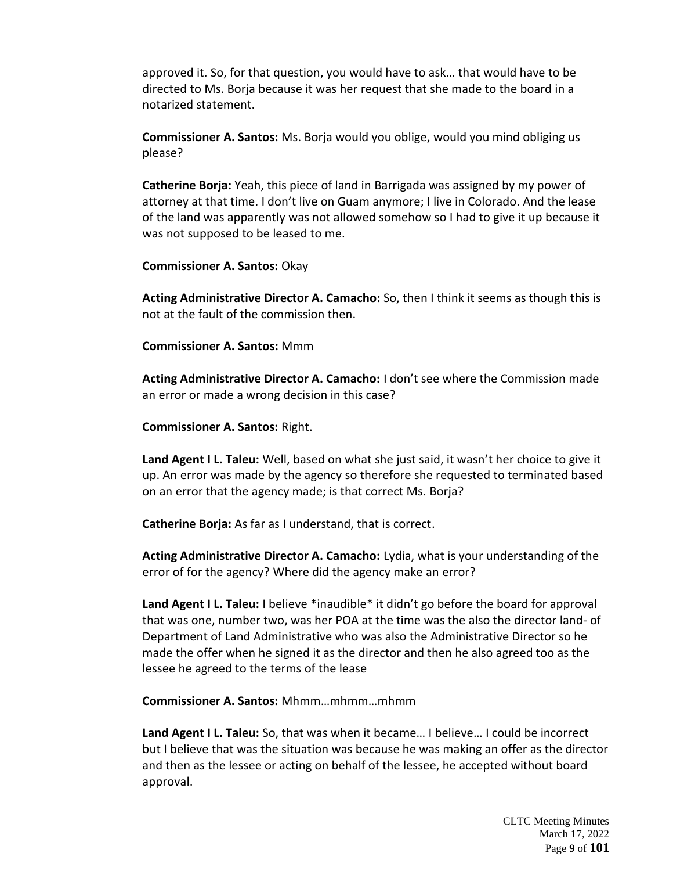approved it. So, for that question, you would have to ask… that would have to be directed to Ms. Borja because it was her request that she made to the board in a notarized statement.

**Commissioner A. Santos:** Ms. Borja would you oblige, would you mind obliging us please?

**Catherine Borja:** Yeah, this piece of land in Barrigada was assigned by my power of attorney at that time. I don't live on Guam anymore; I live in Colorado. And the lease of the land was apparently was not allowed somehow so I had to give it up because it was not supposed to be leased to me.

**Commissioner A. Santos:** Okay

**Acting Administrative Director A. Camacho:** So, then I think it seems as though this is not at the fault of the commission then.

**Commissioner A. Santos:** Mmm

**Acting Administrative Director A. Camacho:** I don't see where the Commission made an error or made a wrong decision in this case?

**Commissioner A. Santos:** Right.

**Land Agent I L. Taleu:** Well, based on what she just said, it wasn't her choice to give it up. An error was made by the agency so therefore she requested to terminated based on an error that the agency made; is that correct Ms. Borja?

**Catherine Borja:** As far as I understand, that is correct.

**Acting Administrative Director A. Camacho:** Lydia, what is your understanding of the error of for the agency? Where did the agency make an error?

Land Agent I L. Taleu: I believe \*inaudible\* it didn't go before the board for approval that was one, number two, was her POA at the time was the also the director land- of Department of Land Administrative who was also the Administrative Director so he made the offer when he signed it as the director and then he also agreed too as the lessee he agreed to the terms of the lease

**Commissioner A. Santos:** Mhmm…mhmm…mhmm

**Land Agent I L. Taleu:** So, that was when it became… I believe… I could be incorrect but I believe that was the situation was because he was making an offer as the director and then as the lessee or acting on behalf of the lessee, he accepted without board approval.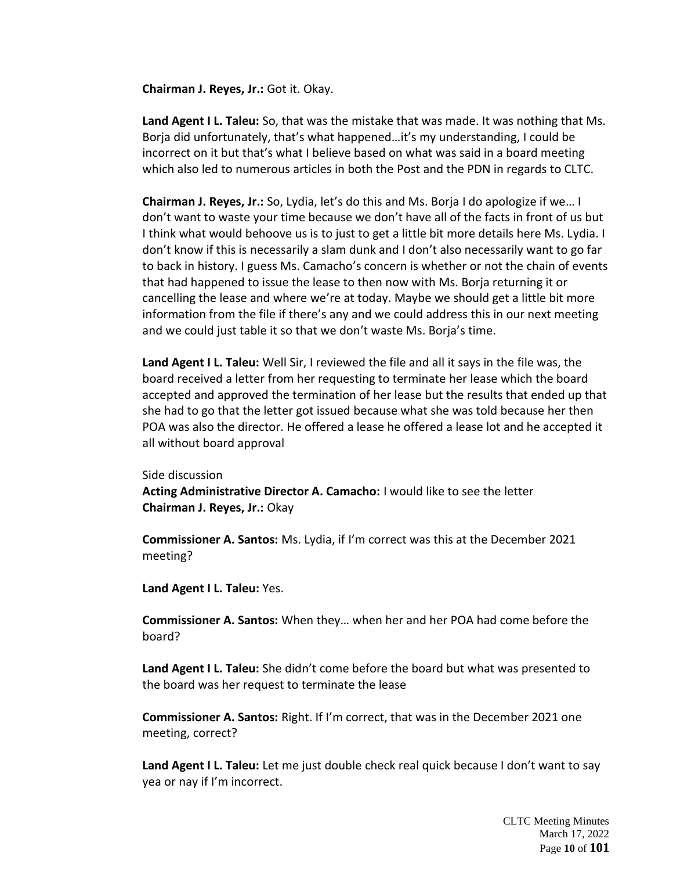**Chairman J. Reyes, Jr.:** Got it. Okay.

**Land Agent I L. Taleu:** So, that was the mistake that was made. It was nothing that Ms. Borja did unfortunately, that's what happened…it's my understanding, I could be incorrect on it but that's what I believe based on what was said in a board meeting which also led to numerous articles in both the Post and the PDN in regards to CLTC.

**Chairman J. Reyes, Jr.:** So, Lydia, let's do this and Ms. Borja I do apologize if we… I don't want to waste your time because we don't have all of the facts in front of us but I think what would behoove us is to just to get a little bit more details here Ms. Lydia. I don't know if this is necessarily a slam dunk and I don't also necessarily want to go far to back in history. I guess Ms. Camacho's concern is whether or not the chain of events that had happened to issue the lease to then now with Ms. Borja returning it or cancelling the lease and where we're at today. Maybe we should get a little bit more information from the file if there's any and we could address this in our next meeting and we could just table it so that we don't waste Ms. Borja's time.

**Land Agent I L. Taleu:** Well Sir, I reviewed the file and all it says in the file was, the board received a letter from her requesting to terminate her lease which the board accepted and approved the termination of her lease but the results that ended up that she had to go that the letter got issued because what she was told because her then POA was also the director. He offered a lease he offered a lease lot and he accepted it all without board approval

Side discussion

**Acting Administrative Director A. Camacho:** I would like to see the letter **Chairman J. Reyes, Jr.:** Okay

**Commissioner A. Santos:** Ms. Lydia, if I'm correct was this at the December 2021 meeting?

**Land Agent I L. Taleu:** Yes.

**Commissioner A. Santos:** When they… when her and her POA had come before the board?

**Land Agent I L. Taleu:** She didn't come before the board but what was presented to the board was her request to terminate the lease

**Commissioner A. Santos:** Right. If I'm correct, that was in the December 2021 one meeting, correct?

**Land Agent I L. Taleu:** Let me just double check real quick because I don't want to say yea or nay if I'm incorrect.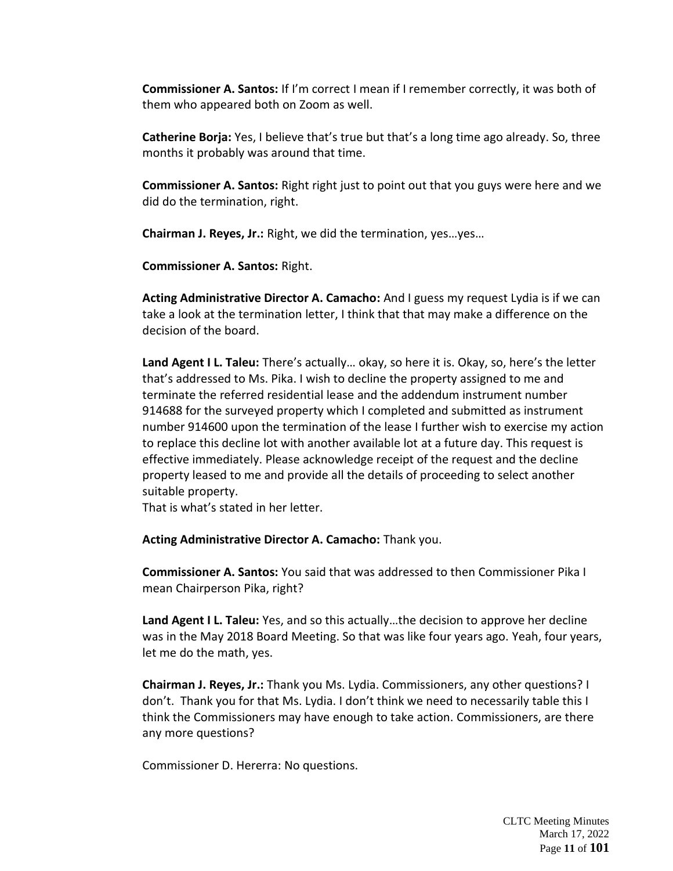**Commissioner A. Santos:** If I'm correct I mean if I remember correctly, it was both of them who appeared both on Zoom as well.

**Catherine Borja:** Yes, I believe that's true but that's a long time ago already. So, three months it probably was around that time.

**Commissioner A. Santos:** Right right just to point out that you guys were here and we did do the termination, right.

**Chairman J. Reyes, Jr.:** Right, we did the termination, yes…yes…

**Commissioner A. Santos:** Right.

**Acting Administrative Director A. Camacho:** And I guess my request Lydia is if we can take a look at the termination letter, I think that that may make a difference on the decision of the board.

**Land Agent I L. Taleu:** There's actually… okay, so here it is. Okay, so, here's the letter that's addressed to Ms. Pika. I wish to decline the property assigned to me and terminate the referred residential lease and the addendum instrument number 914688 for the surveyed property which I completed and submitted as instrument number 914600 upon the termination of the lease I further wish to exercise my action to replace this decline lot with another available lot at a future day. This request is effective immediately. Please acknowledge receipt of the request and the decline property leased to me and provide all the details of proceeding to select another suitable property.

That is what's stated in her letter.

**Acting Administrative Director A. Camacho:** Thank you.

**Commissioner A. Santos:** You said that was addressed to then Commissioner Pika I mean Chairperson Pika, right?

**Land Agent I L. Taleu:** Yes, and so this actually…the decision to approve her decline was in the May 2018 Board Meeting. So that was like four years ago. Yeah, four years, let me do the math, yes.

**Chairman J. Reyes, Jr.:** Thank you Ms. Lydia. Commissioners, any other questions? I don't. Thank you for that Ms. Lydia. I don't think we need to necessarily table this I think the Commissioners may have enough to take action. Commissioners, are there any more questions?

Commissioner D. Hererra: No questions.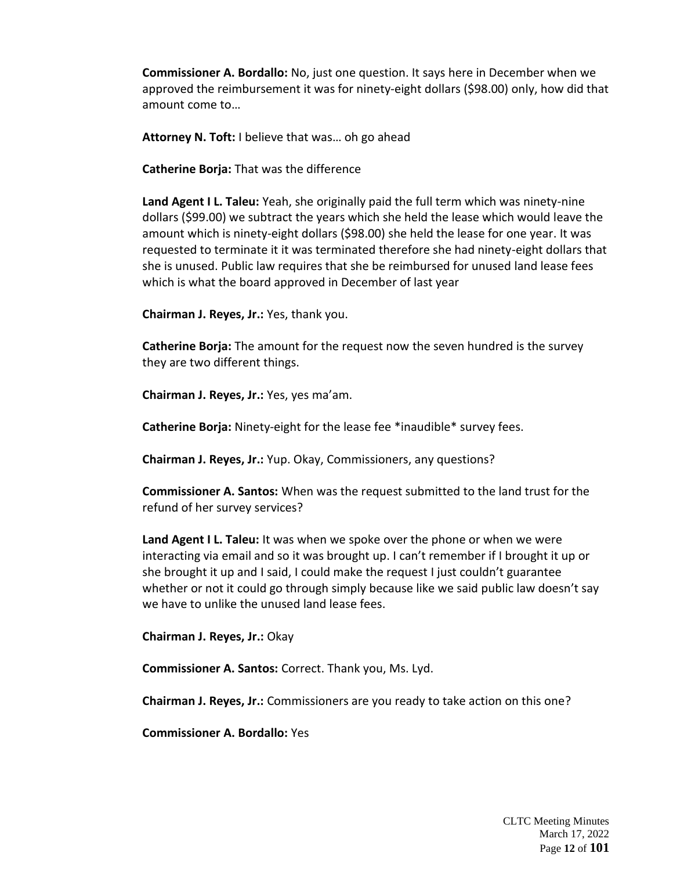**Commissioner A. Bordallo:** No, just one question. It says here in December when we approved the reimbursement it was for ninety-eight dollars (\$98.00) only, how did that amount come to…

**Attorney N. Toft:** I believe that was… oh go ahead

**Catherine Borja:** That was the difference

**Land Agent I L. Taleu:** Yeah, she originally paid the full term which was ninety-nine dollars (\$99.00) we subtract the years which she held the lease which would leave the amount which is ninety-eight dollars (\$98.00) she held the lease for one year. It was requested to terminate it it was terminated therefore she had ninety-eight dollars that she is unused. Public law requires that she be reimbursed for unused land lease fees which is what the board approved in December of last year

**Chairman J. Reyes, Jr.:** Yes, thank you.

**Catherine Borja:** The amount for the request now the seven hundred is the survey they are two different things.

**Chairman J. Reyes, Jr.:** Yes, yes ma'am.

**Catherine Borja:** Ninety-eight for the lease fee \*inaudible\* survey fees.

**Chairman J. Reyes, Jr.:** Yup. Okay, Commissioners, any questions?

**Commissioner A. Santos:** When was the request submitted to the land trust for the refund of her survey services?

**Land Agent I L. Taleu:** It was when we spoke over the phone or when we were interacting via email and so it was brought up. I can't remember if I brought it up or she brought it up and I said, I could make the request I just couldn't guarantee whether or not it could go through simply because like we said public law doesn't say we have to unlike the unused land lease fees.

**Chairman J. Reyes, Jr.:** Okay

**Commissioner A. Santos:** Correct. Thank you, Ms. Lyd.

**Chairman J. Reyes, Jr.:** Commissioners are you ready to take action on this one?

**Commissioner A. Bordallo:** Yes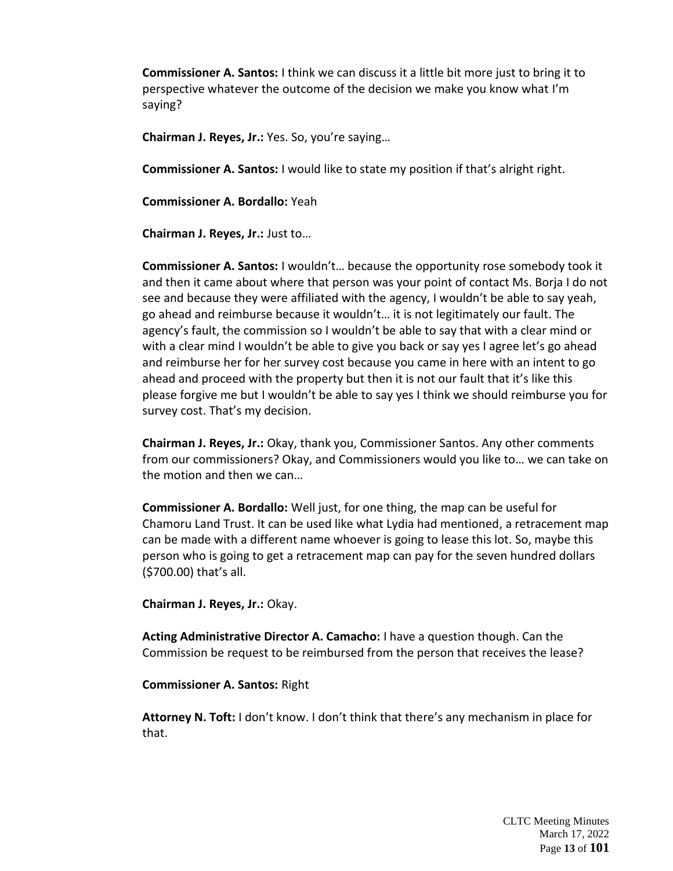**Commissioner A. Santos:** I think we can discuss it a little bit more just to bring it to perspective whatever the outcome of the decision we make you know what I'm saying?

**Chairman J. Reyes, Jr.:** Yes. So, you're saying…

**Commissioner A. Santos:** I would like to state my position if that's alright right.

**Commissioner A. Bordallo:** Yeah

**Chairman J. Reyes, Jr.:** Just to…

**Commissioner A. Santos:** I wouldn't… because the opportunity rose somebody took it and then it came about where that person was your point of contact Ms. Borja I do not see and because they were affiliated with the agency, I wouldn't be able to say yeah, go ahead and reimburse because it wouldn't… it is not legitimately our fault. The agency's fault, the commission so I wouldn't be able to say that with a clear mind or with a clear mind I wouldn't be able to give you back or say yes I agree let's go ahead and reimburse her for her survey cost because you came in here with an intent to go ahead and proceed with the property but then it is not our fault that it's like this please forgive me but I wouldn't be able to say yes I think we should reimburse you for survey cost. That's my decision.

**Chairman J. Reyes, Jr.:** Okay, thank you, Commissioner Santos. Any other comments from our commissioners? Okay, and Commissioners would you like to… we can take on the motion and then we can…

**Commissioner A. Bordallo:** Well just, for one thing, the map can be useful for Chamoru Land Trust. It can be used like what Lydia had mentioned, a retracement map can be made with a different name whoever is going to lease this lot. So, maybe this person who is going to get a retracement map can pay for the seven hundred dollars (\$700.00) that's all.

**Chairman J. Reyes, Jr.:** Okay.

**Acting Administrative Director A. Camacho:** I have a question though. Can the Commission be request to be reimbursed from the person that receives the lease?

**Commissioner A. Santos:** Right

**Attorney N. Toft:** I don't know. I don't think that there's any mechanism in place for that.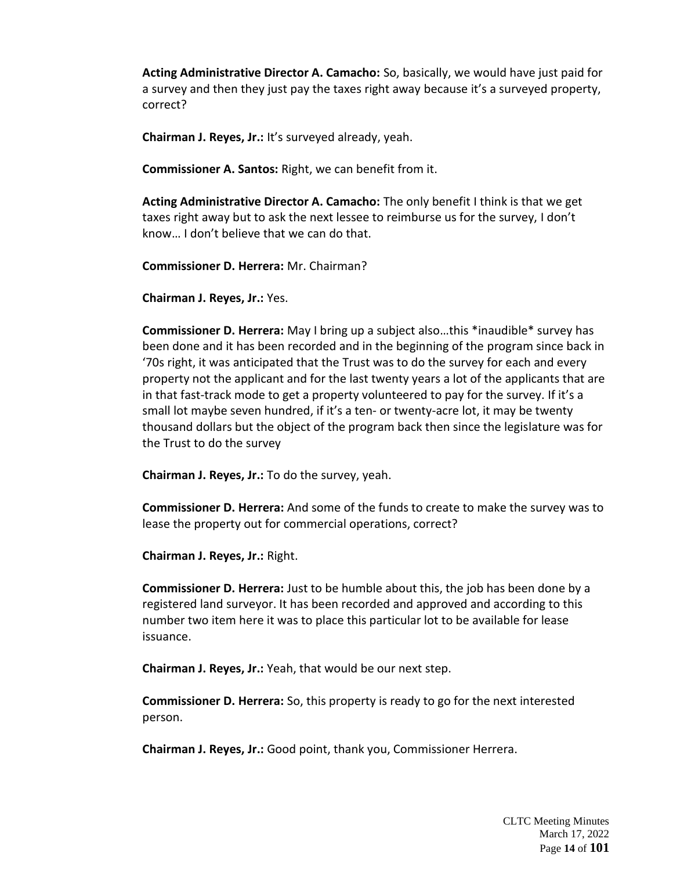**Acting Administrative Director A. Camacho:** So, basically, we would have just paid for a survey and then they just pay the taxes right away because it's a surveyed property, correct?

**Chairman J. Reyes, Jr.:** It's surveyed already, yeah.

**Commissioner A. Santos:** Right, we can benefit from it.

**Acting Administrative Director A. Camacho:** The only benefit I think is that we get taxes right away but to ask the next lessee to reimburse us for the survey, I don't know… I don't believe that we can do that.

**Commissioner D. Herrera:** Mr. Chairman?

**Chairman J. Reyes, Jr.:** Yes.

**Commissioner D. Herrera:** May I bring up a subject also…this \*inaudible\* survey has been done and it has been recorded and in the beginning of the program since back in '70s right, it was anticipated that the Trust was to do the survey for each and every property not the applicant and for the last twenty years a lot of the applicants that are in that fast-track mode to get a property volunteered to pay for the survey. If it's a small lot maybe seven hundred, if it's a ten- or twenty-acre lot, it may be twenty thousand dollars but the object of the program back then since the legislature was for the Trust to do the survey

**Chairman J. Reyes, Jr.:** To do the survey, yeah.

**Commissioner D. Herrera:** And some of the funds to create to make the survey was to lease the property out for commercial operations, correct?

**Chairman J. Reyes, Jr.:** Right.

**Commissioner D. Herrera:** Just to be humble about this, the job has been done by a registered land surveyor. It has been recorded and approved and according to this number two item here it was to place this particular lot to be available for lease issuance.

**Chairman J. Reyes, Jr.:** Yeah, that would be our next step.

**Commissioner D. Herrera:** So, this property is ready to go for the next interested person.

**Chairman J. Reyes, Jr.:** Good point, thank you, Commissioner Herrera.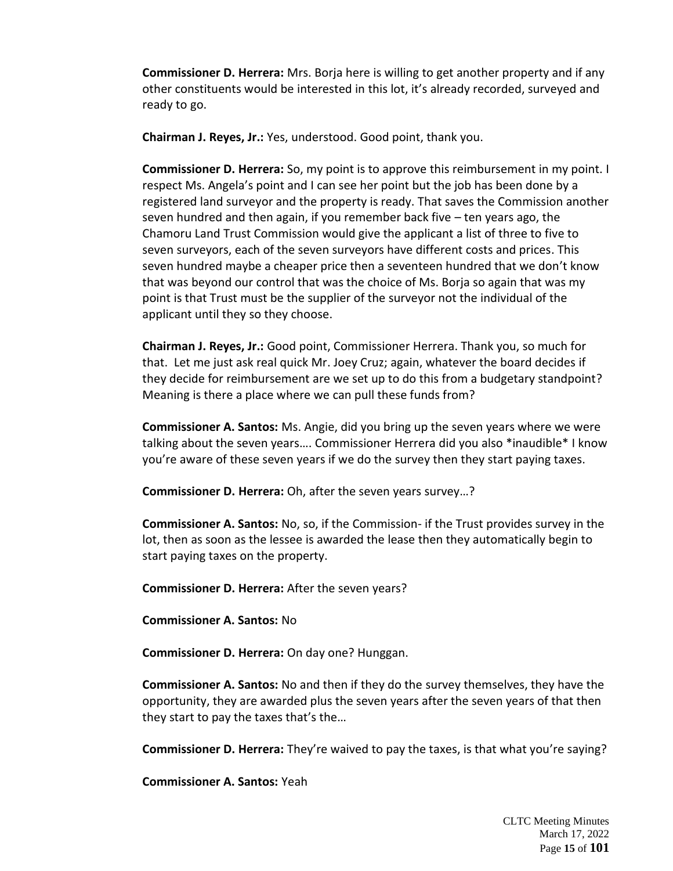**Commissioner D. Herrera:** Mrs. Borja here is willing to get another property and if any other constituents would be interested in this lot, it's already recorded, surveyed and ready to go.

**Chairman J. Reyes, Jr.:** Yes, understood. Good point, thank you.

**Commissioner D. Herrera:** So, my point is to approve this reimbursement in my point. I respect Ms. Angela's point and I can see her point but the job has been done by a registered land surveyor and the property is ready. That saves the Commission another seven hundred and then again, if you remember back five – ten years ago, the Chamoru Land Trust Commission would give the applicant a list of three to five to seven surveyors, each of the seven surveyors have different costs and prices. This seven hundred maybe a cheaper price then a seventeen hundred that we don't know that was beyond our control that was the choice of Ms. Borja so again that was my point is that Trust must be the supplier of the surveyor not the individual of the applicant until they so they choose.

**Chairman J. Reyes, Jr.:** Good point, Commissioner Herrera. Thank you, so much for that. Let me just ask real quick Mr. Joey Cruz; again, whatever the board decides if they decide for reimbursement are we set up to do this from a budgetary standpoint? Meaning is there a place where we can pull these funds from?

**Commissioner A. Santos:** Ms. Angie, did you bring up the seven years where we were talking about the seven years…. Commissioner Herrera did you also \*inaudible\* I know you're aware of these seven years if we do the survey then they start paying taxes.

**Commissioner D. Herrera:** Oh, after the seven years survey…?

**Commissioner A. Santos:** No, so, if the Commission- if the Trust provides survey in the lot, then as soon as the lessee is awarded the lease then they automatically begin to start paying taxes on the property.

**Commissioner D. Herrera:** After the seven years?

**Commissioner A. Santos:** No

**Commissioner D. Herrera:** On day one? Hunggan.

**Commissioner A. Santos:** No and then if they do the survey themselves, they have the opportunity, they are awarded plus the seven years after the seven years of that then they start to pay the taxes that's the…

**Commissioner D. Herrera:** They're waived to pay the taxes, is that what you're saying?

**Commissioner A. Santos:** Yeah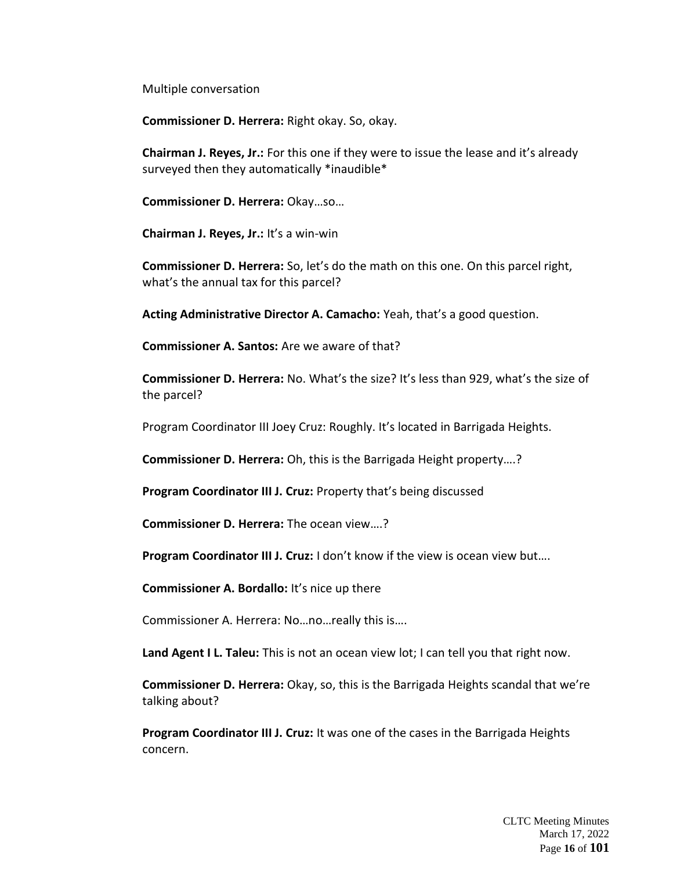Multiple conversation

**Commissioner D. Herrera:** Right okay. So, okay.

**Chairman J. Reyes, Jr.:** For this one if they were to issue the lease and it's already surveyed then they automatically \*inaudible\*

**Commissioner D. Herrera:** Okay…so…

**Chairman J. Reyes, Jr.:** It's a win-win

**Commissioner D. Herrera:** So, let's do the math on this one. On this parcel right, what's the annual tax for this parcel?

**Acting Administrative Director A. Camacho:** Yeah, that's a good question.

**Commissioner A. Santos:** Are we aware of that?

**Commissioner D. Herrera:** No. What's the size? It's less than 929, what's the size of the parcel?

Program Coordinator III Joey Cruz: Roughly. It's located in Barrigada Heights.

**Commissioner D. Herrera:** Oh, this is the Barrigada Height property….?

**Program Coordinator III J. Cruz:** Property that's being discussed

**Commissioner D. Herrera:** The ocean view….?

**Program Coordinator III J. Cruz:** I don't know if the view is ocean view but....

**Commissioner A. Bordallo:** It's nice up there

Commissioner A. Herrera: No…no…really this is….

**Land Agent I L. Taleu:** This is not an ocean view lot; I can tell you that right now.

**Commissioner D. Herrera:** Okay, so, this is the Barrigada Heights scandal that we're talking about?

**Program Coordinator III J. Cruz:** It was one of the cases in the Barrigada Heights concern.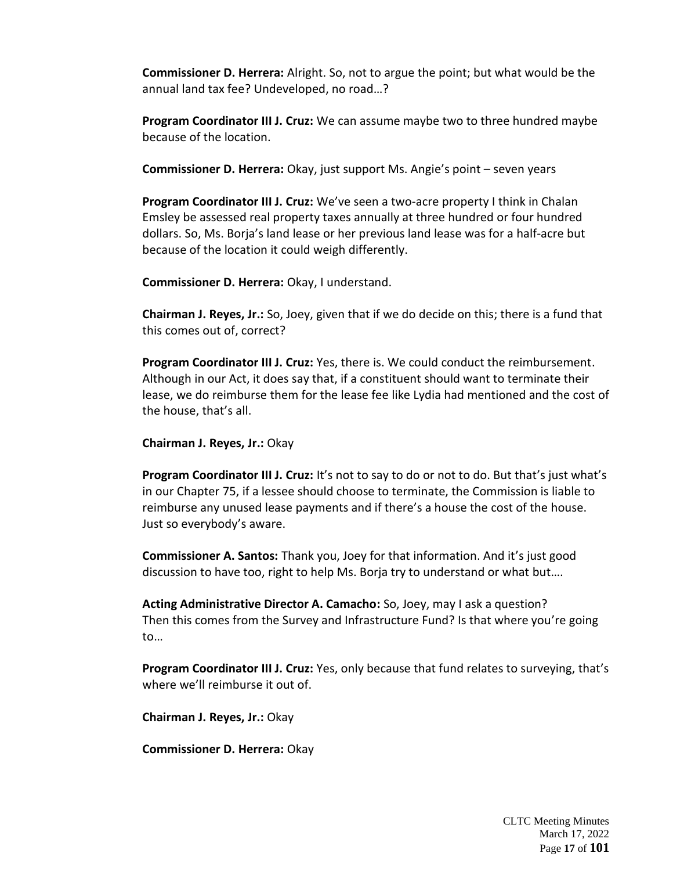**Commissioner D. Herrera:** Alright. So, not to argue the point; but what would be the annual land tax fee? Undeveloped, no road…?

**Program Coordinator III J. Cruz:** We can assume maybe two to three hundred maybe because of the location.

**Commissioner D. Herrera:** Okay, just support Ms. Angie's point – seven years

**Program Coordinator III J. Cruz:** We've seen a two-acre property I think in Chalan Emsley be assessed real property taxes annually at three hundred or four hundred dollars. So, Ms. Borja's land lease or her previous land lease was for a half-acre but because of the location it could weigh differently.

**Commissioner D. Herrera:** Okay, I understand.

**Chairman J. Reyes, Jr.:** So, Joey, given that if we do decide on this; there is a fund that this comes out of, correct?

**Program Coordinator III J. Cruz:** Yes, there is. We could conduct the reimbursement. Although in our Act, it does say that, if a constituent should want to terminate their lease, we do reimburse them for the lease fee like Lydia had mentioned and the cost of the house, that's all.

**Chairman J. Reyes, Jr.:** Okay

**Program Coordinator III J. Cruz:** It's not to say to do or not to do. But that's just what's in our Chapter 75, if a lessee should choose to terminate, the Commission is liable to reimburse any unused lease payments and if there's a house the cost of the house. Just so everybody's aware.

**Commissioner A. Santos:** Thank you, Joey for that information. And it's just good discussion to have too, right to help Ms. Borja try to understand or what but….

**Acting Administrative Director A. Camacho:** So, Joey, may I ask a question? Then this comes from the Survey and Infrastructure Fund? Is that where you're going to…

**Program Coordinator III J. Cruz:** Yes, only because that fund relates to surveying, that's where we'll reimburse it out of.

**Chairman J. Reyes, Jr.:** Okay

**Commissioner D. Herrera:** Okay

CLTC Meeting Minutes March 17, 2022 Page **17** of **101**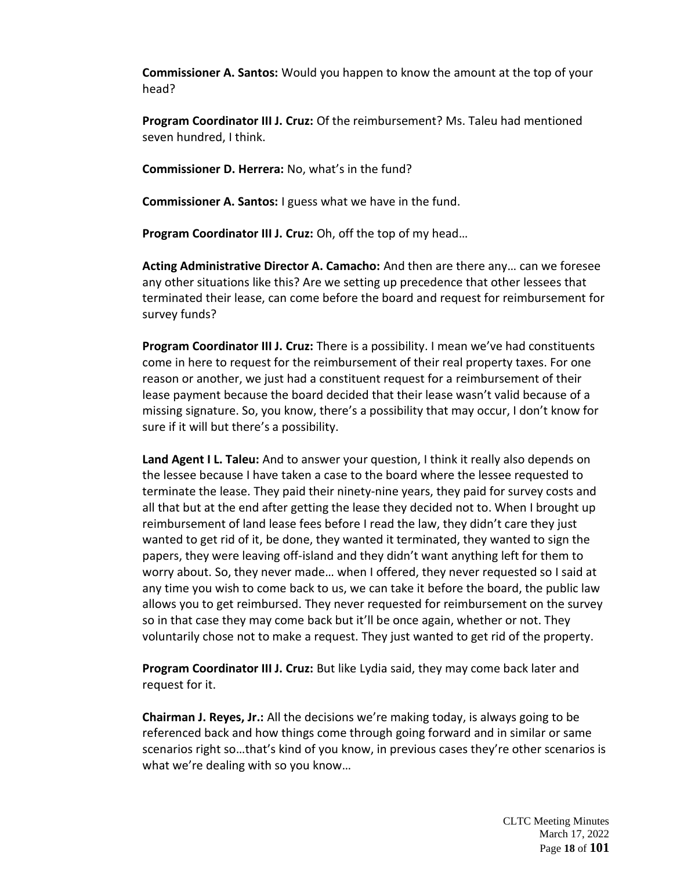**Commissioner A. Santos:** Would you happen to know the amount at the top of your head?

**Program Coordinator III J. Cruz:** Of the reimbursement? Ms. Taleu had mentioned seven hundred, I think.

**Commissioner D. Herrera:** No, what's in the fund?

**Commissioner A. Santos:** I guess what we have in the fund.

**Program Coordinator III J. Cruz:** Oh, off the top of my head…

**Acting Administrative Director A. Camacho:** And then are there any… can we foresee any other situations like this? Are we setting up precedence that other lessees that terminated their lease, can come before the board and request for reimbursement for survey funds?

**Program Coordinator III J. Cruz:** There is a possibility. I mean we've had constituents come in here to request for the reimbursement of their real property taxes. For one reason or another, we just had a constituent request for a reimbursement of their lease payment because the board decided that their lease wasn't valid because of a missing signature. So, you know, there's a possibility that may occur, I don't know for sure if it will but there's a possibility.

**Land Agent I L. Taleu:** And to answer your question, I think it really also depends on the lessee because I have taken a case to the board where the lessee requested to terminate the lease. They paid their ninety-nine years, they paid for survey costs and all that but at the end after getting the lease they decided not to. When I brought up reimbursement of land lease fees before I read the law, they didn't care they just wanted to get rid of it, be done, they wanted it terminated, they wanted to sign the papers, they were leaving off-island and they didn't want anything left for them to worry about. So, they never made… when I offered, they never requested so I said at any time you wish to come back to us, we can take it before the board, the public law allows you to get reimbursed. They never requested for reimbursement on the survey so in that case they may come back but it'll be once again, whether or not. They voluntarily chose not to make a request. They just wanted to get rid of the property.

**Program Coordinator III J. Cruz:** But like Lydia said, they may come back later and request for it.

**Chairman J. Reyes, Jr.:** All the decisions we're making today, is always going to be referenced back and how things come through going forward and in similar or same scenarios right so…that's kind of you know, in previous cases they're other scenarios is what we're dealing with so you know...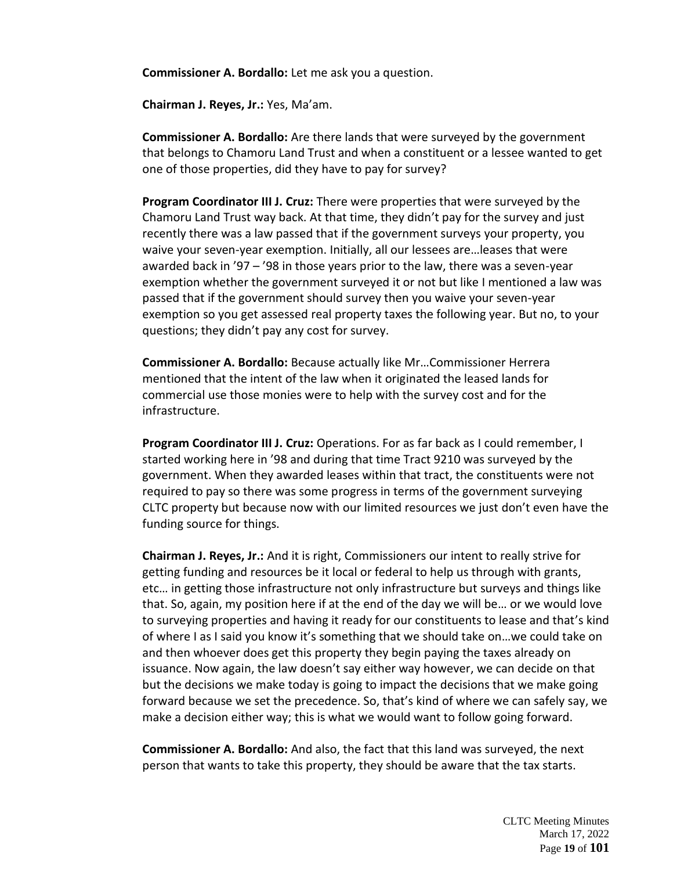**Commissioner A. Bordallo:** Let me ask you a question.

**Chairman J. Reyes, Jr.:** Yes, Ma'am.

**Commissioner A. Bordallo:** Are there lands that were surveyed by the government that belongs to Chamoru Land Trust and when a constituent or a lessee wanted to get one of those properties, did they have to pay for survey?

**Program Coordinator III J. Cruz:** There were properties that were surveyed by the Chamoru Land Trust way back. At that time, they didn't pay for the survey and just recently there was a law passed that if the government surveys your property, you waive your seven-year exemption. Initially, all our lessees are…leases that were awarded back in '97 – '98 in those years prior to the law, there was a seven-year exemption whether the government surveyed it or not but like I mentioned a law was passed that if the government should survey then you waive your seven-year exemption so you get assessed real property taxes the following year. But no, to your questions; they didn't pay any cost for survey.

**Commissioner A. Bordallo:** Because actually like Mr…Commissioner Herrera mentioned that the intent of the law when it originated the leased lands for commercial use those monies were to help with the survey cost and for the infrastructure.

**Program Coordinator III J. Cruz:** Operations. For as far back as I could remember, I started working here in '98 and during that time Tract 9210 was surveyed by the government. When they awarded leases within that tract, the constituents were not required to pay so there was some progress in terms of the government surveying CLTC property but because now with our limited resources we just don't even have the funding source for things.

**Chairman J. Reyes, Jr.:** And it is right, Commissioners our intent to really strive for getting funding and resources be it local or federal to help us through with grants, etc… in getting those infrastructure not only infrastructure but surveys and things like that. So, again, my position here if at the end of the day we will be… or we would love to surveying properties and having it ready for our constituents to lease and that's kind of where I as I said you know it's something that we should take on…we could take on and then whoever does get this property they begin paying the taxes already on issuance. Now again, the law doesn't say either way however, we can decide on that but the decisions we make today is going to impact the decisions that we make going forward because we set the precedence. So, that's kind of where we can safely say, we make a decision either way; this is what we would want to follow going forward.

**Commissioner A. Bordallo:** And also, the fact that this land was surveyed, the next person that wants to take this property, they should be aware that the tax starts.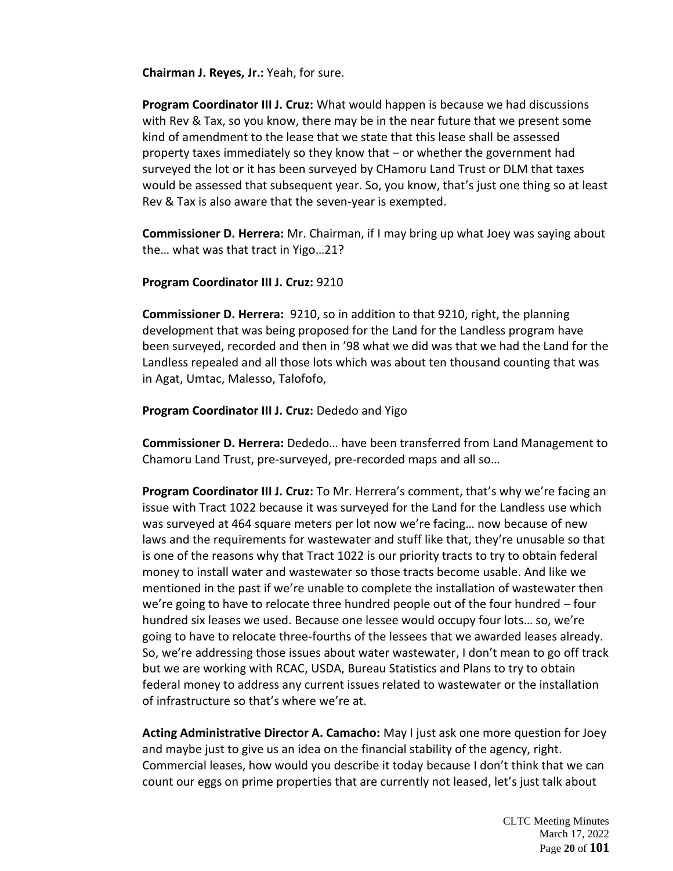**Chairman J. Reyes, Jr.:** Yeah, for sure.

**Program Coordinator III J. Cruz:** What would happen is because we had discussions with Rev & Tax, so you know, there may be in the near future that we present some kind of amendment to the lease that we state that this lease shall be assessed property taxes immediately so they know that – or whether the government had surveyed the lot or it has been surveyed by CHamoru Land Trust or DLM that taxes would be assessed that subsequent year. So, you know, that's just one thing so at least Rev & Tax is also aware that the seven-year is exempted.

**Commissioner D. Herrera:** Mr. Chairman, if I may bring up what Joey was saying about the… what was that tract in Yigo…21?

#### **Program Coordinator III J. Cruz:** 9210

**Commissioner D. Herrera:** 9210, so in addition to that 9210, right, the planning development that was being proposed for the Land for the Landless program have been surveyed, recorded and then in '98 what we did was that we had the Land for the Landless repealed and all those lots which was about ten thousand counting that was in Agat, Umtac, Malesso, Talofofo,

#### **Program Coordinator III J. Cruz:** Dededo and Yigo

**Commissioner D. Herrera:** Dededo… have been transferred from Land Management to Chamoru Land Trust, pre-surveyed, pre-recorded maps and all so…

**Program Coordinator III J. Cruz:** To Mr. Herrera's comment, that's why we're facing an issue with Tract 1022 because it was surveyed for the Land for the Landless use which was surveyed at 464 square meters per lot now we're facing… now because of new laws and the requirements for wastewater and stuff like that, they're unusable so that is one of the reasons why that Tract 1022 is our priority tracts to try to obtain federal money to install water and wastewater so those tracts become usable. And like we mentioned in the past if we're unable to complete the installation of wastewater then we're going to have to relocate three hundred people out of the four hundred – four hundred six leases we used. Because one lessee would occupy four lots… so, we're going to have to relocate three-fourths of the lessees that we awarded leases already. So, we're addressing those issues about water wastewater, I don't mean to go off track but we are working with RCAC, USDA, Bureau Statistics and Plans to try to obtain federal money to address any current issues related to wastewater or the installation of infrastructure so that's where we're at.

**Acting Administrative Director A. Camacho:** May I just ask one more question for Joey and maybe just to give us an idea on the financial stability of the agency, right. Commercial leases, how would you describe it today because I don't think that we can count our eggs on prime properties that are currently not leased, let's just talk about

> CLTC Meeting Minutes March 17, 2022 Page **20** of **101**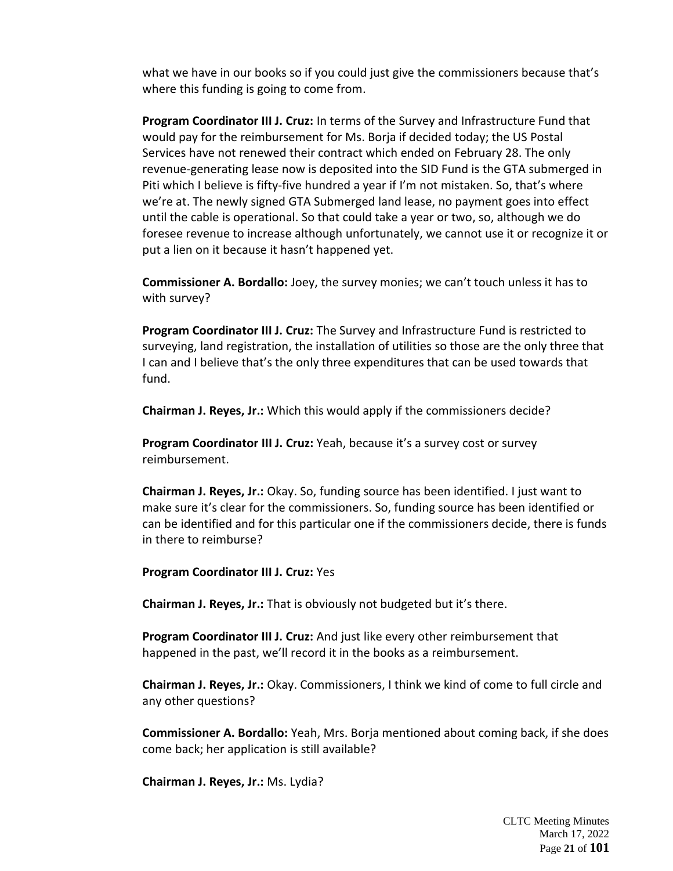what we have in our books so if you could just give the commissioners because that's where this funding is going to come from.

**Program Coordinator III J. Cruz:** In terms of the Survey and Infrastructure Fund that would pay for the reimbursement for Ms. Borja if decided today; the US Postal Services have not renewed their contract which ended on February 28. The only revenue-generating lease now is deposited into the SID Fund is the GTA submerged in Piti which I believe is fifty-five hundred a year if I'm not mistaken. So, that's where we're at. The newly signed GTA Submerged land lease, no payment goes into effect until the cable is operational. So that could take a year or two, so, although we do foresee revenue to increase although unfortunately, we cannot use it or recognize it or put a lien on it because it hasn't happened yet.

**Commissioner A. Bordallo:** Joey, the survey monies; we can't touch unless it has to with survey?

**Program Coordinator III J. Cruz:** The Survey and Infrastructure Fund is restricted to surveying, land registration, the installation of utilities so those are the only three that I can and I believe that's the only three expenditures that can be used towards that fund.

**Chairman J. Reyes, Jr.:** Which this would apply if the commissioners decide?

**Program Coordinator III J. Cruz:** Yeah, because it's a survey cost or survey reimbursement.

**Chairman J. Reyes, Jr.:** Okay. So, funding source has been identified. I just want to make sure it's clear for the commissioners. So, funding source has been identified or can be identified and for this particular one if the commissioners decide, there is funds in there to reimburse?

**Program Coordinator III J. Cruz:** Yes

**Chairman J. Reyes, Jr.:** That is obviously not budgeted but it's there.

**Program Coordinator III J. Cruz:** And just like every other reimbursement that happened in the past, we'll record it in the books as a reimbursement.

**Chairman J. Reyes, Jr.:** Okay. Commissioners, I think we kind of come to full circle and any other questions?

**Commissioner A. Bordallo:** Yeah, Mrs. Borja mentioned about coming back, if she does come back; her application is still available?

**Chairman J. Reyes, Jr.:** Ms. Lydia?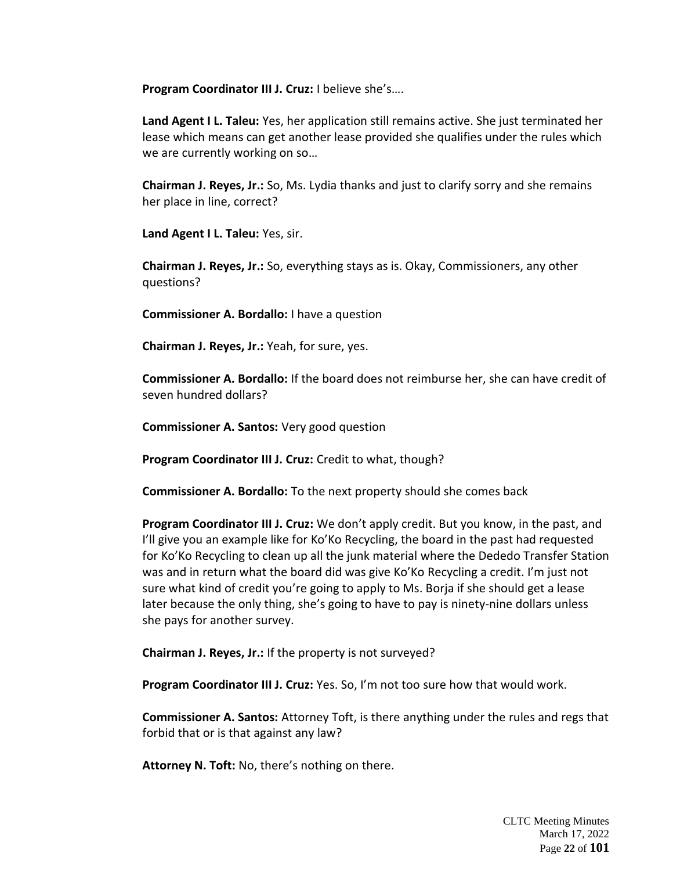**Program Coordinator III J. Cruz:** I believe she's….

**Land Agent I L. Taleu:** Yes, her application still remains active. She just terminated her lease which means can get another lease provided she qualifies under the rules which we are currently working on so…

**Chairman J. Reyes, Jr.:** So, Ms. Lydia thanks and just to clarify sorry and she remains her place in line, correct?

**Land Agent I L. Taleu:** Yes, sir.

**Chairman J. Reyes, Jr.:** So, everything stays as is. Okay, Commissioners, any other questions?

**Commissioner A. Bordallo:** I have a question

**Chairman J. Reyes, Jr.:** Yeah, for sure, yes.

**Commissioner A. Bordallo:** If the board does not reimburse her, she can have credit of seven hundred dollars?

**Commissioner A. Santos:** Very good question

**Program Coordinator III J. Cruz:** Credit to what, though?

**Commissioner A. Bordallo:** To the next property should she comes back

**Program Coordinator III J. Cruz:** We don't apply credit. But you know, in the past, and I'll give you an example like for Ko'Ko Recycling, the board in the past had requested for Ko'Ko Recycling to clean up all the junk material where the Dededo Transfer Station was and in return what the board did was give Ko'Ko Recycling a credit. I'm just not sure what kind of credit you're going to apply to Ms. Borja if she should get a lease later because the only thing, she's going to have to pay is ninety-nine dollars unless she pays for another survey.

**Chairman J. Reyes, Jr.:** If the property is not surveyed?

**Program Coordinator III J. Cruz:** Yes. So, I'm not too sure how that would work.

**Commissioner A. Santos:** Attorney Toft, is there anything under the rules and regs that forbid that or is that against any law?

**Attorney N. Toft:** No, there's nothing on there.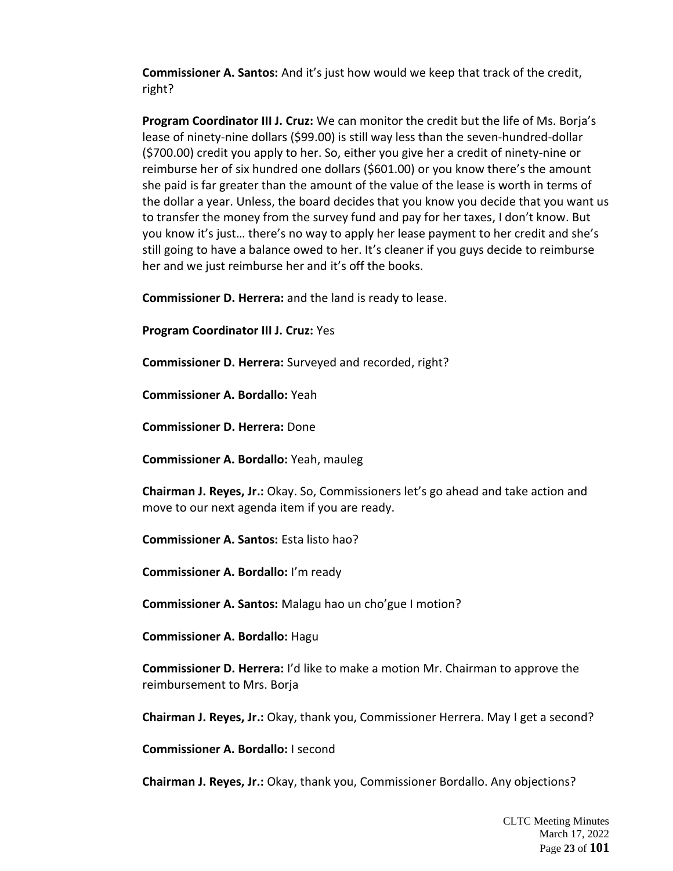**Commissioner A. Santos:** And it's just how would we keep that track of the credit, right?

**Program Coordinator III J. Cruz:** We can monitor the credit but the life of Ms. Borja's lease of ninety-nine dollars (\$99.00) is still way less than the seven-hundred-dollar (\$700.00) credit you apply to her. So, either you give her a credit of ninety-nine or reimburse her of six hundred one dollars (\$601.00) or you know there's the amount she paid is far greater than the amount of the value of the lease is worth in terms of the dollar a year. Unless, the board decides that you know you decide that you want us to transfer the money from the survey fund and pay for her taxes, I don't know. But you know it's just… there's no way to apply her lease payment to her credit and she's still going to have a balance owed to her. It's cleaner if you guys decide to reimburse her and we just reimburse her and it's off the books.

**Commissioner D. Herrera:** and the land is ready to lease.

**Program Coordinator III J. Cruz:** Yes

**Commissioner D. Herrera:** Surveyed and recorded, right?

**Commissioner A. Bordallo:** Yeah

**Commissioner D. Herrera:** Done

**Commissioner A. Bordallo:** Yeah, mauleg

**Chairman J. Reyes, Jr.:** Okay. So, Commissioners let's go ahead and take action and move to our next agenda item if you are ready.

**Commissioner A. Santos:** Esta listo hao?

**Commissioner A. Bordallo:** I'm ready

**Commissioner A. Santos:** Malagu hao un cho'gue I motion?

**Commissioner A. Bordallo:** Hagu

**Commissioner D. Herrera:** I'd like to make a motion Mr. Chairman to approve the reimbursement to Mrs. Borja

**Chairman J. Reyes, Jr.:** Okay, thank you, Commissioner Herrera. May I get a second?

**Commissioner A. Bordallo:** I second

**Chairman J. Reyes, Jr.:** Okay, thank you, Commissioner Bordallo. Any objections?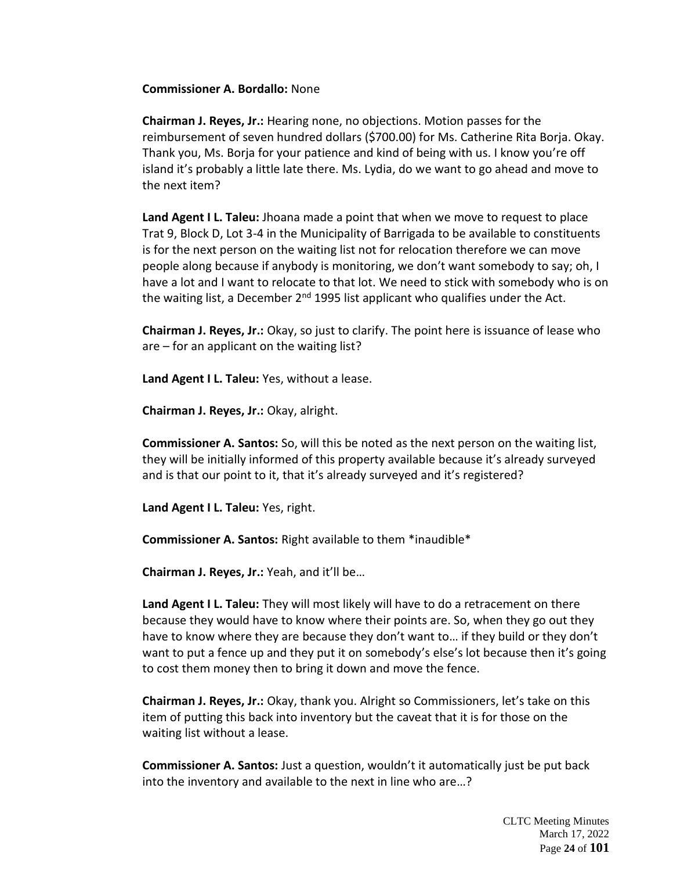#### **Commissioner A. Bordallo:** None

**Chairman J. Reyes, Jr.:** Hearing none, no objections. Motion passes for the reimbursement of seven hundred dollars (\$700.00) for Ms. Catherine Rita Borja. Okay. Thank you, Ms. Borja for your patience and kind of being with us. I know you're off island it's probably a little late there. Ms. Lydia, do we want to go ahead and move to the next item?

**Land Agent I L. Taleu:** Jhoana made a point that when we move to request to place Trat 9, Block D, Lot 3-4 in the Municipality of Barrigada to be available to constituents is for the next person on the waiting list not for relocation therefore we can move people along because if anybody is monitoring, we don't want somebody to say; oh, I have a lot and I want to relocate to that lot. We need to stick with somebody who is on the waiting list, a December  $2<sup>nd</sup>$  1995 list applicant who qualifies under the Act.

**Chairman J. Reyes, Jr.:** Okay, so just to clarify. The point here is issuance of lease who are – for an applicant on the waiting list?

**Land Agent I L. Taleu:** Yes, without a lease.

**Chairman J. Reyes, Jr.:** Okay, alright.

**Commissioner A. Santos:** So, will this be noted as the next person on the waiting list, they will be initially informed of this property available because it's already surveyed and is that our point to it, that it's already surveyed and it's registered?

**Land Agent I L. Taleu:** Yes, right.

**Commissioner A. Santos:** Right available to them \*inaudible\*

**Chairman J. Reyes, Jr.:** Yeah, and it'll be…

**Land Agent I L. Taleu:** They will most likely will have to do a retracement on there because they would have to know where their points are. So, when they go out they have to know where they are because they don't want to… if they build or they don't want to put a fence up and they put it on somebody's else's lot because then it's going to cost them money then to bring it down and move the fence.

**Chairman J. Reyes, Jr.:** Okay, thank you. Alright so Commissioners, let's take on this item of putting this back into inventory but the caveat that it is for those on the waiting list without a lease.

**Commissioner A. Santos:** Just a question, wouldn't it automatically just be put back into the inventory and available to the next in line who are…?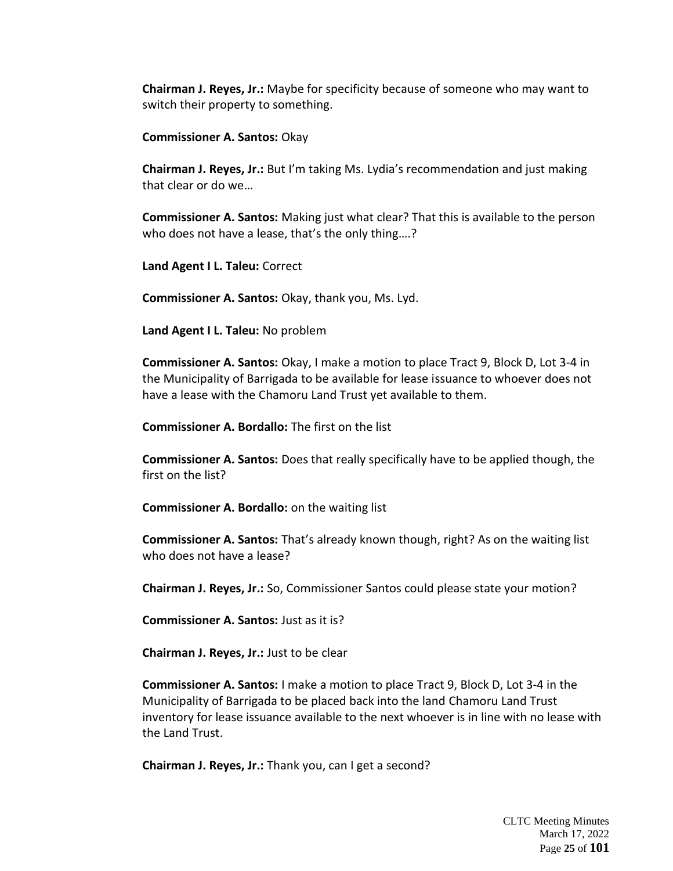**Chairman J. Reyes, Jr.:** Maybe for specificity because of someone who may want to switch their property to something.

**Commissioner A. Santos:** Okay

**Chairman J. Reyes, Jr.:** But I'm taking Ms. Lydia's recommendation and just making that clear or do we…

**Commissioner A. Santos:** Making just what clear? That this is available to the person who does not have a lease, that's the only thing….?

**Land Agent I L. Taleu:** Correct

**Commissioner A. Santos:** Okay, thank you, Ms. Lyd.

**Land Agent I L. Taleu:** No problem

**Commissioner A. Santos:** Okay, I make a motion to place Tract 9, Block D, Lot 3-4 in the Municipality of Barrigada to be available for lease issuance to whoever does not have a lease with the Chamoru Land Trust yet available to them.

**Commissioner A. Bordallo:** The first on the list

**Commissioner A. Santos:** Does that really specifically have to be applied though, the first on the list?

**Commissioner A. Bordallo:** on the waiting list

**Commissioner A. Santos:** That's already known though, right? As on the waiting list who does not have a lease?

**Chairman J. Reyes, Jr.:** So, Commissioner Santos could please state your motion?

**Commissioner A. Santos:** Just as it is?

**Chairman J. Reyes, Jr.:** Just to be clear

**Commissioner A. Santos:** I make a motion to place Tract 9, Block D, Lot 3-4 in the Municipality of Barrigada to be placed back into the land Chamoru Land Trust inventory for lease issuance available to the next whoever is in line with no lease with the Land Trust.

**Chairman J. Reyes, Jr.:** Thank you, can I get a second?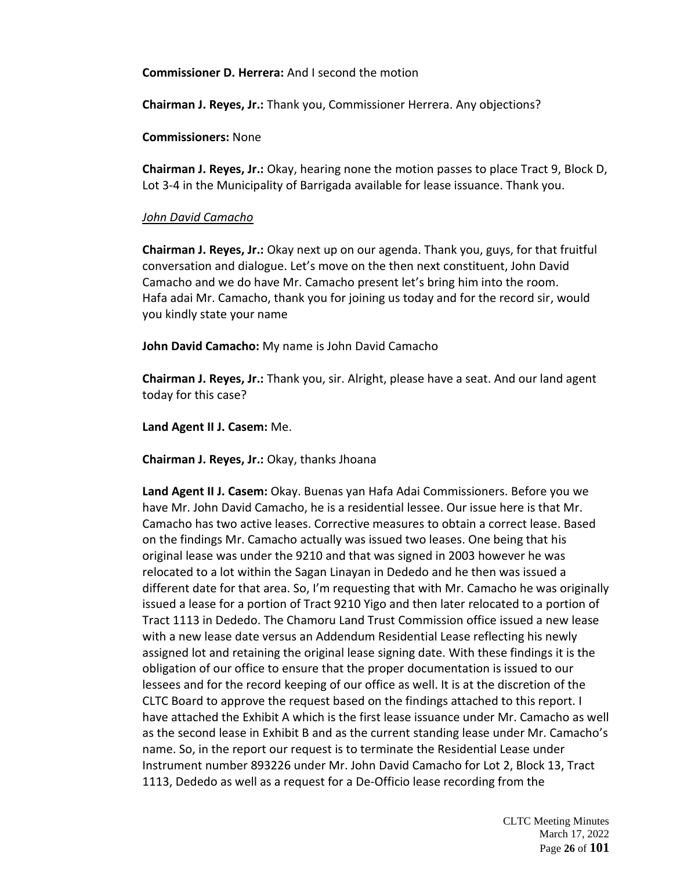**Commissioner D. Herrera:** And I second the motion

**Chairman J. Reyes, Jr.:** Thank you, Commissioner Herrera. Any objections?

**Commissioners:** None

**Chairman J. Reyes, Jr.:** Okay, hearing none the motion passes to place Tract 9, Block D, Lot 3-4 in the Municipality of Barrigada available for lease issuance. Thank you.

# *John David Camacho*

**Chairman J. Reyes, Jr.:** Okay next up on our agenda. Thank you, guys, for that fruitful conversation and dialogue. Let's move on the then next constituent, John David Camacho and we do have Mr. Camacho present let's bring him into the room. Hafa adai Mr. Camacho, thank you for joining us today and for the record sir, would you kindly state your name

**John David Camacho:** My name is John David Camacho

**Chairman J. Reyes, Jr.:** Thank you, sir. Alright, please have a seat. And our land agent today for this case?

**Land Agent II J. Casem:** Me.

**Chairman J. Reyes, Jr.:** Okay, thanks Jhoana

**Land Agent II J. Casem:** Okay. Buenas yan Hafa Adai Commissioners. Before you we have Mr. John David Camacho, he is a residential lessee. Our issue here is that Mr. Camacho has two active leases. Corrective measures to obtain a correct lease. Based on the findings Mr. Camacho actually was issued two leases. One being that his original lease was under the 9210 and that was signed in 2003 however he was relocated to a lot within the Sagan Linayan in Dededo and he then was issued a different date for that area. So, I'm requesting that with Mr. Camacho he was originally issued a lease for a portion of Tract 9210 Yigo and then later relocated to a portion of Tract 1113 in Dededo. The Chamoru Land Trust Commission office issued a new lease with a new lease date versus an Addendum Residential Lease reflecting his newly assigned lot and retaining the original lease signing date. With these findings it is the obligation of our office to ensure that the proper documentation is issued to our lessees and for the record keeping of our office as well. It is at the discretion of the CLTC Board to approve the request based on the findings attached to this report. I have attached the Exhibit A which is the first lease issuance under Mr. Camacho as well as the second lease in Exhibit B and as the current standing lease under Mr. Camacho's name. So, in the report our request is to terminate the Residential Lease under Instrument number 893226 under Mr. John David Camacho for Lot 2, Block 13, Tract 1113, Dededo as well as a request for a De-Officio lease recording from the

> CLTC Meeting Minutes March 17, 2022 Page **26** of **101**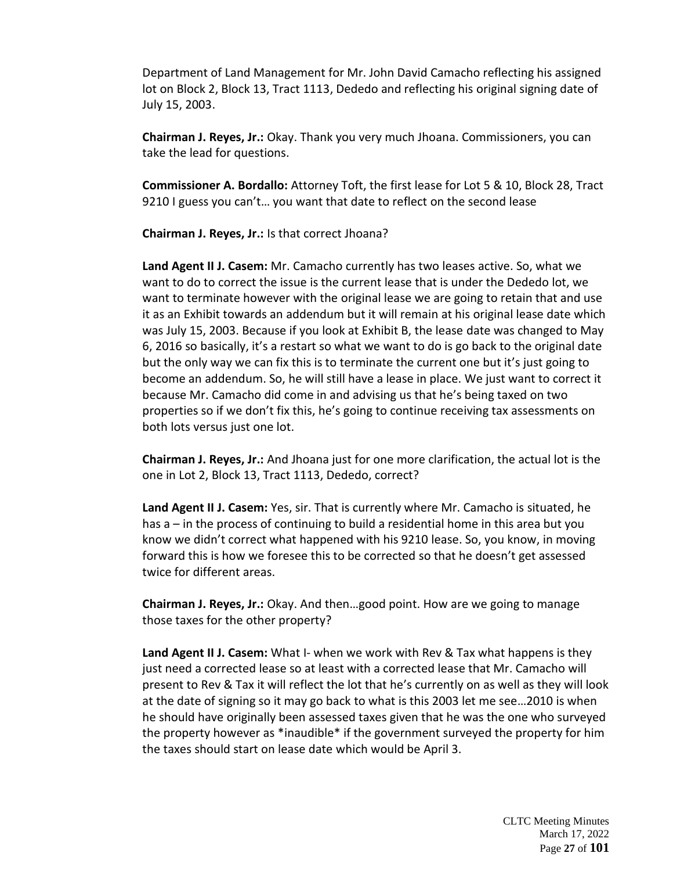Department of Land Management for Mr. John David Camacho reflecting his assigned lot on Block 2, Block 13, Tract 1113, Dededo and reflecting his original signing date of July 15, 2003.

**Chairman J. Reyes, Jr.:** Okay. Thank you very much Jhoana. Commissioners, you can take the lead for questions.

**Commissioner A. Bordallo:** Attorney Toft, the first lease for Lot 5 & 10, Block 28, Tract 9210 I guess you can't... you want that date to reflect on the second lease

**Chairman J. Reyes, Jr.:** Is that correct Jhoana?

**Land Agent II J. Casem:** Mr. Camacho currently has two leases active. So, what we want to do to correct the issue is the current lease that is under the Dededo lot, we want to terminate however with the original lease we are going to retain that and use it as an Exhibit towards an addendum but it will remain at his original lease date which was July 15, 2003. Because if you look at Exhibit B, the lease date was changed to May 6, 2016 so basically, it's a restart so what we want to do is go back to the original date but the only way we can fix this is to terminate the current one but it's just going to become an addendum. So, he will still have a lease in place. We just want to correct it because Mr. Camacho did come in and advising us that he's being taxed on two properties so if we don't fix this, he's going to continue receiving tax assessments on both lots versus just one lot.

**Chairman J. Reyes, Jr.:** And Jhoana just for one more clarification, the actual lot is the one in Lot 2, Block 13, Tract 1113, Dededo, correct?

**Land Agent II J. Casem:** Yes, sir. That is currently where Mr. Camacho is situated, he has a – in the process of continuing to build a residential home in this area but you know we didn't correct what happened with his 9210 lease. So, you know, in moving forward this is how we foresee this to be corrected so that he doesn't get assessed twice for different areas.

**Chairman J. Reyes, Jr.:** Okay. And then…good point. How are we going to manage those taxes for the other property?

**Land Agent II J. Casem:** What I- when we work with Rev & Tax what happens is they just need a corrected lease so at least with a corrected lease that Mr. Camacho will present to Rev & Tax it will reflect the lot that he's currently on as well as they will look at the date of signing so it may go back to what is this 2003 let me see…2010 is when he should have originally been assessed taxes given that he was the one who surveyed the property however as \*inaudible\* if the government surveyed the property for him the taxes should start on lease date which would be April 3.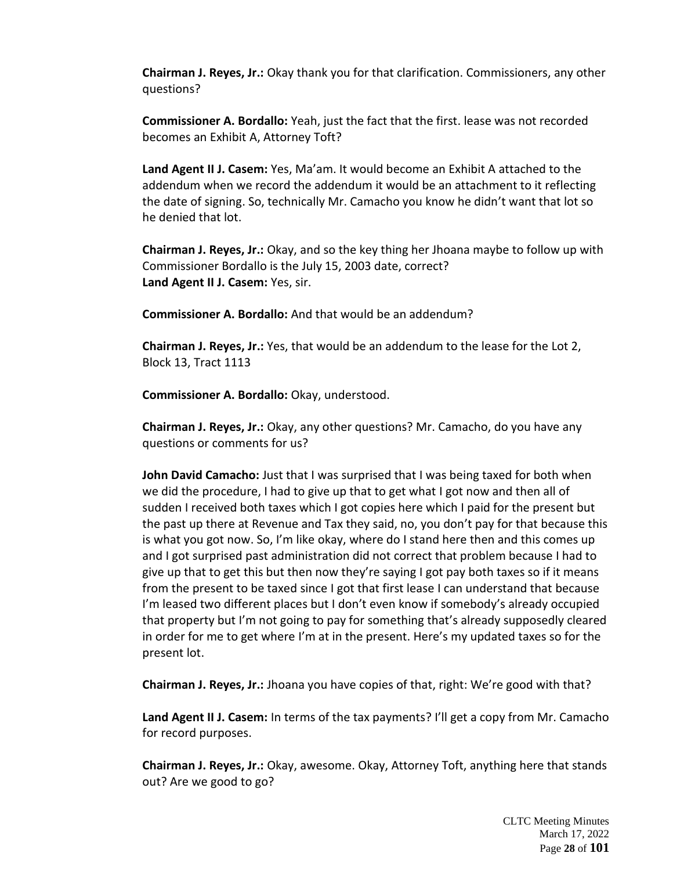**Chairman J. Reyes, Jr.:** Okay thank you for that clarification. Commissioners, any other questions?

**Commissioner A. Bordallo:** Yeah, just the fact that the first. lease was not recorded becomes an Exhibit A, Attorney Toft?

**Land Agent II J. Casem:** Yes, Ma'am. It would become an Exhibit A attached to the addendum when we record the addendum it would be an attachment to it reflecting the date of signing. So, technically Mr. Camacho you know he didn't want that lot so he denied that lot.

**Chairman J. Reyes, Jr.:** Okay, and so the key thing her Jhoana maybe to follow up with Commissioner Bordallo is the July 15, 2003 date, correct? **Land Agent II J. Casem:** Yes, sir.

**Commissioner A. Bordallo:** And that would be an addendum?

**Chairman J. Reyes, Jr.:** Yes, that would be an addendum to the lease for the Lot 2, Block 13, Tract 1113

**Commissioner A. Bordallo:** Okay, understood.

**Chairman J. Reyes, Jr.:** Okay, any other questions? Mr. Camacho, do you have any questions or comments for us?

**John David Camacho:** Just that I was surprised that I was being taxed for both when we did the procedure, I had to give up that to get what I got now and then all of sudden I received both taxes which I got copies here which I paid for the present but the past up there at Revenue and Tax they said, no, you don't pay for that because this is what you got now. So, I'm like okay, where do I stand here then and this comes up and I got surprised past administration did not correct that problem because I had to give up that to get this but then now they're saying I got pay both taxes so if it means from the present to be taxed since I got that first lease I can understand that because I'm leased two different places but I don't even know if somebody's already occupied that property but I'm not going to pay for something that's already supposedly cleared in order for me to get where I'm at in the present. Here's my updated taxes so for the present lot.

**Chairman J. Reyes, Jr.:** Jhoana you have copies of that, right: We're good with that?

**Land Agent II J. Casem:** In terms of the tax payments? I'll get a copy from Mr. Camacho for record purposes.

**Chairman J. Reyes, Jr.:** Okay, awesome. Okay, Attorney Toft, anything here that stands out? Are we good to go?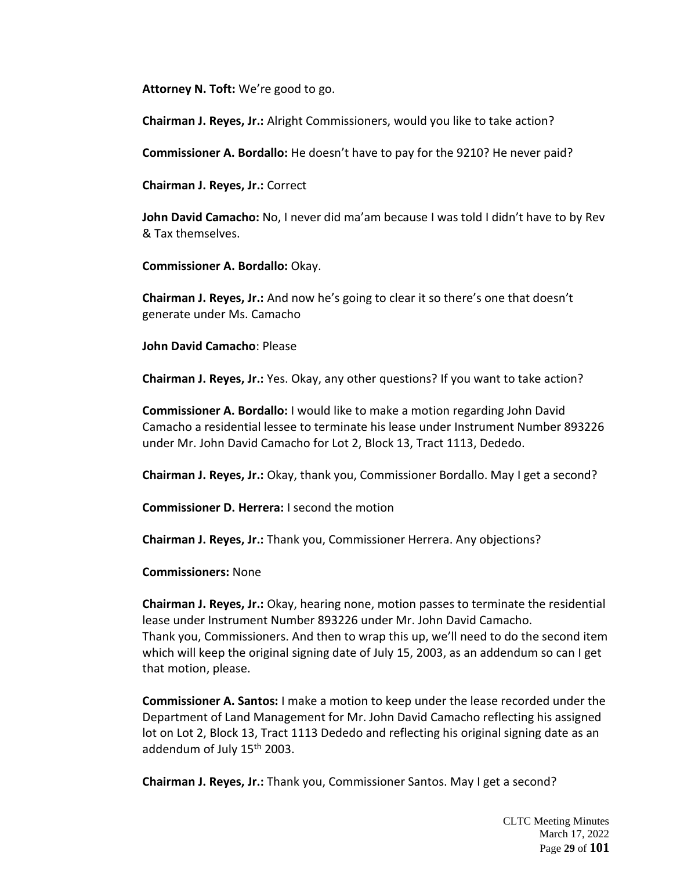**Attorney N. Toft:** We're good to go.

**Chairman J. Reyes, Jr.:** Alright Commissioners, would you like to take action?

**Commissioner A. Bordallo:** He doesn't have to pay for the 9210? He never paid?

**Chairman J. Reyes, Jr.:** Correct

**John David Camacho:** No, I never did ma'am because I was told I didn't have to by Rev & Tax themselves.

**Commissioner A. Bordallo:** Okay.

**Chairman J. Reyes, Jr.:** And now he's going to clear it so there's one that doesn't generate under Ms. Camacho

**John David Camacho**: Please

**Chairman J. Reyes, Jr.:** Yes. Okay, any other questions? If you want to take action?

**Commissioner A. Bordallo:** I would like to make a motion regarding John David Camacho a residential lessee to terminate his lease under Instrument Number 893226 under Mr. John David Camacho for Lot 2, Block 13, Tract 1113, Dededo.

**Chairman J. Reyes, Jr.:** Okay, thank you, Commissioner Bordallo. May I get a second?

**Commissioner D. Herrera:** I second the motion

**Chairman J. Reyes, Jr.:** Thank you, Commissioner Herrera. Any objections?

**Commissioners:** None

**Chairman J. Reyes, Jr.:** Okay, hearing none, motion passes to terminate the residential lease under Instrument Number 893226 under Mr. John David Camacho. Thank you, Commissioners. And then to wrap this up, we'll need to do the second item which will keep the original signing date of July 15, 2003, as an addendum so can I get that motion, please.

**Commissioner A. Santos:** I make a motion to keep under the lease recorded under the Department of Land Management for Mr. John David Camacho reflecting his assigned lot on Lot 2, Block 13, Tract 1113 Dededo and reflecting his original signing date as an addendum of July 15<sup>th</sup> 2003.

**Chairman J. Reyes, Jr.:** Thank you, Commissioner Santos. May I get a second?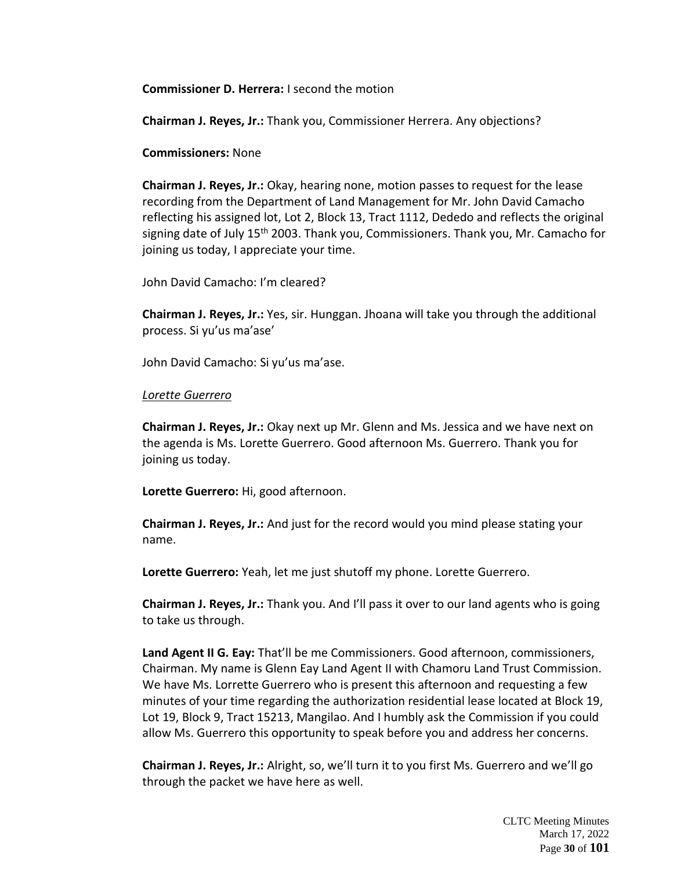**Commissioner D. Herrera:** I second the motion

**Chairman J. Reyes, Jr.:** Thank you, Commissioner Herrera. Any objections?

**Commissioners:** None

**Chairman J. Reyes, Jr.:** Okay, hearing none, motion passes to request for the lease recording from the Department of Land Management for Mr. John David Camacho reflecting his assigned lot, Lot 2, Block 13, Tract 1112, Dededo and reflects the original signing date of July  $15<sup>th</sup>$  2003. Thank you, Commissioners. Thank you, Mr. Camacho for joining us today, I appreciate your time.

John David Camacho: I'm cleared?

**Chairman J. Reyes, Jr.:** Yes, sir. Hunggan. Jhoana will take you through the additional process. Si yu'us ma'ase'

John David Camacho: Si yu'us ma'ase.

#### *Lorette Guerrero*

**Chairman J. Reyes, Jr.:** Okay next up Mr. Glenn and Ms. Jessica and we have next on the agenda is Ms. Lorette Guerrero. Good afternoon Ms. Guerrero. Thank you for joining us today.

**Lorette Guerrero:** Hi, good afternoon.

**Chairman J. Reyes, Jr.:** And just for the record would you mind please stating your name.

**Lorette Guerrero:** Yeah, let me just shutoff my phone. Lorette Guerrero.

**Chairman J. Reyes, Jr.:** Thank you. And I'll pass it over to our land agents who is going to take us through.

**Land Agent II G. Eay:** That'll be me Commissioners. Good afternoon, commissioners, Chairman. My name is Glenn Eay Land Agent II with Chamoru Land Trust Commission. We have Ms. Lorrette Guerrero who is present this afternoon and requesting a few minutes of your time regarding the authorization residential lease located at Block 19, Lot 19, Block 9, Tract 15213, Mangilao. And I humbly ask the Commission if you could allow Ms. Guerrero this opportunity to speak before you and address her concerns.

**Chairman J. Reyes, Jr.:** Alright, so, we'll turn it to you first Ms. Guerrero and we'll go through the packet we have here as well.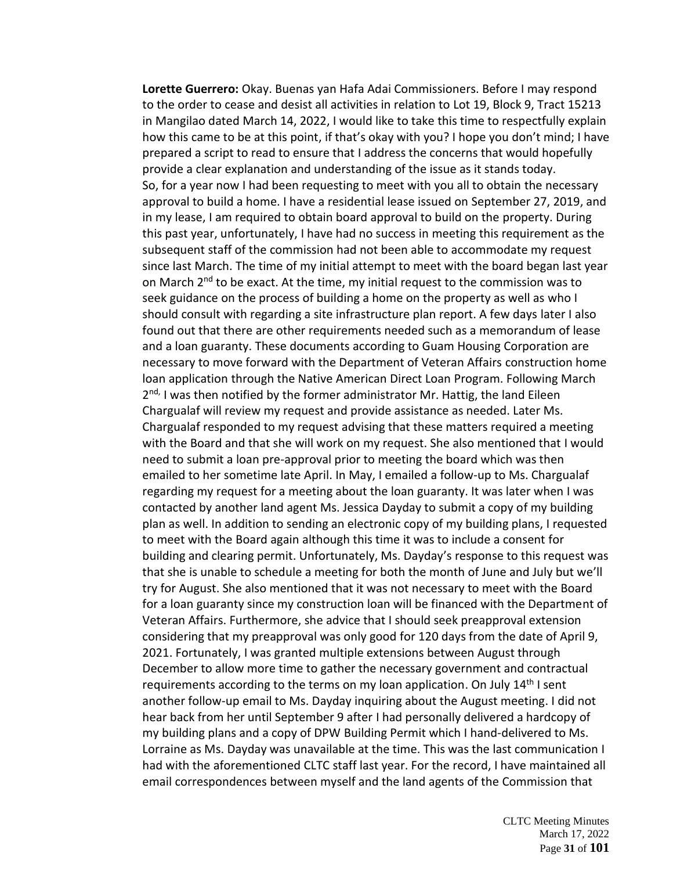**Lorette Guerrero:** Okay. Buenas yan Hafa Adai Commissioners. Before I may respond to the order to cease and desist all activities in relation to Lot 19, Block 9, Tract 15213 in Mangilao dated March 14, 2022, I would like to take this time to respectfully explain how this came to be at this point, if that's okay with you? I hope you don't mind; I have prepared a script to read to ensure that I address the concerns that would hopefully provide a clear explanation and understanding of the issue as it stands today. So, for a year now I had been requesting to meet with you all to obtain the necessary approval to build a home. I have a residential lease issued on September 27, 2019, and in my lease, I am required to obtain board approval to build on the property. During this past year, unfortunately, I have had no success in meeting this requirement as the subsequent staff of the commission had not been able to accommodate my request since last March. The time of my initial attempt to meet with the board began last year on March 2<sup>nd</sup> to be exact. At the time, my initial request to the commission was to seek guidance on the process of building a home on the property as well as who I should consult with regarding a site infrastructure plan report. A few days later I also found out that there are other requirements needed such as a memorandum of lease and a loan guaranty. These documents according to Guam Housing Corporation are necessary to move forward with the Department of Veteran Affairs construction home loan application through the Native American Direct Loan Program. Following March 2<sup>nd,</sup> I was then notified by the former administrator Mr. Hattig, the land Eileen Chargualaf will review my request and provide assistance as needed. Later Ms. Chargualaf responded to my request advising that these matters required a meeting with the Board and that she will work on my request. She also mentioned that I would need to submit a loan pre-approval prior to meeting the board which was then emailed to her sometime late April. In May, I emailed a follow-up to Ms. Chargualaf regarding my request for a meeting about the loan guaranty. It was later when I was contacted by another land agent Ms. Jessica Dayday to submit a copy of my building plan as well. In addition to sending an electronic copy of my building plans, I requested to meet with the Board again although this time it was to include a consent for building and clearing permit. Unfortunately, Ms. Dayday's response to this request was that she is unable to schedule a meeting for both the month of June and July but we'll try for August. She also mentioned that it was not necessary to meet with the Board for a loan guaranty since my construction loan will be financed with the Department of Veteran Affairs. Furthermore, she advice that I should seek preapproval extension considering that my preapproval was only good for 120 days from the date of April 9, 2021. Fortunately, I was granted multiple extensions between August through December to allow more time to gather the necessary government and contractual requirements according to the terms on my loan application. On July  $14<sup>th</sup>$  I sent another follow-up email to Ms. Dayday inquiring about the August meeting. I did not hear back from her until September 9 after I had personally delivered a hardcopy of my building plans and a copy of DPW Building Permit which I hand-delivered to Ms. Lorraine as Ms. Dayday was unavailable at the time. This was the last communication I had with the aforementioned CLTC staff last year. For the record, I have maintained all email correspondences between myself and the land agents of the Commission that

> CLTC Meeting Minutes March 17, 2022 Page **31** of **101**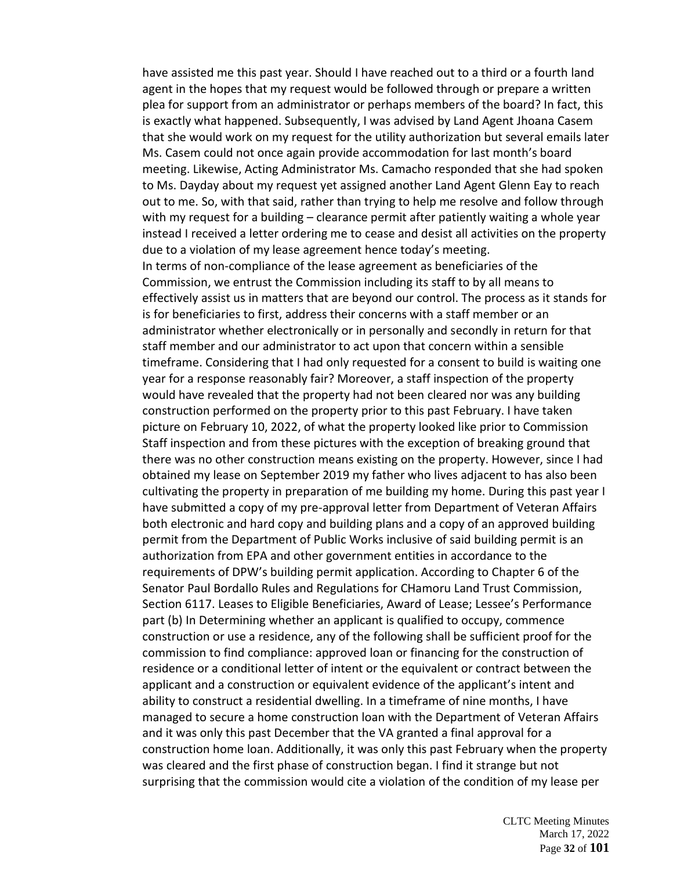have assisted me this past year. Should I have reached out to a third or a fourth land agent in the hopes that my request would be followed through or prepare a written plea for support from an administrator or perhaps members of the board? In fact, this is exactly what happened. Subsequently, I was advised by Land Agent Jhoana Casem that she would work on my request for the utility authorization but several emails later Ms. Casem could not once again provide accommodation for last month's board meeting. Likewise, Acting Administrator Ms. Camacho responded that she had spoken to Ms. Dayday about my request yet assigned another Land Agent Glenn Eay to reach out to me. So, with that said, rather than trying to help me resolve and follow through with my request for a building – clearance permit after patiently waiting a whole year instead I received a letter ordering me to cease and desist all activities on the property due to a violation of my lease agreement hence today's meeting. In terms of non-compliance of the lease agreement as beneficiaries of the Commission, we entrust the Commission including its staff to by all means to effectively assist us in matters that are beyond our control. The process as it stands for is for beneficiaries to first, address their concerns with a staff member or an administrator whether electronically or in personally and secondly in return for that staff member and our administrator to act upon that concern within a sensible timeframe. Considering that I had only requested for a consent to build is waiting one year for a response reasonably fair? Moreover, a staff inspection of the property would have revealed that the property had not been cleared nor was any building construction performed on the property prior to this past February. I have taken picture on February 10, 2022, of what the property looked like prior to Commission Staff inspection and from these pictures with the exception of breaking ground that there was no other construction means existing on the property. However, since I had obtained my lease on September 2019 my father who lives adjacent to has also been cultivating the property in preparation of me building my home. During this past year I have submitted a copy of my pre-approval letter from Department of Veteran Affairs both electronic and hard copy and building plans and a copy of an approved building permit from the Department of Public Works inclusive of said building permit is an authorization from EPA and other government entities in accordance to the requirements of DPW's building permit application. According to Chapter 6 of the Senator Paul Bordallo Rules and Regulations for CHamoru Land Trust Commission, Section 6117. Leases to Eligible Beneficiaries, Award of Lease; Lessee's Performance part (b) In Determining whether an applicant is qualified to occupy, commence construction or use a residence, any of the following shall be sufficient proof for the commission to find compliance: approved loan or financing for the construction of residence or a conditional letter of intent or the equivalent or contract between the applicant and a construction or equivalent evidence of the applicant's intent and ability to construct a residential dwelling. In a timeframe of nine months, I have managed to secure a home construction loan with the Department of Veteran Affairs and it was only this past December that the VA granted a final approval for a construction home loan. Additionally, it was only this past February when the property was cleared and the first phase of construction began. I find it strange but not surprising that the commission would cite a violation of the condition of my lease per

> CLTC Meeting Minutes March 17, 2022 Page **32** of **101**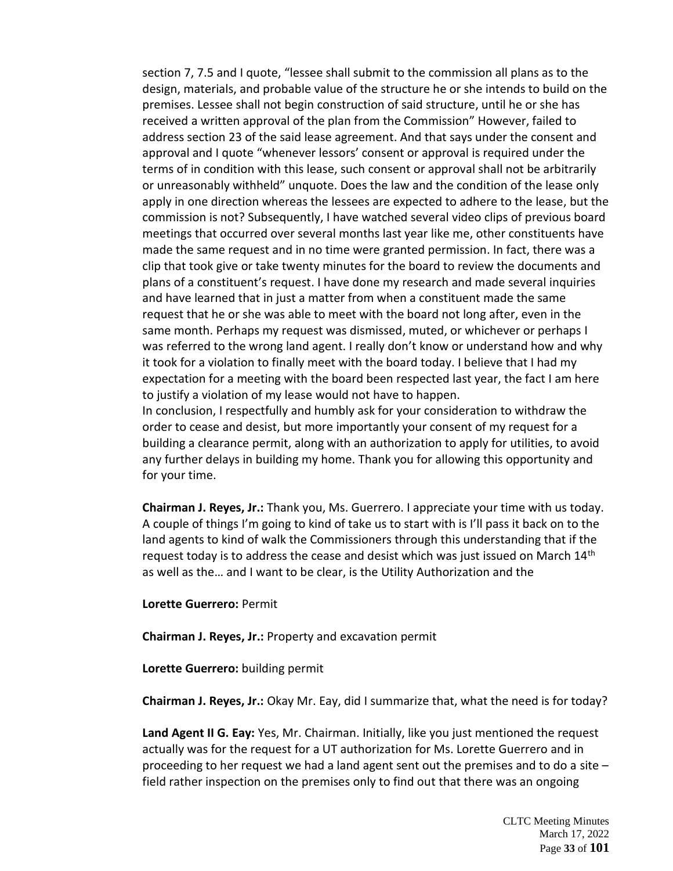section 7, 7.5 and I quote, "lessee shall submit to the commission all plans as to the design, materials, and probable value of the structure he or she intends to build on the premises. Lessee shall not begin construction of said structure, until he or she has received a written approval of the plan from the Commission" However, failed to address section 23 of the said lease agreement. And that says under the consent and approval and I quote "whenever lessors' consent or approval is required under the terms of in condition with this lease, such consent or approval shall not be arbitrarily or unreasonably withheld" unquote. Does the law and the condition of the lease only apply in one direction whereas the lessees are expected to adhere to the lease, but the commission is not? Subsequently, I have watched several video clips of previous board meetings that occurred over several months last year like me, other constituents have made the same request and in no time were granted permission. In fact, there was a clip that took give or take twenty minutes for the board to review the documents and plans of a constituent's request. I have done my research and made several inquiries and have learned that in just a matter from when a constituent made the same request that he or she was able to meet with the board not long after, even in the same month. Perhaps my request was dismissed, muted, or whichever or perhaps I was referred to the wrong land agent. I really don't know or understand how and why it took for a violation to finally meet with the board today. I believe that I had my expectation for a meeting with the board been respected last year, the fact I am here to justify a violation of my lease would not have to happen. In conclusion, I respectfully and humbly ask for your consideration to withdraw the

order to cease and desist, but more importantly your consent of my request for a building a clearance permit, along with an authorization to apply for utilities, to avoid any further delays in building my home. Thank you for allowing this opportunity and for your time.

**Chairman J. Reyes, Jr.:** Thank you, Ms. Guerrero. I appreciate your time with us today. A couple of things I'm going to kind of take us to start with is I'll pass it back on to the land agents to kind of walk the Commissioners through this understanding that if the request today is to address the cease and desist which was just issued on March 14<sup>th</sup> as well as the… and I want to be clear, is the Utility Authorization and the

#### **Lorette Guerrero:** Permit

**Chairman J. Reyes, Jr.:** Property and excavation permit

**Lorette Guerrero:** building permit

**Chairman J. Reyes, Jr.:** Okay Mr. Eay, did I summarize that, what the need is for today?

**Land Agent II G. Eay:** Yes, Mr. Chairman. Initially, like you just mentioned the request actually was for the request for a UT authorization for Ms. Lorette Guerrero and in proceeding to her request we had a land agent sent out the premises and to do a site – field rather inspection on the premises only to find out that there was an ongoing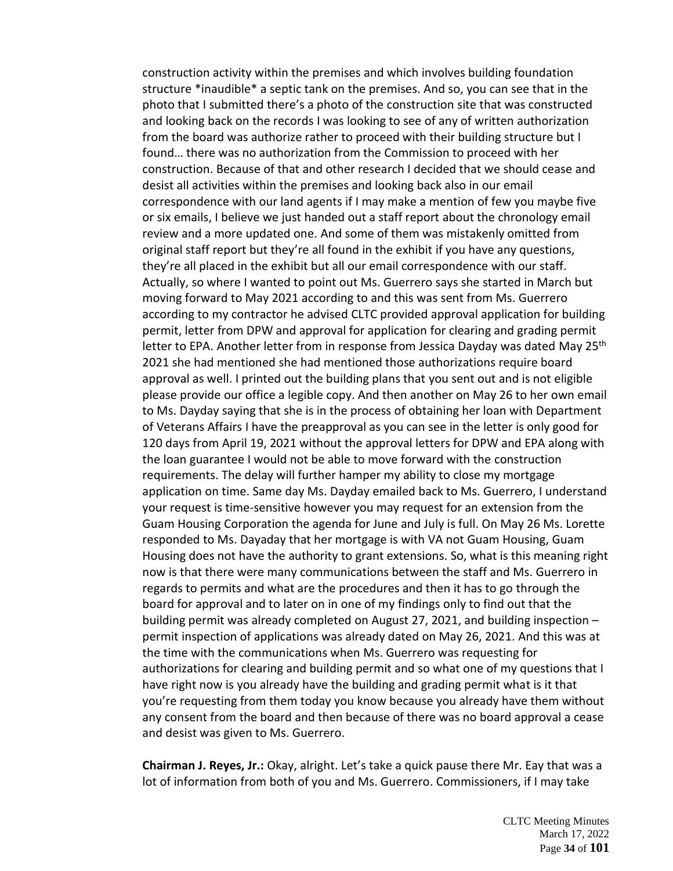construction activity within the premises and which involves building foundation structure \*inaudible\* a septic tank on the premises. And so, you can see that in the photo that I submitted there's a photo of the construction site that was constructed and looking back on the records I was looking to see of any of written authorization from the board was authorize rather to proceed with their building structure but I found… there was no authorization from the Commission to proceed with her construction. Because of that and other research I decided that we should cease and desist all activities within the premises and looking back also in our email correspondence with our land agents if I may make a mention of few you maybe five or six emails, I believe we just handed out a staff report about the chronology email review and a more updated one. And some of them was mistakenly omitted from original staff report but they're all found in the exhibit if you have any questions, they're all placed in the exhibit but all our email correspondence with our staff. Actually, so where I wanted to point out Ms. Guerrero says she started in March but moving forward to May 2021 according to and this was sent from Ms. Guerrero according to my contractor he advised CLTC provided approval application for building permit, letter from DPW and approval for application for clearing and grading permit letter to EPA. Another letter from in response from Jessica Dayday was dated May 25<sup>th</sup> 2021 she had mentioned she had mentioned those authorizations require board approval as well. I printed out the building plans that you sent out and is not eligible please provide our office a legible copy. And then another on May 26 to her own email to Ms. Dayday saying that she is in the process of obtaining her loan with Department of Veterans Affairs I have the preapproval as you can see in the letter is only good for 120 days from April 19, 2021 without the approval letters for DPW and EPA along with the loan guarantee I would not be able to move forward with the construction requirements. The delay will further hamper my ability to close my mortgage application on time. Same day Ms. Dayday emailed back to Ms. Guerrero, I understand your request is time-sensitive however you may request for an extension from the Guam Housing Corporation the agenda for June and July is full. On May 26 Ms. Lorette responded to Ms. Dayaday that her mortgage is with VA not Guam Housing, Guam Housing does not have the authority to grant extensions. So, what is this meaning right now is that there were many communications between the staff and Ms. Guerrero in regards to permits and what are the procedures and then it has to go through the board for approval and to later on in one of my findings only to find out that the building permit was already completed on August 27, 2021, and building inspection – permit inspection of applications was already dated on May 26, 2021. And this was at the time with the communications when Ms. Guerrero was requesting for authorizations for clearing and building permit and so what one of my questions that I have right now is you already have the building and grading permit what is it that you're requesting from them today you know because you already have them without any consent from the board and then because of there was no board approval a cease and desist was given to Ms. Guerrero.

**Chairman J. Reyes, Jr.:** Okay, alright. Let's take a quick pause there Mr. Eay that was a lot of information from both of you and Ms. Guerrero. Commissioners, if I may take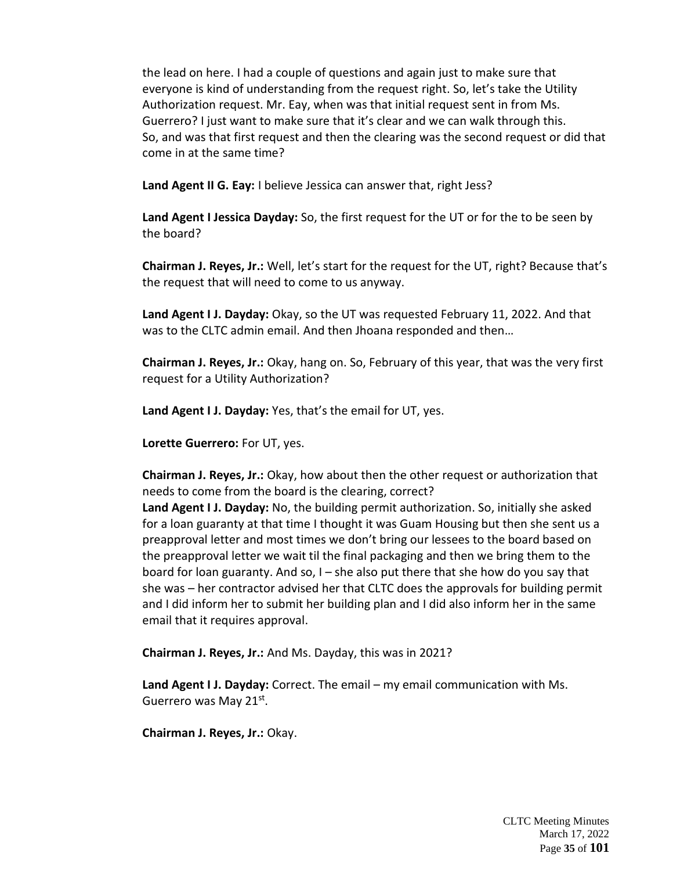the lead on here. I had a couple of questions and again just to make sure that everyone is kind of understanding from the request right. So, let's take the Utility Authorization request. Mr. Eay, when was that initial request sent in from Ms. Guerrero? I just want to make sure that it's clear and we can walk through this. So, and was that first request and then the clearing was the second request or did that come in at the same time?

**Land Agent II G. Eay:** I believe Jessica can answer that, right Jess?

**Land Agent I Jessica Dayday:** So, the first request for the UT or for the to be seen by the board?

**Chairman J. Reyes, Jr.:** Well, let's start for the request for the UT, right? Because that's the request that will need to come to us anyway.

**Land Agent I J. Dayday:** Okay, so the UT was requested February 11, 2022. And that was to the CLTC admin email. And then Jhoana responded and then…

**Chairman J. Reyes, Jr.:** Okay, hang on. So, February of this year, that was the very first request for a Utility Authorization?

**Land Agent I J. Dayday:** Yes, that's the email for UT, yes.

**Lorette Guerrero:** For UT, yes.

**Chairman J. Reyes, Jr.:** Okay, how about then the other request or authorization that needs to come from the board is the clearing, correct?

**Land Agent I J. Dayday:** No, the building permit authorization. So, initially she asked for a loan guaranty at that time I thought it was Guam Housing but then she sent us a preapproval letter and most times we don't bring our lessees to the board based on the preapproval letter we wait til the final packaging and then we bring them to the board for loan guaranty. And so, I – she also put there that she how do you say that she was – her contractor advised her that CLTC does the approvals for building permit and I did inform her to submit her building plan and I did also inform her in the same email that it requires approval.

**Chairman J. Reyes, Jr.:** And Ms. Dayday, this was in 2021?

**Land Agent I J. Dayday:** Correct. The email – my email communication with Ms. Guerrero was May 21st.

**Chairman J. Reyes, Jr.:** Okay.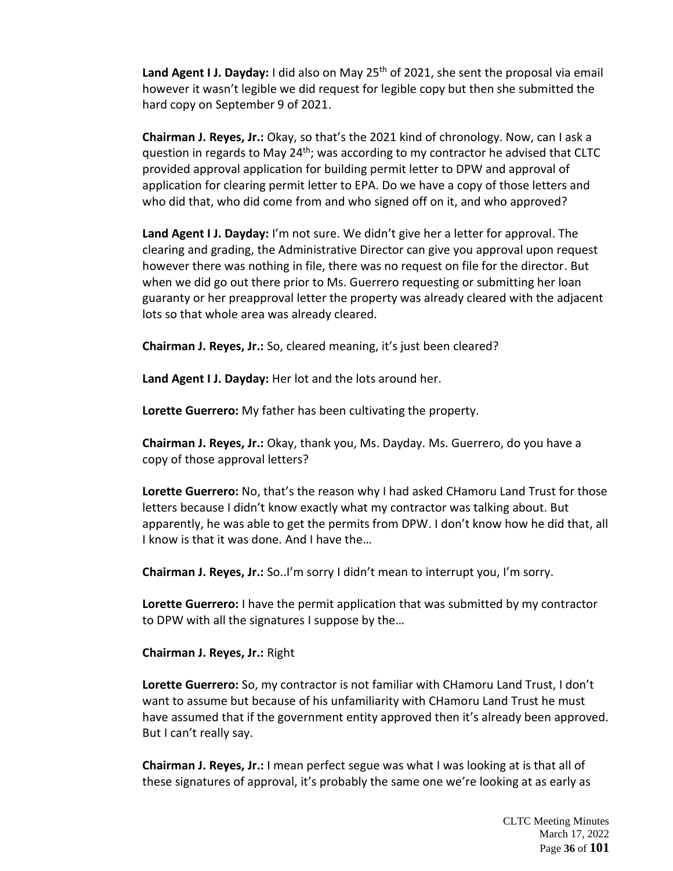Land Agent I J. Dayday: I did also on May 25<sup>th</sup> of 2021, she sent the proposal via email however it wasn't legible we did request for legible copy but then she submitted the hard copy on September 9 of 2021.

**Chairman J. Reyes, Jr.:** Okay, so that's the 2021 kind of chronology. Now, can I ask a question in regards to May 24<sup>th</sup>; was according to my contractor he advised that CLTC provided approval application for building permit letter to DPW and approval of application for clearing permit letter to EPA. Do we have a copy of those letters and who did that, who did come from and who signed off on it, and who approved?

**Land Agent I J. Dayday:** I'm not sure. We didn't give her a letter for approval. The clearing and grading, the Administrative Director can give you approval upon request however there was nothing in file, there was no request on file for the director. But when we did go out there prior to Ms. Guerrero requesting or submitting her loan guaranty or her preapproval letter the property was already cleared with the adjacent lots so that whole area was already cleared.

**Chairman J. Reyes, Jr.:** So, cleared meaning, it's just been cleared?

**Land Agent I J. Dayday:** Her lot and the lots around her.

**Lorette Guerrero:** My father has been cultivating the property.

**Chairman J. Reyes, Jr.:** Okay, thank you, Ms. Dayday. Ms. Guerrero, do you have a copy of those approval letters?

**Lorette Guerrero:** No, that's the reason why I had asked CHamoru Land Trust for those letters because I didn't know exactly what my contractor was talking about. But apparently, he was able to get the permits from DPW. I don't know how he did that, all I know is that it was done. And I have the…

**Chairman J. Reyes, Jr.:** So..I'm sorry I didn't mean to interrupt you, I'm sorry.

**Lorette Guerrero:** I have the permit application that was submitted by my contractor to DPW with all the signatures I suppose by the…

**Chairman J. Reyes, Jr.:** Right

**Lorette Guerrero:** So, my contractor is not familiar with CHamoru Land Trust, I don't want to assume but because of his unfamiliarity with CHamoru Land Trust he must have assumed that if the government entity approved then it's already been approved. But I can't really say.

**Chairman J. Reyes, Jr.:** I mean perfect segue was what I was looking at is that all of these signatures of approval, it's probably the same one we're looking at as early as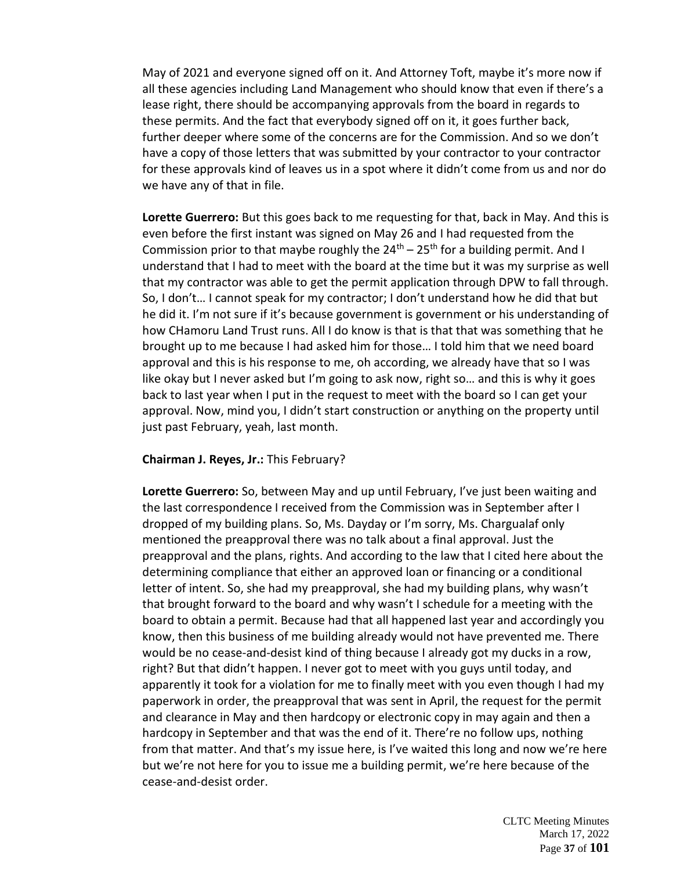May of 2021 and everyone signed off on it. And Attorney Toft, maybe it's more now if all these agencies including Land Management who should know that even if there's a lease right, there should be accompanying approvals from the board in regards to these permits. And the fact that everybody signed off on it, it goes further back, further deeper where some of the concerns are for the Commission. And so we don't have a copy of those letters that was submitted by your contractor to your contractor for these approvals kind of leaves us in a spot where it didn't come from us and nor do we have any of that in file.

**Lorette Guerrero:** But this goes back to me requesting for that, back in May. And this is even before the first instant was signed on May 26 and I had requested from the Commission prior to that maybe roughly the  $24^{\text{th}} - 25^{\text{th}}$  for a building permit. And I understand that I had to meet with the board at the time but it was my surprise as well that my contractor was able to get the permit application through DPW to fall through. So, I don't… I cannot speak for my contractor; I don't understand how he did that but he did it. I'm not sure if it's because government is government or his understanding of how CHamoru Land Trust runs. All I do know is that is that that was something that he brought up to me because I had asked him for those… I told him that we need board approval and this is his response to me, oh according, we already have that so I was like okay but I never asked but I'm going to ask now, right so… and this is why it goes back to last year when I put in the request to meet with the board so I can get your approval. Now, mind you, I didn't start construction or anything on the property until just past February, yeah, last month.

## **Chairman J. Reyes, Jr.:** This February?

**Lorette Guerrero:** So, between May and up until February, I've just been waiting and the last correspondence I received from the Commission was in September after I dropped of my building plans. So, Ms. Dayday or I'm sorry, Ms. Chargualaf only mentioned the preapproval there was no talk about a final approval. Just the preapproval and the plans, rights. And according to the law that I cited here about the determining compliance that either an approved loan or financing or a conditional letter of intent. So, she had my preapproval, she had my building plans, why wasn't that brought forward to the board and why wasn't I schedule for a meeting with the board to obtain a permit. Because had that all happened last year and accordingly you know, then this business of me building already would not have prevented me. There would be no cease-and-desist kind of thing because I already got my ducks in a row, right? But that didn't happen. I never got to meet with you guys until today, and apparently it took for a violation for me to finally meet with you even though I had my paperwork in order, the preapproval that was sent in April, the request for the permit and clearance in May and then hardcopy or electronic copy in may again and then a hardcopy in September and that was the end of it. There're no follow ups, nothing from that matter. And that's my issue here, is I've waited this long and now we're here but we're not here for you to issue me a building permit, we're here because of the cease-and-desist order.

> CLTC Meeting Minutes March 17, 2022 Page **37** of **101**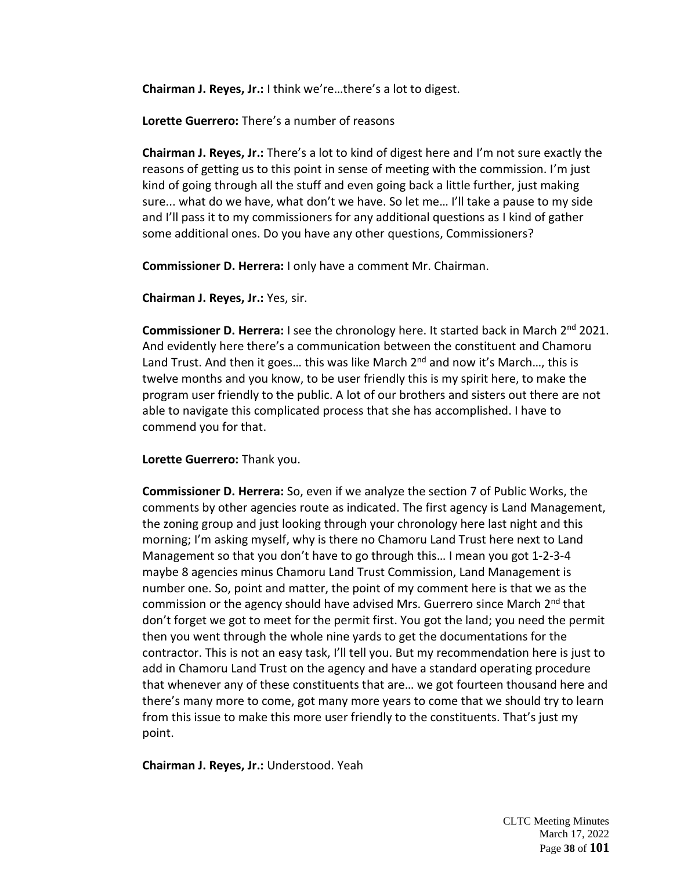**Chairman J. Reyes, Jr.:** I think we're…there's a lot to digest.

**Lorette Guerrero:** There's a number of reasons

**Chairman J. Reyes, Jr.:** There's a lot to kind of digest here and I'm not sure exactly the reasons of getting us to this point in sense of meeting with the commission. I'm just kind of going through all the stuff and even going back a little further, just making sure... what do we have, what don't we have. So let me… I'll take a pause to my side and I'll pass it to my commissioners for any additional questions as I kind of gather some additional ones. Do you have any other questions, Commissioners?

**Commissioner D. Herrera:** I only have a comment Mr. Chairman.

**Chairman J. Reyes, Jr.:** Yes, sir.

**Commissioner D. Herrera:** I see the chronology here. It started back in March 2<sup>nd</sup> 2021. And evidently here there's a communication between the constituent and Chamoru Land Trust. And then it goes... this was like March  $2^{nd}$  and now it's March..., this is twelve months and you know, to be user friendly this is my spirit here, to make the program user friendly to the public. A lot of our brothers and sisters out there are not able to navigate this complicated process that she has accomplished. I have to commend you for that.

**Lorette Guerrero:** Thank you.

**Commissioner D. Herrera:** So, even if we analyze the section 7 of Public Works, the comments by other agencies route as indicated. The first agency is Land Management, the zoning group and just looking through your chronology here last night and this morning; I'm asking myself, why is there no Chamoru Land Trust here next to Land Management so that you don't have to go through this… I mean you got 1-2-3-4 maybe 8 agencies minus Chamoru Land Trust Commission, Land Management is number one. So, point and matter, the point of my comment here is that we as the commission or the agency should have advised Mrs. Guerrero since March 2<sup>nd</sup> that don't forget we got to meet for the permit first. You got the land; you need the permit then you went through the whole nine yards to get the documentations for the contractor. This is not an easy task, I'll tell you. But my recommendation here is just to add in Chamoru Land Trust on the agency and have a standard operating procedure that whenever any of these constituents that are… we got fourteen thousand here and there's many more to come, got many more years to come that we should try to learn from this issue to make this more user friendly to the constituents. That's just my point.

**Chairman J. Reyes, Jr.:** Understood. Yeah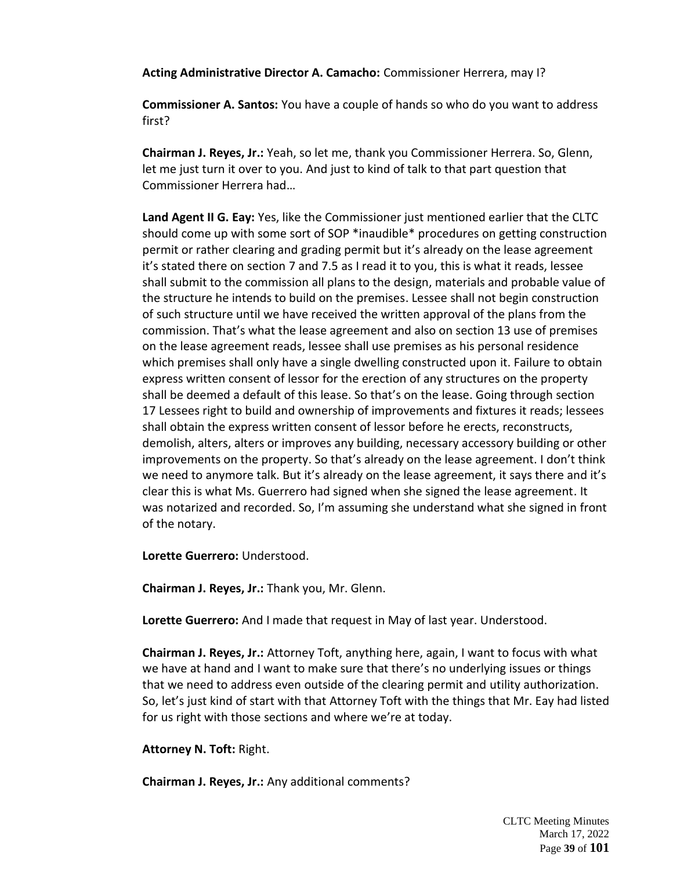**Acting Administrative Director A. Camacho:** Commissioner Herrera, may I?

**Commissioner A. Santos:** You have a couple of hands so who do you want to address first?

**Chairman J. Reyes, Jr.:** Yeah, so let me, thank you Commissioner Herrera. So, Glenn, let me just turn it over to you. And just to kind of talk to that part question that Commissioner Herrera had…

**Land Agent II G. Eay:** Yes, like the Commissioner just mentioned earlier that the CLTC should come up with some sort of SOP \*inaudible\* procedures on getting construction permit or rather clearing and grading permit but it's already on the lease agreement it's stated there on section 7 and 7.5 as I read it to you, this is what it reads, lessee shall submit to the commission all plans to the design, materials and probable value of the structure he intends to build on the premises. Lessee shall not begin construction of such structure until we have received the written approval of the plans from the commission. That's what the lease agreement and also on section 13 use of premises on the lease agreement reads, lessee shall use premises as his personal residence which premises shall only have a single dwelling constructed upon it. Failure to obtain express written consent of lessor for the erection of any structures on the property shall be deemed a default of this lease. So that's on the lease. Going through section 17 Lessees right to build and ownership of improvements and fixtures it reads; lessees shall obtain the express written consent of lessor before he erects, reconstructs, demolish, alters, alters or improves any building, necessary accessory building or other improvements on the property. So that's already on the lease agreement. I don't think we need to anymore talk. But it's already on the lease agreement, it says there and it's clear this is what Ms. Guerrero had signed when she signed the lease agreement. It was notarized and recorded. So, I'm assuming she understand what she signed in front of the notary.

**Lorette Guerrero:** Understood.

**Chairman J. Reyes, Jr.:** Thank you, Mr. Glenn.

**Lorette Guerrero:** And I made that request in May of last year. Understood.

**Chairman J. Reyes, Jr.:** Attorney Toft, anything here, again, I want to focus with what we have at hand and I want to make sure that there's no underlying issues or things that we need to address even outside of the clearing permit and utility authorization. So, let's just kind of start with that Attorney Toft with the things that Mr. Eay had listed for us right with those sections and where we're at today.

**Attorney N. Toft:** Right.

**Chairman J. Reyes, Jr.:** Any additional comments?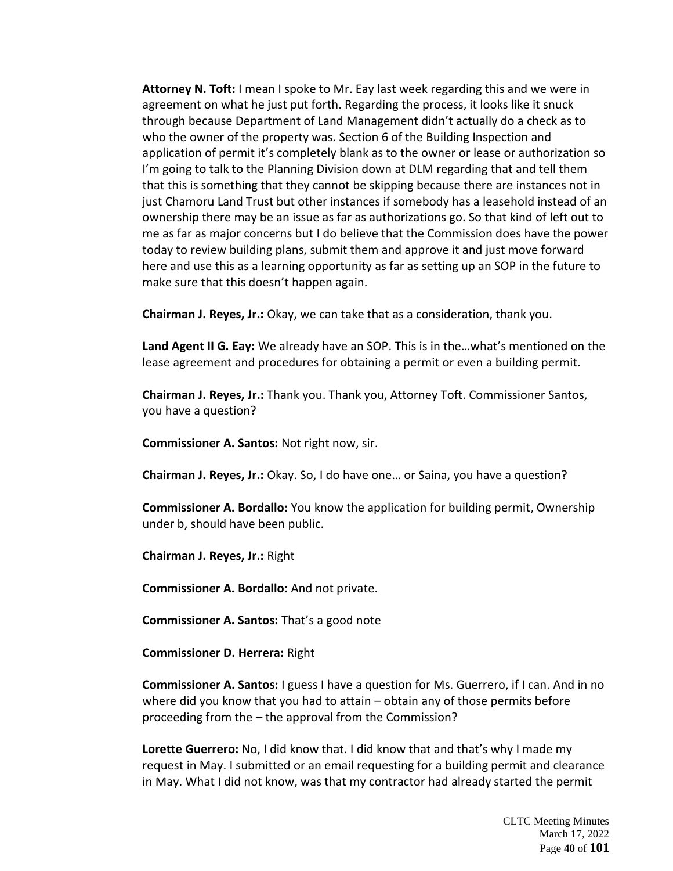**Attorney N. Toft:** I mean I spoke to Mr. Eay last week regarding this and we were in agreement on what he just put forth. Regarding the process, it looks like it snuck through because Department of Land Management didn't actually do a check as to who the owner of the property was. Section 6 of the Building Inspection and application of permit it's completely blank as to the owner or lease or authorization so I'm going to talk to the Planning Division down at DLM regarding that and tell them that this is something that they cannot be skipping because there are instances not in just Chamoru Land Trust but other instances if somebody has a leasehold instead of an ownership there may be an issue as far as authorizations go. So that kind of left out to me as far as major concerns but I do believe that the Commission does have the power today to review building plans, submit them and approve it and just move forward here and use this as a learning opportunity as far as setting up an SOP in the future to make sure that this doesn't happen again.

**Chairman J. Reyes, Jr.:** Okay, we can take that as a consideration, thank you.

**Land Agent II G. Eay:** We already have an SOP. This is in the…what's mentioned on the lease agreement and procedures for obtaining a permit or even a building permit.

**Chairman J. Reyes, Jr.:** Thank you. Thank you, Attorney Toft. Commissioner Santos, you have a question?

**Commissioner A. Santos:** Not right now, sir.

**Chairman J. Reyes, Jr.:** Okay. So, I do have one… or Saina, you have a question?

**Commissioner A. Bordallo:** You know the application for building permit, Ownership under b, should have been public.

**Chairman J. Reyes, Jr.:** Right

**Commissioner A. Bordallo:** And not private.

**Commissioner A. Santos:** That's a good note

**Commissioner D. Herrera:** Right

**Commissioner A. Santos:** I guess I have a question for Ms. Guerrero, if I can. And in no where did you know that you had to attain – obtain any of those permits before proceeding from the – the approval from the Commission?

**Lorette Guerrero:** No, I did know that. I did know that and that's why I made my request in May. I submitted or an email requesting for a building permit and clearance in May. What I did not know, was that my contractor had already started the permit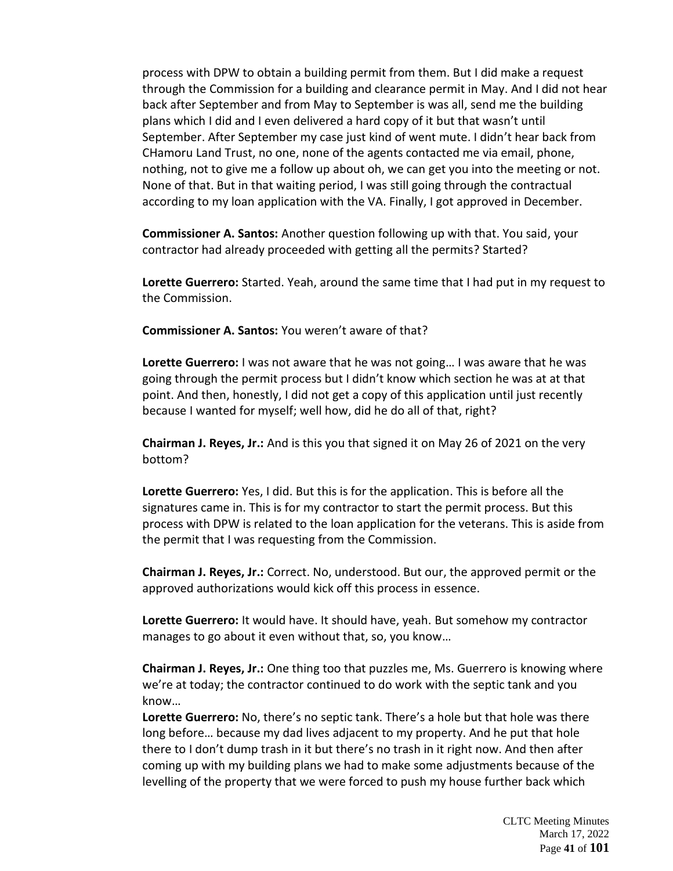process with DPW to obtain a building permit from them. But I did make a request through the Commission for a building and clearance permit in May. And I did not hear back after September and from May to September is was all, send me the building plans which I did and I even delivered a hard copy of it but that wasn't until September. After September my case just kind of went mute. I didn't hear back from CHamoru Land Trust, no one, none of the agents contacted me via email, phone, nothing, not to give me a follow up about oh, we can get you into the meeting or not. None of that. But in that waiting period, I was still going through the contractual according to my loan application with the VA. Finally, I got approved in December.

**Commissioner A. Santos:** Another question following up with that. You said, your contractor had already proceeded with getting all the permits? Started?

**Lorette Guerrero:** Started. Yeah, around the same time that I had put in my request to the Commission.

**Commissioner A. Santos:** You weren't aware of that?

**Lorette Guerrero:** I was not aware that he was not going… I was aware that he was going through the permit process but I didn't know which section he was at at that point. And then, honestly, I did not get a copy of this application until just recently because I wanted for myself; well how, did he do all of that, right?

**Chairman J. Reyes, Jr.:** And is this you that signed it on May 26 of 2021 on the very bottom?

**Lorette Guerrero:** Yes, I did. But this is for the application. This is before all the signatures came in. This is for my contractor to start the permit process. But this process with DPW is related to the loan application for the veterans. This is aside from the permit that I was requesting from the Commission.

**Chairman J. Reyes, Jr.:** Correct. No, understood. But our, the approved permit or the approved authorizations would kick off this process in essence.

**Lorette Guerrero:** It would have. It should have, yeah. But somehow my contractor manages to go about it even without that, so, you know…

**Chairman J. Reyes, Jr.:** One thing too that puzzles me, Ms. Guerrero is knowing where we're at today; the contractor continued to do work with the septic tank and you know…

**Lorette Guerrero:** No, there's no septic tank. There's a hole but that hole was there long before… because my dad lives adjacent to my property. And he put that hole there to I don't dump trash in it but there's no trash in it right now. And then after coming up with my building plans we had to make some adjustments because of the levelling of the property that we were forced to push my house further back which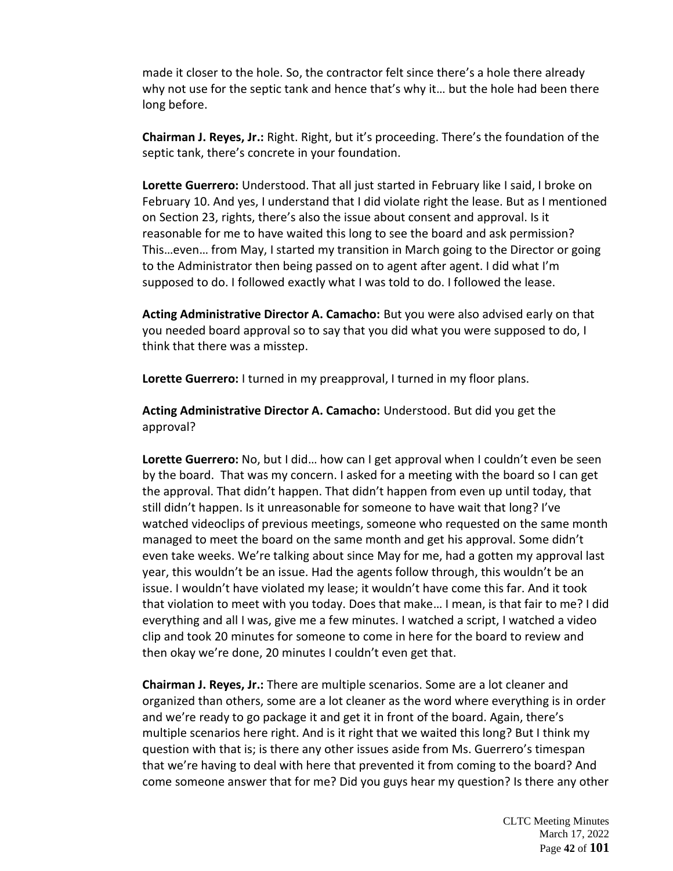made it closer to the hole. So, the contractor felt since there's a hole there already why not use for the septic tank and hence that's why it… but the hole had been there long before.

**Chairman J. Reyes, Jr.:** Right. Right, but it's proceeding. There's the foundation of the septic tank, there's concrete in your foundation.

**Lorette Guerrero:** Understood. That all just started in February like I said, I broke on February 10. And yes, I understand that I did violate right the lease. But as I mentioned on Section 23, rights, there's also the issue about consent and approval. Is it reasonable for me to have waited this long to see the board and ask permission? This…even… from May, I started my transition in March going to the Director or going to the Administrator then being passed on to agent after agent. I did what I'm supposed to do. I followed exactly what I was told to do. I followed the lease.

**Acting Administrative Director A. Camacho:** But you were also advised early on that you needed board approval so to say that you did what you were supposed to do, I think that there was a misstep.

**Lorette Guerrero:** I turned in my preapproval, I turned in my floor plans.

**Acting Administrative Director A. Camacho:** Understood. But did you get the approval?

**Lorette Guerrero:** No, but I did… how can I get approval when I couldn't even be seen by the board. That was my concern. I asked for a meeting with the board so I can get the approval. That didn't happen. That didn't happen from even up until today, that still didn't happen. Is it unreasonable for someone to have wait that long? I've watched videoclips of previous meetings, someone who requested on the same month managed to meet the board on the same month and get his approval. Some didn't even take weeks. We're talking about since May for me, had a gotten my approval last year, this wouldn't be an issue. Had the agents follow through, this wouldn't be an issue. I wouldn't have violated my lease; it wouldn't have come this far. And it took that violation to meet with you today. Does that make… I mean, is that fair to me? I did everything and all I was, give me a few minutes. I watched a script, I watched a video clip and took 20 minutes for someone to come in here for the board to review and then okay we're done, 20 minutes I couldn't even get that.

**Chairman J. Reyes, Jr.:** There are multiple scenarios. Some are a lot cleaner and organized than others, some are a lot cleaner as the word where everything is in order and we're ready to go package it and get it in front of the board. Again, there's multiple scenarios here right. And is it right that we waited this long? But I think my question with that is; is there any other issues aside from Ms. Guerrero's timespan that we're having to deal with here that prevented it from coming to the board? And come someone answer that for me? Did you guys hear my question? Is there any other

> CLTC Meeting Minutes March 17, 2022 Page **42** of **101**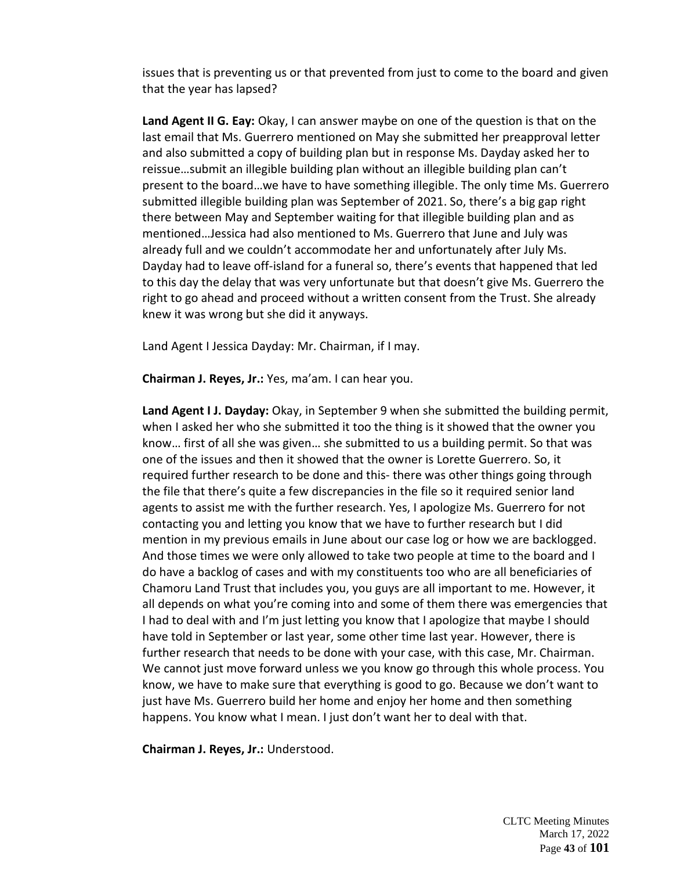issues that is preventing us or that prevented from just to come to the board and given that the year has lapsed?

**Land Agent II G. Eay:** Okay, I can answer maybe on one of the question is that on the last email that Ms. Guerrero mentioned on May she submitted her preapproval letter and also submitted a copy of building plan but in response Ms. Dayday asked her to reissue…submit an illegible building plan without an illegible building plan can't present to the board…we have to have something illegible. The only time Ms. Guerrero submitted illegible building plan was September of 2021. So, there's a big gap right there between May and September waiting for that illegible building plan and as mentioned…Jessica had also mentioned to Ms. Guerrero that June and July was already full and we couldn't accommodate her and unfortunately after July Ms. Dayday had to leave off-island for a funeral so, there's events that happened that led to this day the delay that was very unfortunate but that doesn't give Ms. Guerrero the right to go ahead and proceed without a written consent from the Trust. She already knew it was wrong but she did it anyways.

Land Agent I Jessica Dayday: Mr. Chairman, if I may.

**Chairman J. Reyes, Jr.:** Yes, ma'am. I can hear you.

**Land Agent I J. Dayday:** Okay, in September 9 when she submitted the building permit, when I asked her who she submitted it too the thing is it showed that the owner you know… first of all she was given… she submitted to us a building permit. So that was one of the issues and then it showed that the owner is Lorette Guerrero. So, it required further research to be done and this- there was other things going through the file that there's quite a few discrepancies in the file so it required senior land agents to assist me with the further research. Yes, I apologize Ms. Guerrero for not contacting you and letting you know that we have to further research but I did mention in my previous emails in June about our case log or how we are backlogged. And those times we were only allowed to take two people at time to the board and I do have a backlog of cases and with my constituents too who are all beneficiaries of Chamoru Land Trust that includes you, you guys are all important to me. However, it all depends on what you're coming into and some of them there was emergencies that I had to deal with and I'm just letting you know that I apologize that maybe I should have told in September or last year, some other time last year. However, there is further research that needs to be done with your case, with this case, Mr. Chairman. We cannot just move forward unless we you know go through this whole process. You know, we have to make sure that everything is good to go. Because we don't want to just have Ms. Guerrero build her home and enjoy her home and then something happens. You know what I mean. I just don't want her to deal with that.

**Chairman J. Reyes, Jr.:** Understood.

CLTC Meeting Minutes March 17, 2022 Page **43** of **101**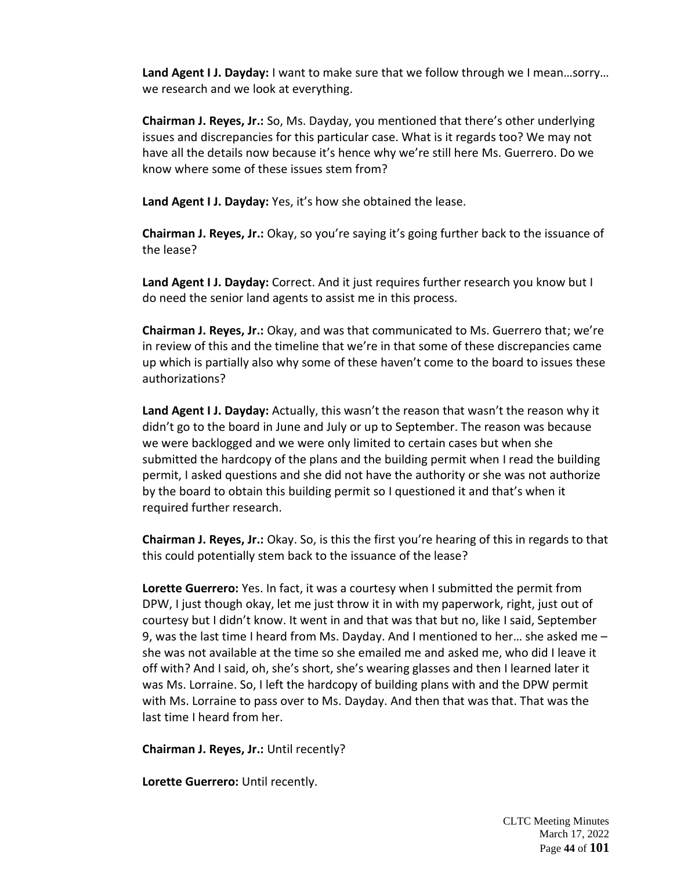**Land Agent I J. Dayday:** I want to make sure that we follow through we I mean…sorry… we research and we look at everything.

**Chairman J. Reyes, Jr.:** So, Ms. Dayday, you mentioned that there's other underlying issues and discrepancies for this particular case. What is it regards too? We may not have all the details now because it's hence why we're still here Ms. Guerrero. Do we know where some of these issues stem from?

**Land Agent I J. Dayday:** Yes, it's how she obtained the lease.

**Chairman J. Reyes, Jr.:** Okay, so you're saying it's going further back to the issuance of the lease?

**Land Agent I J. Dayday:** Correct. And it just requires further research you know but I do need the senior land agents to assist me in this process.

**Chairman J. Reyes, Jr.:** Okay, and was that communicated to Ms. Guerrero that; we're in review of this and the timeline that we're in that some of these discrepancies came up which is partially also why some of these haven't come to the board to issues these authorizations?

**Land Agent I J. Dayday:** Actually, this wasn't the reason that wasn't the reason why it didn't go to the board in June and July or up to September. The reason was because we were backlogged and we were only limited to certain cases but when she submitted the hardcopy of the plans and the building permit when I read the building permit, I asked questions and she did not have the authority or she was not authorize by the board to obtain this building permit so I questioned it and that's when it required further research.

**Chairman J. Reyes, Jr.:** Okay. So, is this the first you're hearing of this in regards to that this could potentially stem back to the issuance of the lease?

**Lorette Guerrero:** Yes. In fact, it was a courtesy when I submitted the permit from DPW, I just though okay, let me just throw it in with my paperwork, right, just out of courtesy but I didn't know. It went in and that was that but no, like I said, September 9, was the last time I heard from Ms. Dayday. And I mentioned to her… she asked me – she was not available at the time so she emailed me and asked me, who did I leave it off with? And I said, oh, she's short, she's wearing glasses and then I learned later it was Ms. Lorraine. So, I left the hardcopy of building plans with and the DPW permit with Ms. Lorraine to pass over to Ms. Dayday. And then that was that. That was the last time I heard from her.

**Chairman J. Reyes, Jr.:** Until recently?

**Lorette Guerrero:** Until recently.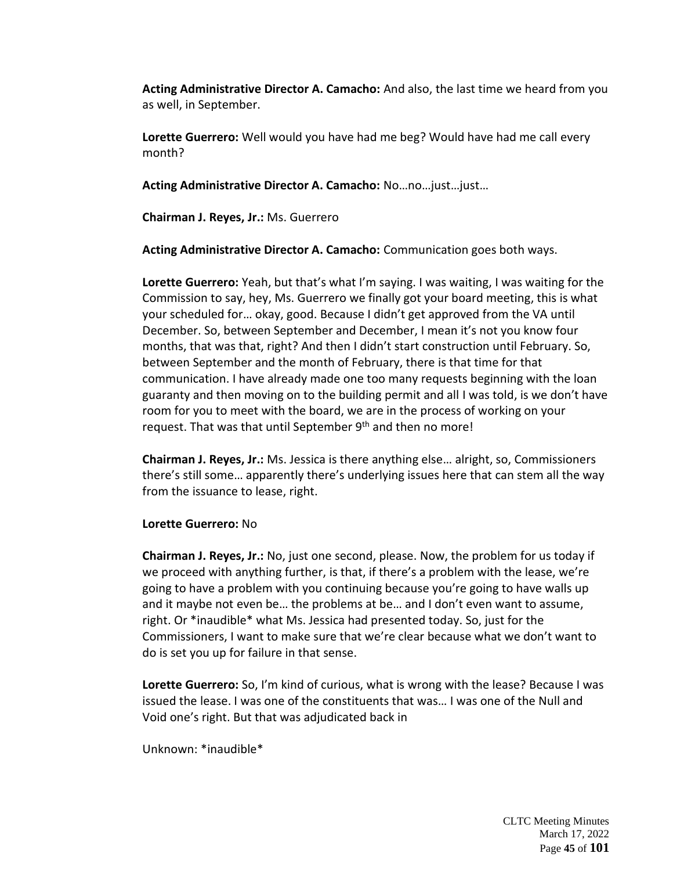**Acting Administrative Director A. Camacho:** And also, the last time we heard from you as well, in September.

**Lorette Guerrero:** Well would you have had me beg? Would have had me call every month?

**Acting Administrative Director A. Camacho:** No…no…just…just…

**Chairman J. Reyes, Jr.:** Ms. Guerrero

**Acting Administrative Director A. Camacho:** Communication goes both ways.

**Lorette Guerrero:** Yeah, but that's what I'm saying. I was waiting, I was waiting for the Commission to say, hey, Ms. Guerrero we finally got your board meeting, this is what your scheduled for… okay, good. Because I didn't get approved from the VA until December. So, between September and December, I mean it's not you know four months, that was that, right? And then I didn't start construction until February. So, between September and the month of February, there is that time for that communication. I have already made one too many requests beginning with the loan guaranty and then moving on to the building permit and all I was told, is we don't have room for you to meet with the board, we are in the process of working on your request. That was that until September 9<sup>th</sup> and then no more!

**Chairman J. Reyes, Jr.:** Ms. Jessica is there anything else… alright, so, Commissioners there's still some… apparently there's underlying issues here that can stem all the way from the issuance to lease, right.

#### **Lorette Guerrero:** No

**Chairman J. Reyes, Jr.:** No, just one second, please. Now, the problem for us today if we proceed with anything further, is that, if there's a problem with the lease, we're going to have a problem with you continuing because you're going to have walls up and it maybe not even be… the problems at be… and I don't even want to assume, right. Or \*inaudible\* what Ms. Jessica had presented today. So, just for the Commissioners, I want to make sure that we're clear because what we don't want to do is set you up for failure in that sense.

**Lorette Guerrero:** So, I'm kind of curious, what is wrong with the lease? Because I was issued the lease. I was one of the constituents that was… I was one of the Null and Void one's right. But that was adjudicated back in

Unknown: \*inaudible\*

CLTC Meeting Minutes March 17, 2022 Page **45** of **101**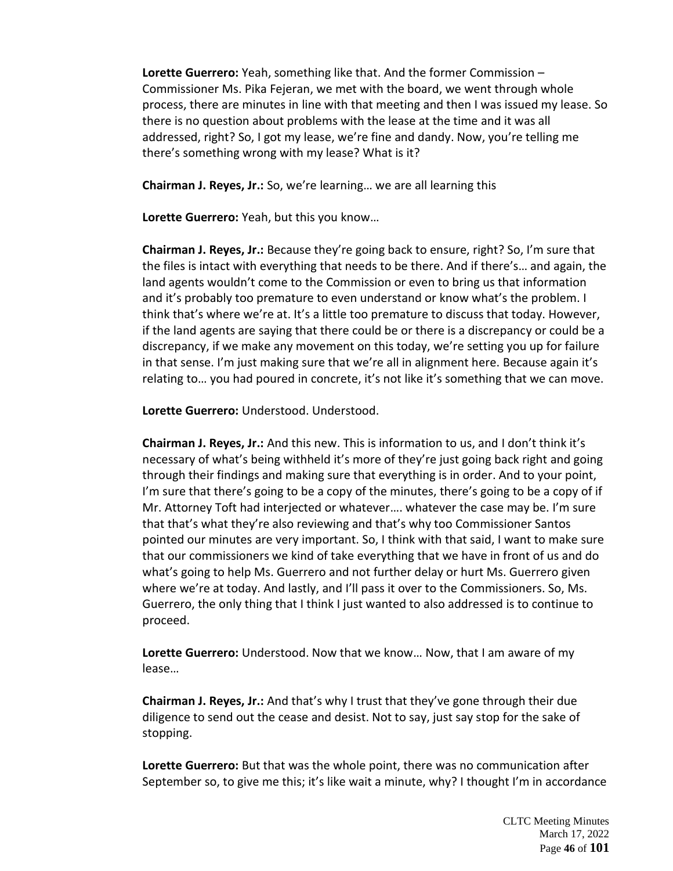**Lorette Guerrero:** Yeah, something like that. And the former Commission – Commissioner Ms. Pika Fejeran, we met with the board, we went through whole process, there are minutes in line with that meeting and then I was issued my lease. So there is no question about problems with the lease at the time and it was all addressed, right? So, I got my lease, we're fine and dandy. Now, you're telling me there's something wrong with my lease? What is it?

**Chairman J. Reyes, Jr.:** So, we're learning… we are all learning this

**Lorette Guerrero:** Yeah, but this you know…

**Chairman J. Reyes, Jr.:** Because they're going back to ensure, right? So, I'm sure that the files is intact with everything that needs to be there. And if there's… and again, the land agents wouldn't come to the Commission or even to bring us that information and it's probably too premature to even understand or know what's the problem. I think that's where we're at. It's a little too premature to discuss that today. However, if the land agents are saying that there could be or there is a discrepancy or could be a discrepancy, if we make any movement on this today, we're setting you up for failure in that sense. I'm just making sure that we're all in alignment here. Because again it's relating to… you had poured in concrete, it's not like it's something that we can move.

**Lorette Guerrero:** Understood. Understood.

**Chairman J. Reyes, Jr.:** And this new. This is information to us, and I don't think it's necessary of what's being withheld it's more of they're just going back right and going through their findings and making sure that everything is in order. And to your point, I'm sure that there's going to be a copy of the minutes, there's going to be a copy of if Mr. Attorney Toft had interjected or whatever…. whatever the case may be. I'm sure that that's what they're also reviewing and that's why too Commissioner Santos pointed our minutes are very important. So, I think with that said, I want to make sure that our commissioners we kind of take everything that we have in front of us and do what's going to help Ms. Guerrero and not further delay or hurt Ms. Guerrero given where we're at today. And lastly, and I'll pass it over to the Commissioners. So, Ms. Guerrero, the only thing that I think I just wanted to also addressed is to continue to proceed.

**Lorette Guerrero:** Understood. Now that we know… Now, that I am aware of my lease…

**Chairman J. Reyes, Jr.:** And that's why I trust that they've gone through their due diligence to send out the cease and desist. Not to say, just say stop for the sake of stopping.

**Lorette Guerrero:** But that was the whole point, there was no communication after September so, to give me this; it's like wait a minute, why? I thought I'm in accordance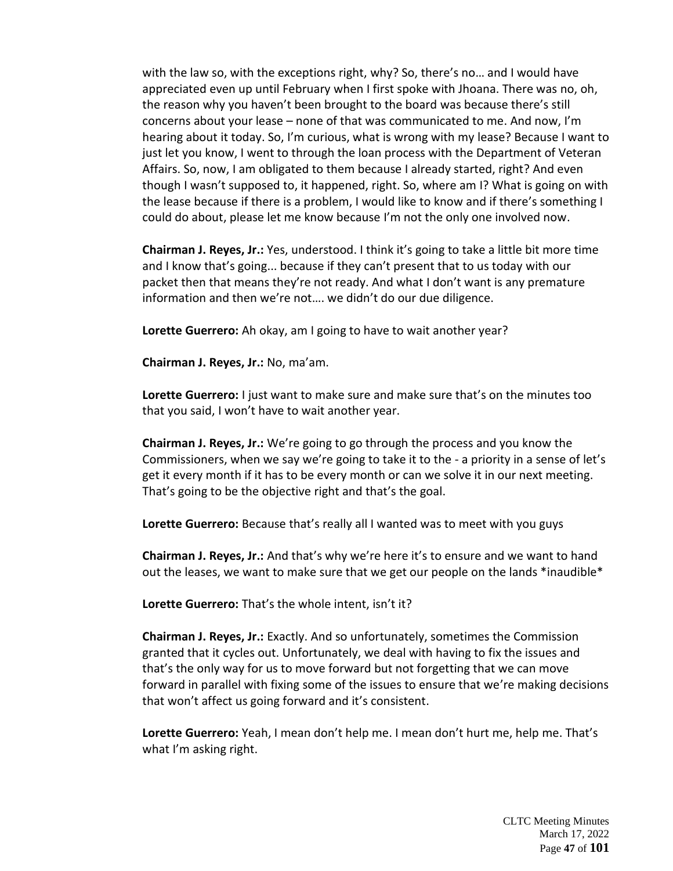with the law so, with the exceptions right, why? So, there's no… and I would have appreciated even up until February when I first spoke with Jhoana. There was no, oh, the reason why you haven't been brought to the board was because there's still concerns about your lease – none of that was communicated to me. And now, I'm hearing about it today. So, I'm curious, what is wrong with my lease? Because I want to just let you know, I went to through the loan process with the Department of Veteran Affairs. So, now, I am obligated to them because I already started, right? And even though I wasn't supposed to, it happened, right. So, where am I? What is going on with the lease because if there is a problem, I would like to know and if there's something I could do about, please let me know because I'm not the only one involved now.

**Chairman J. Reyes, Jr.:** Yes, understood. I think it's going to take a little bit more time and I know that's going... because if they can't present that to us today with our packet then that means they're not ready. And what I don't want is any premature information and then we're not…. we didn't do our due diligence.

**Lorette Guerrero:** Ah okay, am I going to have to wait another year?

**Chairman J. Reyes, Jr.:** No, ma'am.

**Lorette Guerrero:** I just want to make sure and make sure that's on the minutes too that you said, I won't have to wait another year.

**Chairman J. Reyes, Jr.:** We're going to go through the process and you know the Commissioners, when we say we're going to take it to the - a priority in a sense of let's get it every month if it has to be every month or can we solve it in our next meeting. That's going to be the objective right and that's the goal.

**Lorette Guerrero:** Because that's really all I wanted was to meet with you guys

**Chairman J. Reyes, Jr.:** And that's why we're here it's to ensure and we want to hand out the leases, we want to make sure that we get our people on the lands \*inaudible\*

**Lorette Guerrero:** That's the whole intent, isn't it?

**Chairman J. Reyes, Jr.:** Exactly. And so unfortunately, sometimes the Commission granted that it cycles out. Unfortunately, we deal with having to fix the issues and that's the only way for us to move forward but not forgetting that we can move forward in parallel with fixing some of the issues to ensure that we're making decisions that won't affect us going forward and it's consistent.

**Lorette Guerrero:** Yeah, I mean don't help me. I mean don't hurt me, help me. That's what I'm asking right.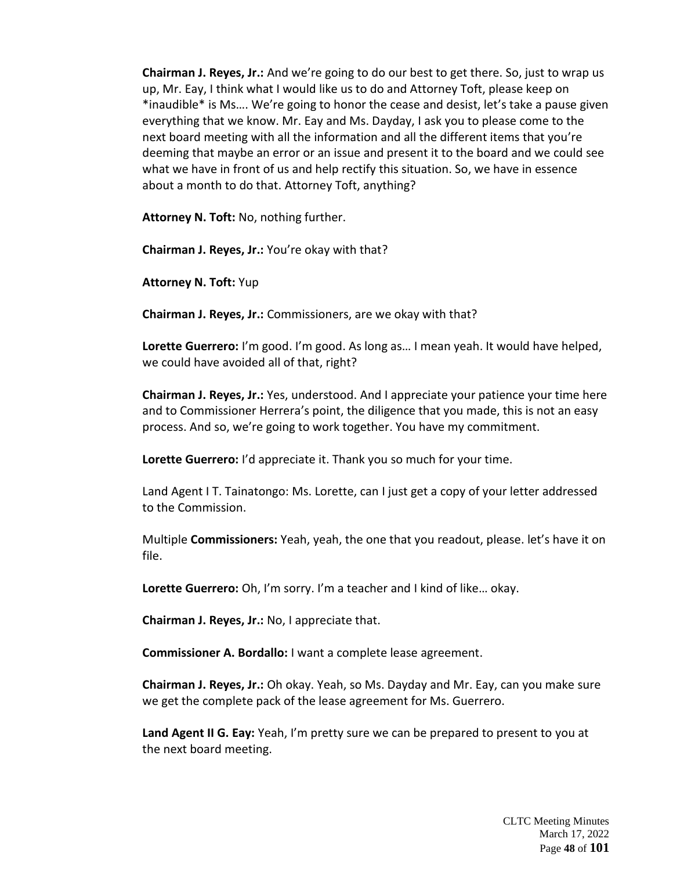**Chairman J. Reyes, Jr.:** And we're going to do our best to get there. So, just to wrap us up, Mr. Eay, I think what I would like us to do and Attorney Toft, please keep on \*inaudible\* is Ms…. We're going to honor the cease and desist, let's take a pause given everything that we know. Mr. Eay and Ms. Dayday, I ask you to please come to the next board meeting with all the information and all the different items that you're deeming that maybe an error or an issue and present it to the board and we could see what we have in front of us and help rectify this situation. So, we have in essence about a month to do that. Attorney Toft, anything?

**Attorney N. Toft:** No, nothing further.

**Chairman J. Reyes, Jr.:** You're okay with that?

**Attorney N. Toft:** Yup

**Chairman J. Reyes, Jr.:** Commissioners, are we okay with that?

**Lorette Guerrero:** I'm good. I'm good. As long as… I mean yeah. It would have helped, we could have avoided all of that, right?

**Chairman J. Reyes, Jr.:** Yes, understood. And I appreciate your patience your time here and to Commissioner Herrera's point, the diligence that you made, this is not an easy process. And so, we're going to work together. You have my commitment.

**Lorette Guerrero:** I'd appreciate it. Thank you so much for your time.

Land Agent I T. Tainatongo: Ms. Lorette, can I just get a copy of your letter addressed to the Commission.

Multiple **Commissioners:** Yeah, yeah, the one that you readout, please. let's have it on file.

**Lorette Guerrero:** Oh, I'm sorry. I'm a teacher and I kind of like… okay.

**Chairman J. Reyes, Jr.:** No, I appreciate that.

**Commissioner A. Bordallo:** I want a complete lease agreement.

**Chairman J. Reyes, Jr.:** Oh okay. Yeah, so Ms. Dayday and Mr. Eay, can you make sure we get the complete pack of the lease agreement for Ms. Guerrero.

**Land Agent II G. Eay:** Yeah, I'm pretty sure we can be prepared to present to you at the next board meeting.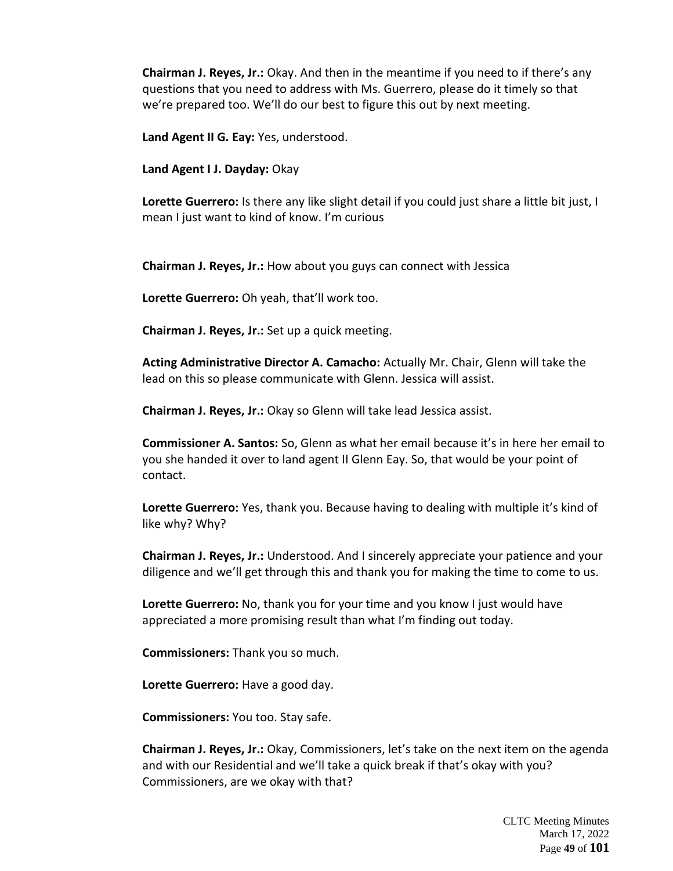**Chairman J. Reyes, Jr.:** Okay. And then in the meantime if you need to if there's any questions that you need to address with Ms. Guerrero, please do it timely so that we're prepared too. We'll do our best to figure this out by next meeting.

**Land Agent II G. Eay:** Yes, understood.

**Land Agent I J. Dayday:** Okay

**Lorette Guerrero:** Is there any like slight detail if you could just share a little bit just, I mean I just want to kind of know. I'm curious

**Chairman J. Reyes, Jr.:** How about you guys can connect with Jessica

**Lorette Guerrero:** Oh yeah, that'll work too.

**Chairman J. Reyes, Jr.:** Set up a quick meeting.

**Acting Administrative Director A. Camacho:** Actually Mr. Chair, Glenn will take the lead on this so please communicate with Glenn. Jessica will assist.

**Chairman J. Reyes, Jr.:** Okay so Glenn will take lead Jessica assist.

**Commissioner A. Santos:** So, Glenn as what her email because it's in here her email to you she handed it over to land agent II Glenn Eay. So, that would be your point of contact.

**Lorette Guerrero:** Yes, thank you. Because having to dealing with multiple it's kind of like why? Why?

**Chairman J. Reyes, Jr.:** Understood. And I sincerely appreciate your patience and your diligence and we'll get through this and thank you for making the time to come to us.

**Lorette Guerrero:** No, thank you for your time and you know I just would have appreciated a more promising result than what I'm finding out today.

**Commissioners:** Thank you so much.

**Lorette Guerrero:** Have a good day.

**Commissioners:** You too. Stay safe.

**Chairman J. Reyes, Jr.:** Okay, Commissioners, let's take on the next item on the agenda and with our Residential and we'll take a quick break if that's okay with you? Commissioners, are we okay with that?

> CLTC Meeting Minutes March 17, 2022 Page **49** of **101**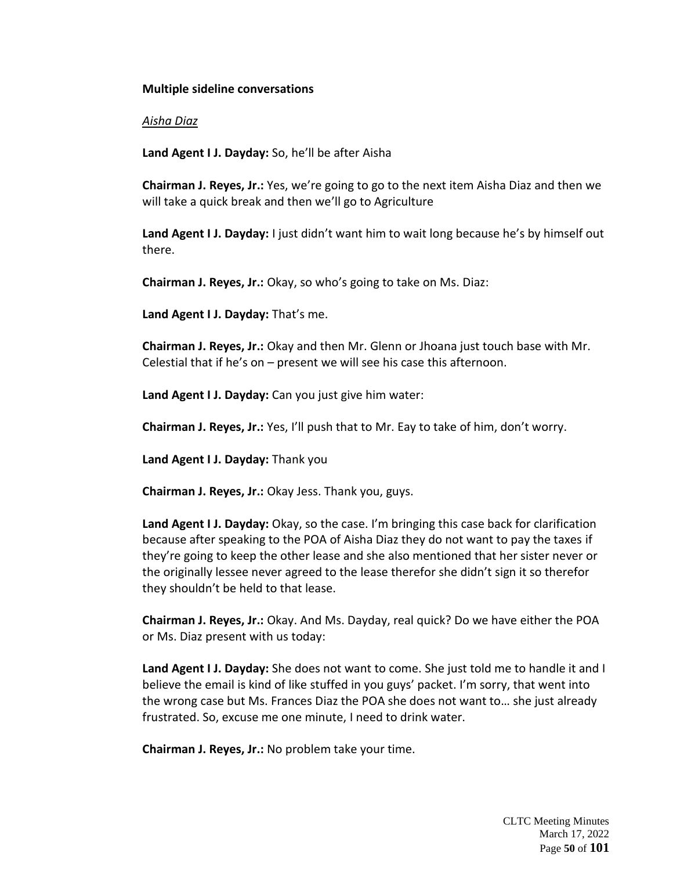## **Multiple sideline conversations**

### *Aisha Diaz*

**Land Agent I J. Dayday:** So, he'll be after Aisha

**Chairman J. Reyes, Jr.:** Yes, we're going to go to the next item Aisha Diaz and then we will take a quick break and then we'll go to Agriculture

**Land Agent I J. Dayday:** I just didn't want him to wait long because he's by himself out there.

**Chairman J. Reyes, Jr.:** Okay, so who's going to take on Ms. Diaz:

**Land Agent I J. Dayday:** That's me.

**Chairman J. Reyes, Jr.:** Okay and then Mr. Glenn or Jhoana just touch base with Mr. Celestial that if he's on – present we will see his case this afternoon.

**Land Agent I J. Dayday:** Can you just give him water:

**Chairman J. Reyes, Jr.:** Yes, I'll push that to Mr. Eay to take of him, don't worry.

**Land Agent I J. Dayday:** Thank you

**Chairman J. Reyes, Jr.:** Okay Jess. Thank you, guys.

**Land Agent I J. Dayday:** Okay, so the case. I'm bringing this case back for clarification because after speaking to the POA of Aisha Diaz they do not want to pay the taxes if they're going to keep the other lease and she also mentioned that her sister never or the originally lessee never agreed to the lease therefor she didn't sign it so therefor they shouldn't be held to that lease.

**Chairman J. Reyes, Jr.:** Okay. And Ms. Dayday, real quick? Do we have either the POA or Ms. Diaz present with us today:

Land Agent I J. Dayday: She does not want to come. She just told me to handle it and I believe the email is kind of like stuffed in you guys' packet. I'm sorry, that went into the wrong case but Ms. Frances Diaz the POA she does not want to… she just already frustrated. So, excuse me one minute, I need to drink water.

**Chairman J. Reyes, Jr.:** No problem take your time.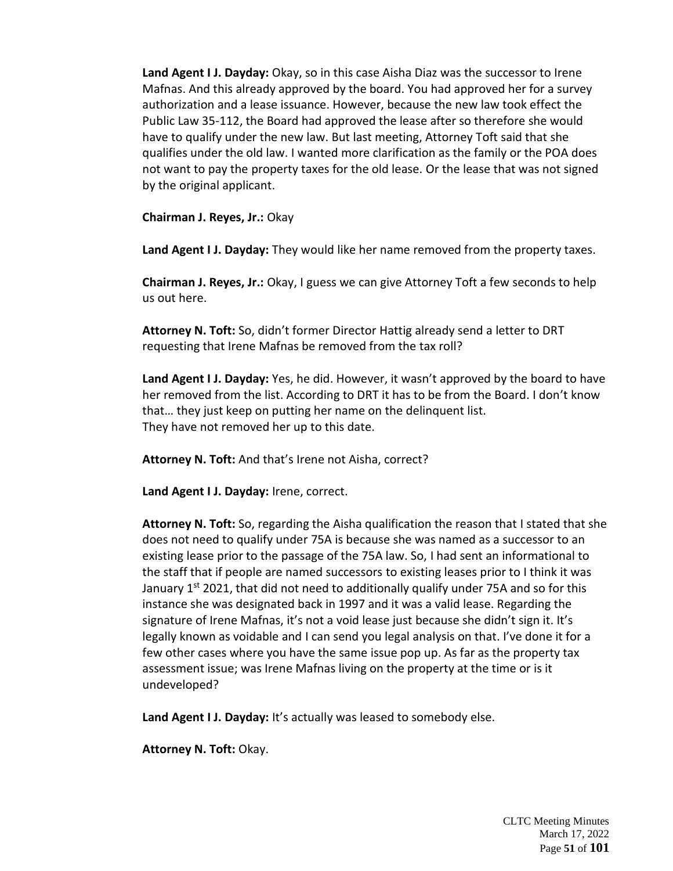**Land Agent I J. Dayday:** Okay, so in this case Aisha Diaz was the successor to Irene Mafnas. And this already approved by the board. You had approved her for a survey authorization and a lease issuance. However, because the new law took effect the Public Law 35-112, the Board had approved the lease after so therefore she would have to qualify under the new law. But last meeting, Attorney Toft said that she qualifies under the old law. I wanted more clarification as the family or the POA does not want to pay the property taxes for the old lease. Or the lease that was not signed by the original applicant.

**Chairman J. Reyes, Jr.:** Okay

**Land Agent I J. Dayday:** They would like her name removed from the property taxes.

**Chairman J. Reyes, Jr.:** Okay, I guess we can give Attorney Toft a few seconds to help us out here.

**Attorney N. Toft:** So, didn't former Director Hattig already send a letter to DRT requesting that Irene Mafnas be removed from the tax roll?

**Land Agent I J. Dayday:** Yes, he did. However, it wasn't approved by the board to have her removed from the list. According to DRT it has to be from the Board. I don't know that… they just keep on putting her name on the delinquent list. They have not removed her up to this date.

**Attorney N. Toft:** And that's Irene not Aisha, correct?

**Land Agent I J. Dayday:** Irene, correct.

**Attorney N. Toft:** So, regarding the Aisha qualification the reason that I stated that she does not need to qualify under 75A is because she was named as a successor to an existing lease prior to the passage of the 75A law. So, I had sent an informational to the staff that if people are named successors to existing leases prior to I think it was January  $1^{st}$  2021, that did not need to additionally qualify under 75A and so for this instance she was designated back in 1997 and it was a valid lease. Regarding the signature of Irene Mafnas, it's not a void lease just because she didn't sign it. It's legally known as voidable and I can send you legal analysis on that. I've done it for a few other cases where you have the same issue pop up. As far as the property tax assessment issue; was Irene Mafnas living on the property at the time or is it undeveloped?

**Land Agent I J. Dayday:** It's actually was leased to somebody else.

**Attorney N. Toft:** Okay.

CLTC Meeting Minutes March 17, 2022 Page **51** of **101**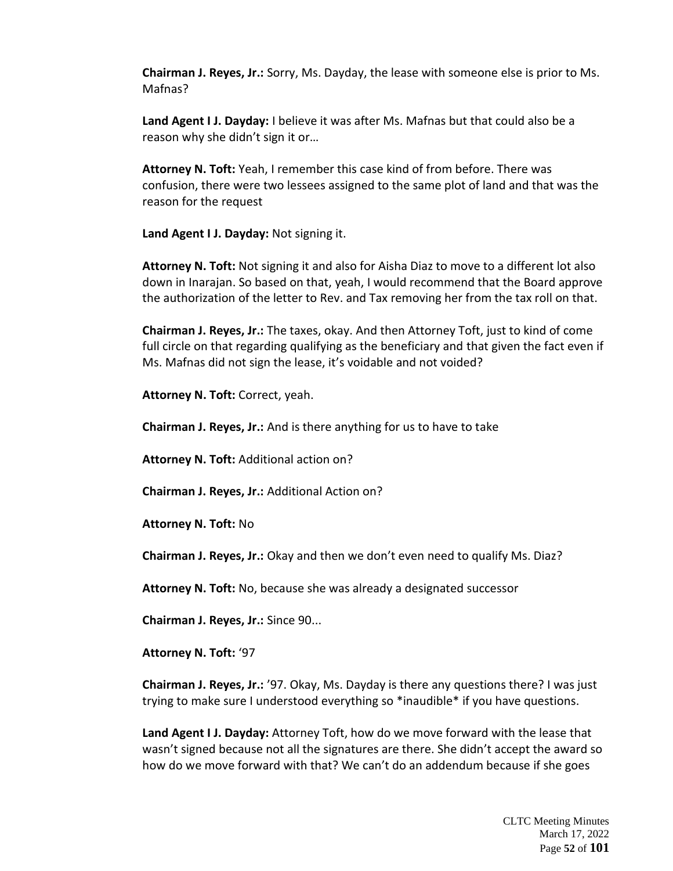**Chairman J. Reyes, Jr.:** Sorry, Ms. Dayday, the lease with someone else is prior to Ms. Mafnas?

**Land Agent I J. Dayday:** I believe it was after Ms. Mafnas but that could also be a reason why she didn't sign it or…

**Attorney N. Toft:** Yeah, I remember this case kind of from before. There was confusion, there were two lessees assigned to the same plot of land and that was the reason for the request

**Land Agent I J. Dayday:** Not signing it.

**Attorney N. Toft:** Not signing it and also for Aisha Diaz to move to a different lot also down in Inarajan. So based on that, yeah, I would recommend that the Board approve the authorization of the letter to Rev. and Tax removing her from the tax roll on that.

**Chairman J. Reyes, Jr.:** The taxes, okay. And then Attorney Toft, just to kind of come full circle on that regarding qualifying as the beneficiary and that given the fact even if Ms. Mafnas did not sign the lease, it's voidable and not voided?

**Attorney N. Toft:** Correct, yeah.

**Chairman J. Reyes, Jr.:** And is there anything for us to have to take

**Attorney N. Toft:** Additional action on?

**Chairman J. Reyes, Jr.:** Additional Action on?

**Attorney N. Toft:** No

**Chairman J. Reyes, Jr.:** Okay and then we don't even need to qualify Ms. Diaz?

**Attorney N. Toft:** No, because she was already a designated successor

**Chairman J. Reyes, Jr.:** Since 90...

**Attorney N. Toft:** '97

**Chairman J. Reyes, Jr.:** '97. Okay, Ms. Dayday is there any questions there? I was just trying to make sure I understood everything so \*inaudible\* if you have questions.

**Land Agent I J. Dayday:** Attorney Toft, how do we move forward with the lease that wasn't signed because not all the signatures are there. She didn't accept the award so how do we move forward with that? We can't do an addendum because if she goes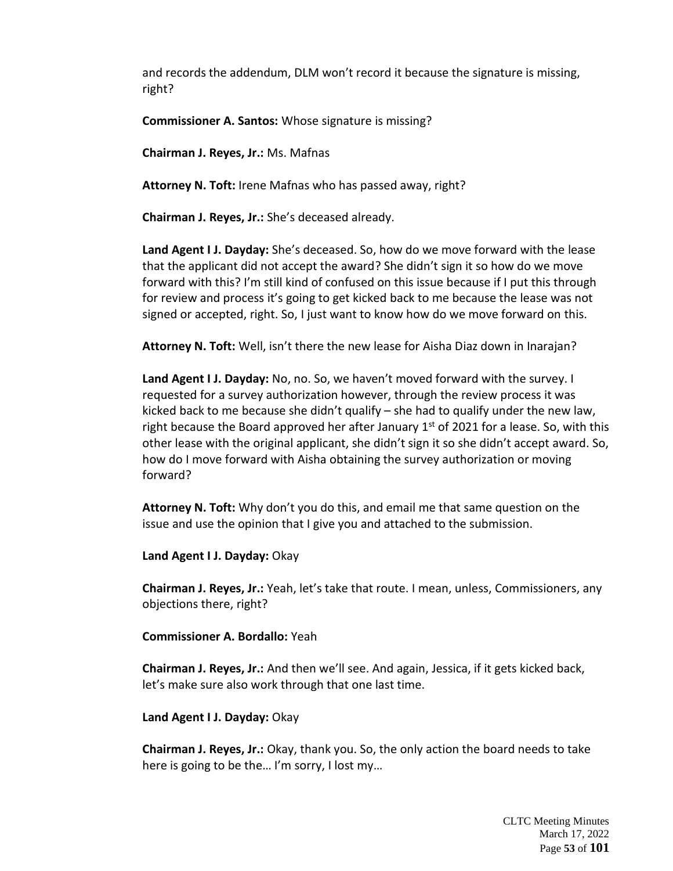and records the addendum, DLM won't record it because the signature is missing, right?

**Commissioner A. Santos:** Whose signature is missing?

**Chairman J. Reyes, Jr.:** Ms. Mafnas

**Attorney N. Toft:** Irene Mafnas who has passed away, right?

**Chairman J. Reyes, Jr.:** She's deceased already.

**Land Agent I J. Dayday:** She's deceased. So, how do we move forward with the lease that the applicant did not accept the award? She didn't sign it so how do we move forward with this? I'm still kind of confused on this issue because if I put this through for review and process it's going to get kicked back to me because the lease was not signed or accepted, right. So, I just want to know how do we move forward on this.

**Attorney N. Toft:** Well, isn't there the new lease for Aisha Diaz down in Inarajan?

**Land Agent I J. Dayday:** No, no. So, we haven't moved forward with the survey. I requested for a survey authorization however, through the review process it was kicked back to me because she didn't qualify – she had to qualify under the new law, right because the Board approved her after January  $1<sup>st</sup>$  of 2021 for a lease. So, with this other lease with the original applicant, she didn't sign it so she didn't accept award. So, how do I move forward with Aisha obtaining the survey authorization or moving forward?

**Attorney N. Toft:** Why don't you do this, and email me that same question on the issue and use the opinion that I give you and attached to the submission.

**Land Agent I J. Dayday:** Okay

**Chairman J. Reyes, Jr.:** Yeah, let's take that route. I mean, unless, Commissioners, any objections there, right?

**Commissioner A. Bordallo:** Yeah

**Chairman J. Reyes, Jr.:** And then we'll see. And again, Jessica, if it gets kicked back, let's make sure also work through that one last time.

**Land Agent I J. Dayday:** Okay

**Chairman J. Reyes, Jr.:** Okay, thank you. So, the only action the board needs to take here is going to be the… I'm sorry, I lost my…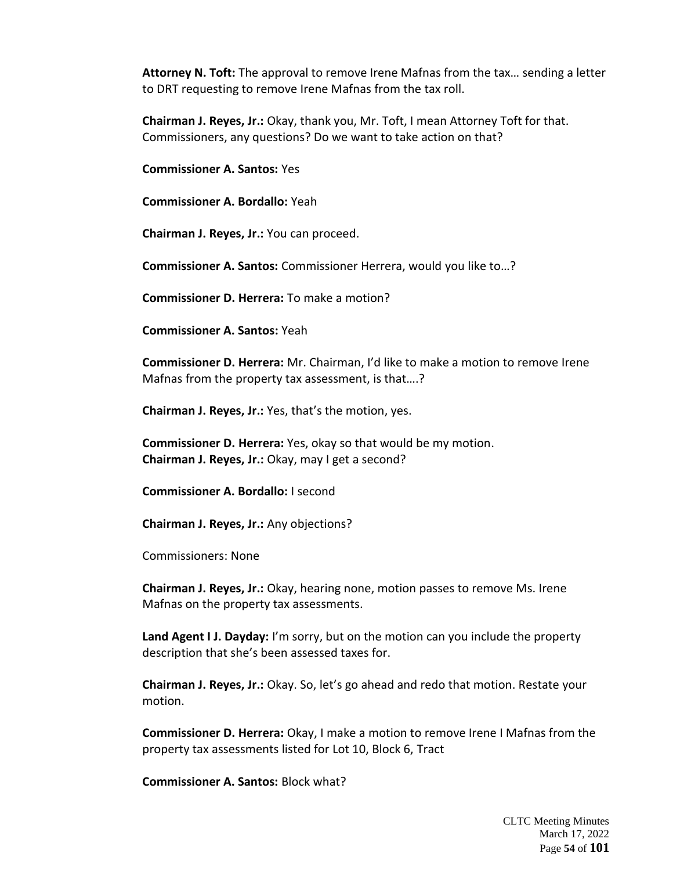**Attorney N. Toft:** The approval to remove Irene Mafnas from the tax… sending a letter to DRT requesting to remove Irene Mafnas from the tax roll.

**Chairman J. Reyes, Jr.:** Okay, thank you, Mr. Toft, I mean Attorney Toft for that. Commissioners, any questions? Do we want to take action on that?

**Commissioner A. Santos:** Yes

**Commissioner A. Bordallo:** Yeah

**Chairman J. Reyes, Jr.:** You can proceed.

**Commissioner A. Santos:** Commissioner Herrera, would you like to…?

**Commissioner D. Herrera:** To make a motion?

**Commissioner A. Santos:** Yeah

**Commissioner D. Herrera:** Mr. Chairman, I'd like to make a motion to remove Irene Mafnas from the property tax assessment, is that….?

**Chairman J. Reyes, Jr.:** Yes, that's the motion, yes.

**Commissioner D. Herrera:** Yes, okay so that would be my motion. **Chairman J. Reyes, Jr.:** Okay, may I get a second?

**Commissioner A. Bordallo:** I second

**Chairman J. Reyes, Jr.:** Any objections?

Commissioners: None

**Chairman J. Reyes, Jr.:** Okay, hearing none, motion passes to remove Ms. Irene Mafnas on the property tax assessments.

**Land Agent I J. Dayday:** I'm sorry, but on the motion can you include the property description that she's been assessed taxes for.

**Chairman J. Reyes, Jr.:** Okay. So, let's go ahead and redo that motion. Restate your motion.

**Commissioner D. Herrera:** Okay, I make a motion to remove Irene I Mafnas from the property tax assessments listed for Lot 10, Block 6, Tract

**Commissioner A. Santos:** Block what?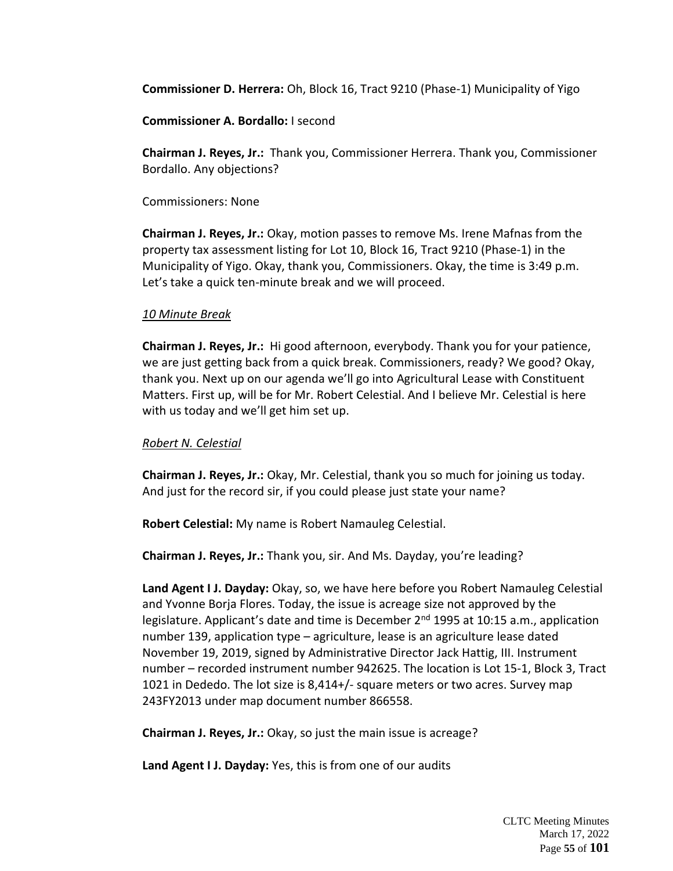**Commissioner D. Herrera:** Oh, Block 16, Tract 9210 (Phase-1) Municipality of Yigo

**Commissioner A. Bordallo:** I second

**Chairman J. Reyes, Jr.:** Thank you, Commissioner Herrera. Thank you, Commissioner Bordallo. Any objections?

Commissioners: None

**Chairman J. Reyes, Jr.:** Okay, motion passes to remove Ms. Irene Mafnas from the property tax assessment listing for Lot 10, Block 16, Tract 9210 (Phase-1) in the Municipality of Yigo. Okay, thank you, Commissioners. Okay, the time is 3:49 p.m. Let's take a quick ten-minute break and we will proceed.

# *10 Minute Break*

**Chairman J. Reyes, Jr.:** Hi good afternoon, everybody. Thank you for your patience, we are just getting back from a quick break. Commissioners, ready? We good? Okay, thank you. Next up on our agenda we'll go into Agricultural Lease with Constituent Matters. First up, will be for Mr. Robert Celestial. And I believe Mr. Celestial is here with us today and we'll get him set up.

# *Robert N. Celestial*

**Chairman J. Reyes, Jr.:** Okay, Mr. Celestial, thank you so much for joining us today. And just for the record sir, if you could please just state your name?

**Robert Celestial:** My name is Robert Namauleg Celestial.

**Chairman J. Reyes, Jr.:** Thank you, sir. And Ms. Dayday, you're leading?

**Land Agent I J. Dayday:** Okay, so, we have here before you Robert Namauleg Celestial and Yvonne Borja Flores. Today, the issue is acreage size not approved by the legislature. Applicant's date and time is December  $2<sup>nd</sup>$  1995 at 10:15 a.m., application number 139, application type – agriculture, lease is an agriculture lease dated November 19, 2019, signed by Administrative Director Jack Hattig, III. Instrument number – recorded instrument number 942625. The location is Lot 15-1, Block 3, Tract 1021 in Dededo. The lot size is 8,414+/- square meters or two acres. Survey map 243FY2013 under map document number 866558.

**Chairman J. Reyes, Jr.:** Okay, so just the main issue is acreage?

**Land Agent I J. Dayday:** Yes, this is from one of our audits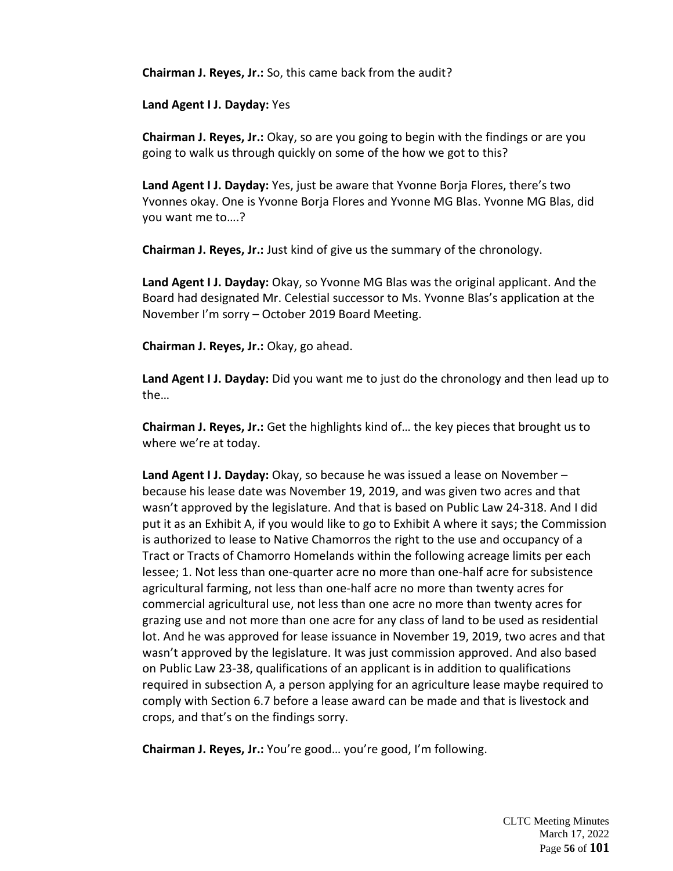**Chairman J. Reyes, Jr.:** So, this came back from the audit?

**Land Agent I J. Dayday:** Yes

**Chairman J. Reyes, Jr.:** Okay, so are you going to begin with the findings or are you going to walk us through quickly on some of the how we got to this?

**Land Agent I J. Dayday:** Yes, just be aware that Yvonne Borja Flores, there's two Yvonnes okay. One is Yvonne Borja Flores and Yvonne MG Blas. Yvonne MG Blas, did you want me to….?

**Chairman J. Reyes, Jr.:** Just kind of give us the summary of the chronology.

**Land Agent I J. Dayday:** Okay, so Yvonne MG Blas was the original applicant. And the Board had designated Mr. Celestial successor to Ms. Yvonne Blas's application at the November I'm sorry – October 2019 Board Meeting.

**Chairman J. Reyes, Jr.:** Okay, go ahead.

**Land Agent I J. Dayday:** Did you want me to just do the chronology and then lead up to the…

**Chairman J. Reyes, Jr.:** Get the highlights kind of… the key pieces that brought us to where we're at today.

**Land Agent I J. Dayday:** Okay, so because he was issued a lease on November – because his lease date was November 19, 2019, and was given two acres and that wasn't approved by the legislature. And that is based on Public Law 24-318. And I did put it as an Exhibit A, if you would like to go to Exhibit A where it says; the Commission is authorized to lease to Native Chamorros the right to the use and occupancy of a Tract or Tracts of Chamorro Homelands within the following acreage limits per each lessee; 1. Not less than one-quarter acre no more than one-half acre for subsistence agricultural farming, not less than one-half acre no more than twenty acres for commercial agricultural use, not less than one acre no more than twenty acres for grazing use and not more than one acre for any class of land to be used as residential lot. And he was approved for lease issuance in November 19, 2019, two acres and that wasn't approved by the legislature. It was just commission approved. And also based on Public Law 23-38, qualifications of an applicant is in addition to qualifications required in subsection A, a person applying for an agriculture lease maybe required to comply with Section 6.7 before a lease award can be made and that is livestock and crops, and that's on the findings sorry.

**Chairman J. Reyes, Jr.:** You're good… you're good, I'm following.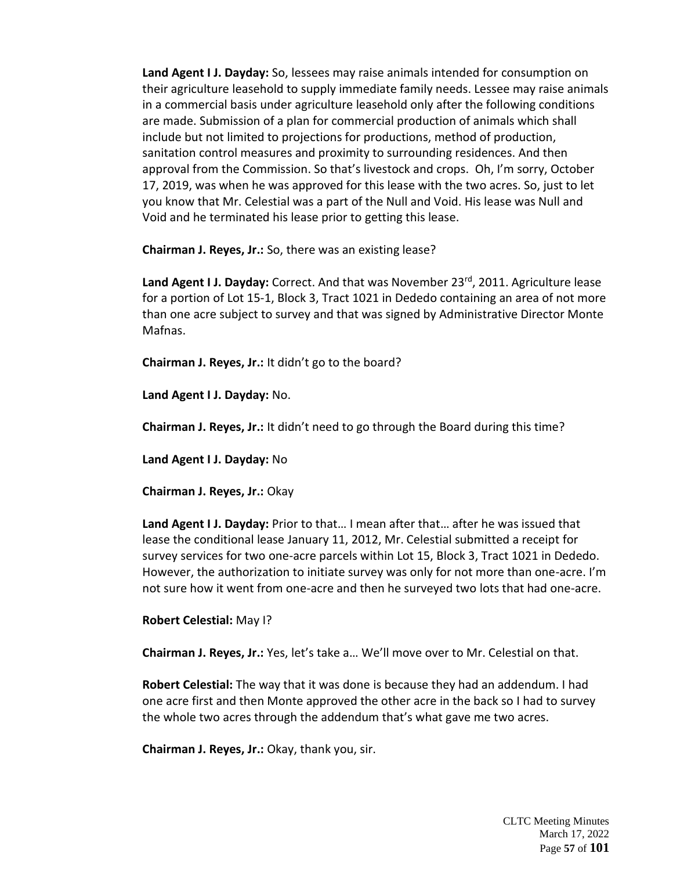**Land Agent I J. Dayday:** So, lessees may raise animals intended for consumption on their agriculture leasehold to supply immediate family needs. Lessee may raise animals in a commercial basis under agriculture leasehold only after the following conditions are made. Submission of a plan for commercial production of animals which shall include but not limited to projections for productions, method of production, sanitation control measures and proximity to surrounding residences. And then approval from the Commission. So that's livestock and crops. Oh, I'm sorry, October 17, 2019, was when he was approved for this lease with the two acres. So, just to let you know that Mr. Celestial was a part of the Null and Void. His lease was Null and Void and he terminated his lease prior to getting this lease.

**Chairman J. Reyes, Jr.:** So, there was an existing lease?

Land Agent I J. Dayday: Correct. And that was November 23<sup>rd</sup>, 2011. Agriculture lease for a portion of Lot 15-1, Block 3, Tract 1021 in Dededo containing an area of not more than one acre subject to survey and that was signed by Administrative Director Monte Mafnas.

**Chairman J. Reyes, Jr.:** It didn't go to the board?

**Land Agent I J. Dayday:** No.

**Chairman J. Reyes, Jr.:** It didn't need to go through the Board during this time?

**Land Agent I J. Dayday:** No

**Chairman J. Reyes, Jr.:** Okay

**Land Agent I J. Dayday:** Prior to that… I mean after that… after he was issued that lease the conditional lease January 11, 2012, Mr. Celestial submitted a receipt for survey services for two one-acre parcels within Lot 15, Block 3, Tract 1021 in Dededo. However, the authorization to initiate survey was only for not more than one-acre. I'm not sure how it went from one-acre and then he surveyed two lots that had one-acre.

**Robert Celestial:** May I?

**Chairman J. Reyes, Jr.:** Yes, let's take a… We'll move over to Mr. Celestial on that.

**Robert Celestial:** The way that it was done is because they had an addendum. I had one acre first and then Monte approved the other acre in the back so I had to survey the whole two acres through the addendum that's what gave me two acres.

**Chairman J. Reyes, Jr.:** Okay, thank you, sir.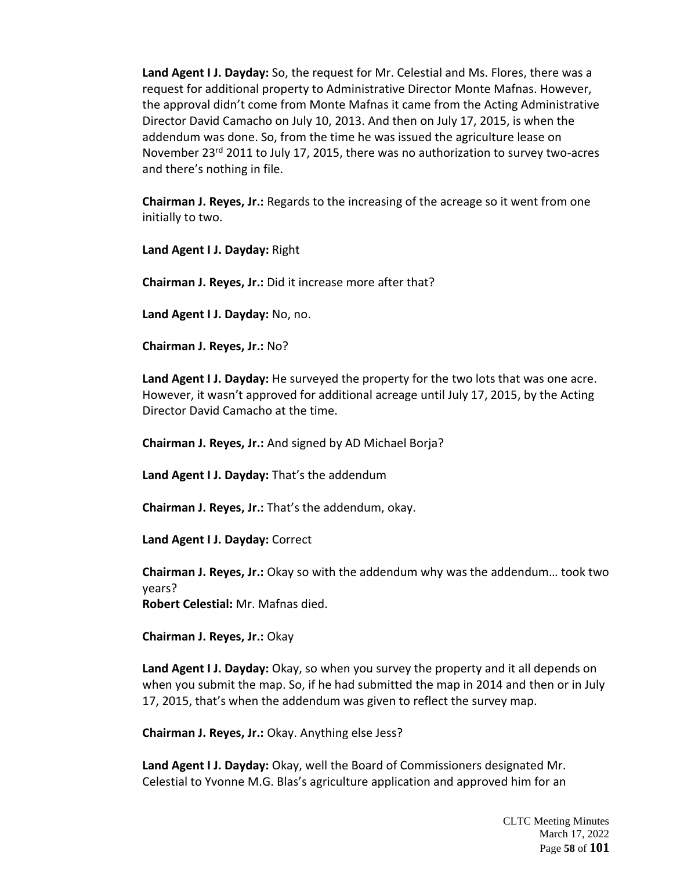**Land Agent I J. Dayday:** So, the request for Mr. Celestial and Ms. Flores, there was a request for additional property to Administrative Director Monte Mafnas. However, the approval didn't come from Monte Mafnas it came from the Acting Administrative Director David Camacho on July 10, 2013. And then on July 17, 2015, is when the addendum was done. So, from the time he was issued the agriculture lease on November 23<sup>rd</sup> 2011 to July 17, 2015, there was no authorization to survey two-acres and there's nothing in file.

**Chairman J. Reyes, Jr.:** Regards to the increasing of the acreage so it went from one initially to two.

**Land Agent I J. Dayday:** Right

**Chairman J. Reyes, Jr.:** Did it increase more after that?

**Land Agent I J. Dayday:** No, no.

**Chairman J. Reyes, Jr.:** No?

**Land Agent I J. Dayday:** He surveyed the property for the two lots that was one acre. However, it wasn't approved for additional acreage until July 17, 2015, by the Acting Director David Camacho at the time.

**Chairman J. Reyes, Jr.:** And signed by AD Michael Borja?

**Land Agent I J. Dayday:** That's the addendum

**Chairman J. Reyes, Jr.:** That's the addendum, okay.

**Land Agent I J. Dayday:** Correct

**Chairman J. Reyes, Jr.:** Okay so with the addendum why was the addendum… took two years? **Robert Celestial:** Mr. Mafnas died.

**Chairman J. Reyes, Jr.:** Okay

**Land Agent I J. Dayday:** Okay, so when you survey the property and it all depends on when you submit the map. So, if he had submitted the map in 2014 and then or in July 17, 2015, that's when the addendum was given to reflect the survey map.

**Chairman J. Reyes, Jr.:** Okay. Anything else Jess?

**Land Agent I J. Dayday:** Okay, well the Board of Commissioners designated Mr. Celestial to Yvonne M.G. Blas's agriculture application and approved him for an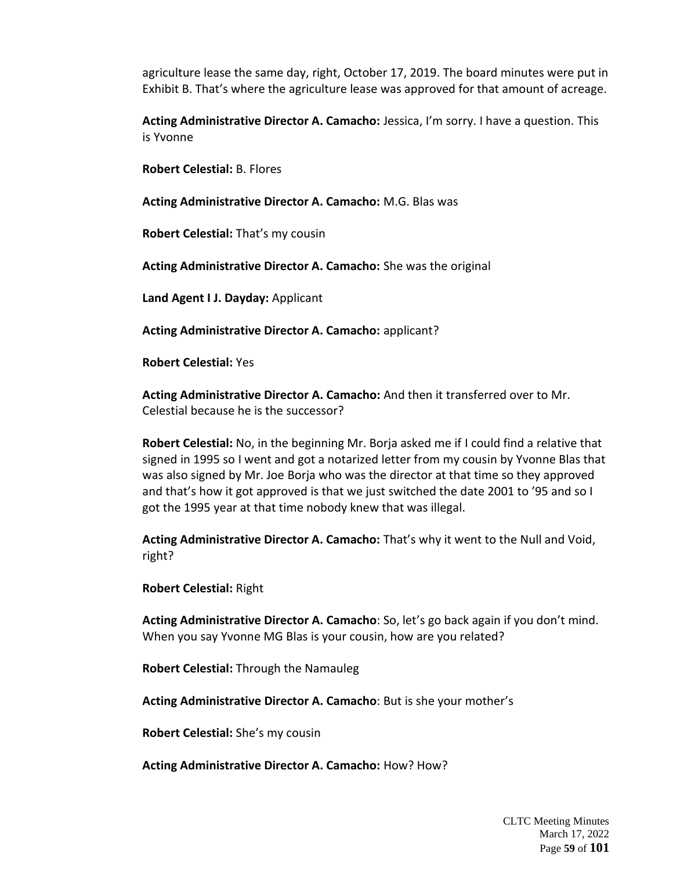agriculture lease the same day, right, October 17, 2019. The board minutes were put in Exhibit B. That's where the agriculture lease was approved for that amount of acreage.

**Acting Administrative Director A. Camacho:** Jessica, I'm sorry. I have a question. This is Yvonne

**Robert Celestial:** B. Flores

**Acting Administrative Director A. Camacho:** M.G. Blas was

**Robert Celestial:** That's my cousin

**Acting Administrative Director A. Camacho:** She was the original

**Land Agent I J. Dayday:** Applicant

**Acting Administrative Director A. Camacho:** applicant?

**Robert Celestial:** Yes

**Acting Administrative Director A. Camacho:** And then it transferred over to Mr. Celestial because he is the successor?

**Robert Celestial:** No, in the beginning Mr. Borja asked me if I could find a relative that signed in 1995 so I went and got a notarized letter from my cousin by Yvonne Blas that was also signed by Mr. Joe Borja who was the director at that time so they approved and that's how it got approved is that we just switched the date 2001 to '95 and so I got the 1995 year at that time nobody knew that was illegal.

**Acting Administrative Director A. Camacho:** That's why it went to the Null and Void, right?

**Robert Celestial:** Right

**Acting Administrative Director A. Camacho**: So, let's go back again if you don't mind. When you say Yvonne MG Blas is your cousin, how are you related?

**Robert Celestial:** Through the Namauleg

**Acting Administrative Director A. Camacho**: But is she your mother's

**Robert Celestial:** She's my cousin

**Acting Administrative Director A. Camacho:** How? How?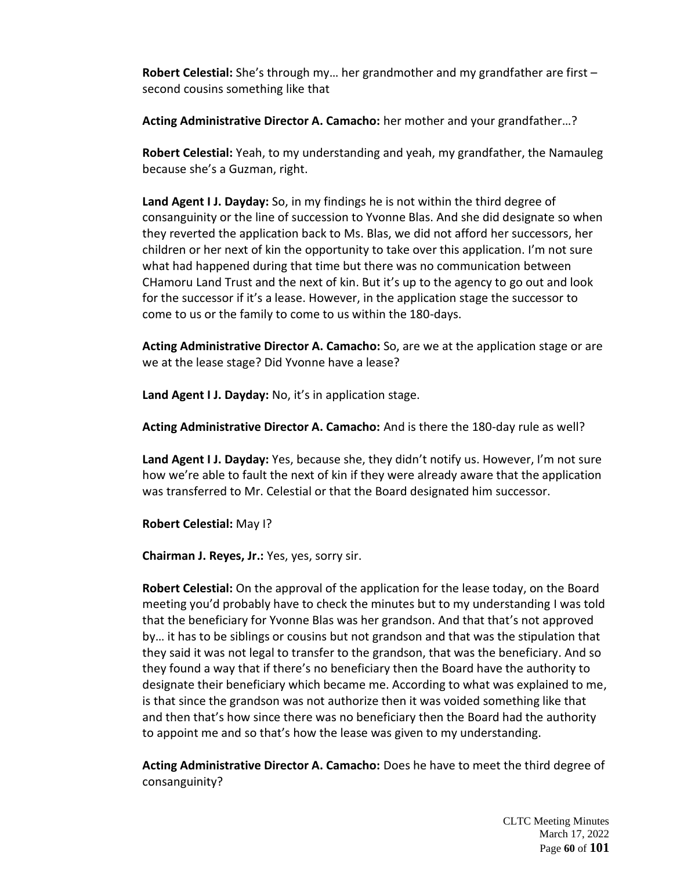**Robert Celestial:** She's through my… her grandmother and my grandfather are first – second cousins something like that

**Acting Administrative Director A. Camacho:** her mother and your grandfather…?

**Robert Celestial:** Yeah, to my understanding and yeah, my grandfather, the Namauleg because she's a Guzman, right.

**Land Agent I J. Dayday:** So, in my findings he is not within the third degree of consanguinity or the line of succession to Yvonne Blas. And she did designate so when they reverted the application back to Ms. Blas, we did not afford her successors, her children or her next of kin the opportunity to take over this application. I'm not sure what had happened during that time but there was no communication between CHamoru Land Trust and the next of kin. But it's up to the agency to go out and look for the successor if it's a lease. However, in the application stage the successor to come to us or the family to come to us within the 180-days.

**Acting Administrative Director A. Camacho:** So, are we at the application stage or are we at the lease stage? Did Yvonne have a lease?

**Land Agent I J. Dayday:** No, it's in application stage.

**Acting Administrative Director A. Camacho:** And is there the 180-day rule as well?

**Land Agent I J. Dayday:** Yes, because she, they didn't notify us. However, I'm not sure how we're able to fault the next of kin if they were already aware that the application was transferred to Mr. Celestial or that the Board designated him successor.

**Robert Celestial:** May I?

**Chairman J. Reyes, Jr.:** Yes, yes, sorry sir.

**Robert Celestial:** On the approval of the application for the lease today, on the Board meeting you'd probably have to check the minutes but to my understanding I was told that the beneficiary for Yvonne Blas was her grandson. And that that's not approved by… it has to be siblings or cousins but not grandson and that was the stipulation that they said it was not legal to transfer to the grandson, that was the beneficiary. And so they found a way that if there's no beneficiary then the Board have the authority to designate their beneficiary which became me. According to what was explained to me, is that since the grandson was not authorize then it was voided something like that and then that's how since there was no beneficiary then the Board had the authority to appoint me and so that's how the lease was given to my understanding.

**Acting Administrative Director A. Camacho:** Does he have to meet the third degree of consanguinity?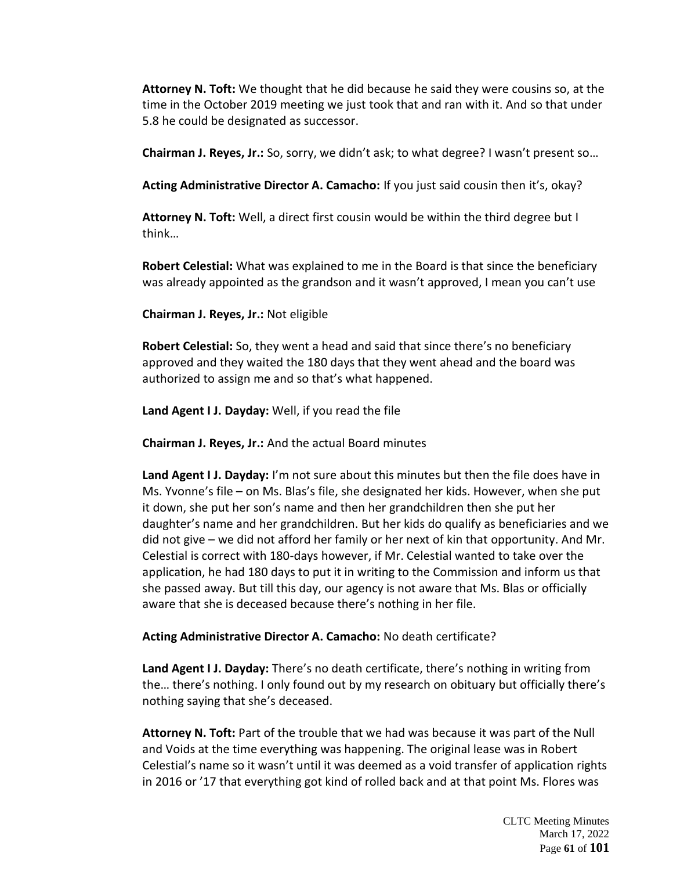**Attorney N. Toft:** We thought that he did because he said they were cousins so, at the time in the October 2019 meeting we just took that and ran with it. And so that under 5.8 he could be designated as successor.

**Chairman J. Reyes, Jr.:** So, sorry, we didn't ask; to what degree? I wasn't present so…

**Acting Administrative Director A. Camacho:** If you just said cousin then it's, okay?

**Attorney N. Toft:** Well, a direct first cousin would be within the third degree but I think…

**Robert Celestial:** What was explained to me in the Board is that since the beneficiary was already appointed as the grandson and it wasn't approved, I mean you can't use

**Chairman J. Reyes, Jr.:** Not eligible

**Robert Celestial:** So, they went a head and said that since there's no beneficiary approved and they waited the 180 days that they went ahead and the board was authorized to assign me and so that's what happened.

**Land Agent I J. Dayday:** Well, if you read the file

**Chairman J. Reyes, Jr.:** And the actual Board minutes

**Land Agent I J. Dayday:** I'm not sure about this minutes but then the file does have in Ms. Yvonne's file – on Ms. Blas's file, she designated her kids. However, when she put it down, she put her son's name and then her grandchildren then she put her daughter's name and her grandchildren. But her kids do qualify as beneficiaries and we did not give – we did not afford her family or her next of kin that opportunity. And Mr. Celestial is correct with 180-days however, if Mr. Celestial wanted to take over the application, he had 180 days to put it in writing to the Commission and inform us that she passed away. But till this day, our agency is not aware that Ms. Blas or officially aware that she is deceased because there's nothing in her file.

**Acting Administrative Director A. Camacho:** No death certificate?

**Land Agent I J. Dayday:** There's no death certificate, there's nothing in writing from the… there's nothing. I only found out by my research on obituary but officially there's nothing saying that she's deceased.

**Attorney N. Toft:** Part of the trouble that we had was because it was part of the Null and Voids at the time everything was happening. The original lease was in Robert Celestial's name so it wasn't until it was deemed as a void transfer of application rights in 2016 or '17 that everything got kind of rolled back and at that point Ms. Flores was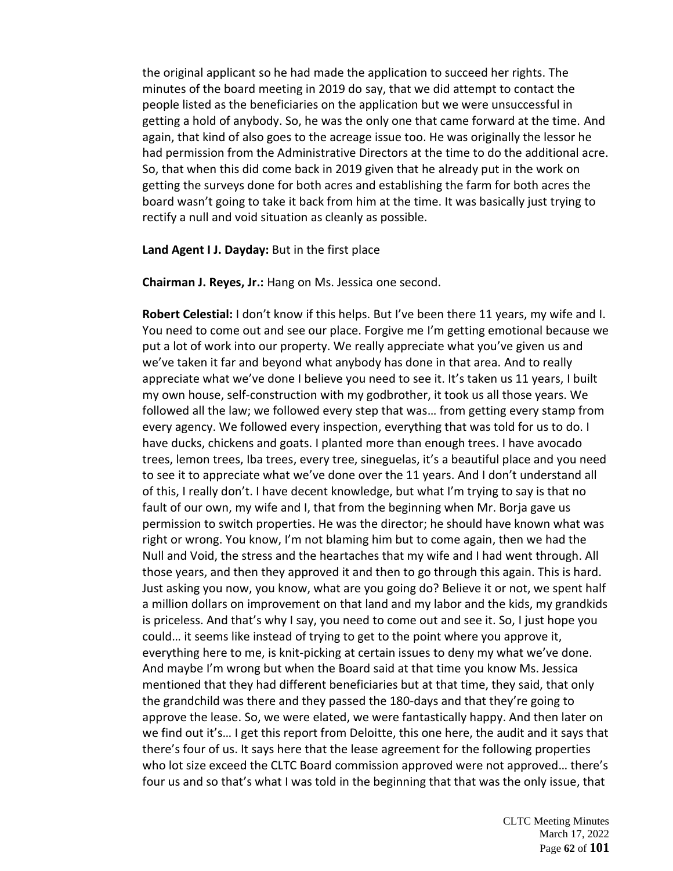the original applicant so he had made the application to succeed her rights. The minutes of the board meeting in 2019 do say, that we did attempt to contact the people listed as the beneficiaries on the application but we were unsuccessful in getting a hold of anybody. So, he was the only one that came forward at the time. And again, that kind of also goes to the acreage issue too. He was originally the lessor he had permission from the Administrative Directors at the time to do the additional acre. So, that when this did come back in 2019 given that he already put in the work on getting the surveys done for both acres and establishing the farm for both acres the board wasn't going to take it back from him at the time. It was basically just trying to rectify a null and void situation as cleanly as possible.

**Land Agent I J. Dayday:** But in the first place

**Chairman J. Reyes, Jr.:** Hang on Ms. Jessica one second.

**Robert Celestial:** I don't know if this helps. But I've been there 11 years, my wife and I. You need to come out and see our place. Forgive me I'm getting emotional because we put a lot of work into our property. We really appreciate what you've given us and we've taken it far and beyond what anybody has done in that area. And to really appreciate what we've done I believe you need to see it. It's taken us 11 years, I built my own house, self-construction with my godbrother, it took us all those years. We followed all the law; we followed every step that was… from getting every stamp from every agency. We followed every inspection, everything that was told for us to do. I have ducks, chickens and goats. I planted more than enough trees. I have avocado trees, lemon trees, Iba trees, every tree, sineguelas, it's a beautiful place and you need to see it to appreciate what we've done over the 11 years. And I don't understand all of this, I really don't. I have decent knowledge, but what I'm trying to say is that no fault of our own, my wife and I, that from the beginning when Mr. Borja gave us permission to switch properties. He was the director; he should have known what was right or wrong. You know, I'm not blaming him but to come again, then we had the Null and Void, the stress and the heartaches that my wife and I had went through. All those years, and then they approved it and then to go through this again. This is hard. Just asking you now, you know, what are you going do? Believe it or not, we spent half a million dollars on improvement on that land and my labor and the kids, my grandkids is priceless. And that's why I say, you need to come out and see it. So, I just hope you could… it seems like instead of trying to get to the point where you approve it, everything here to me, is knit-picking at certain issues to deny my what we've done. And maybe I'm wrong but when the Board said at that time you know Ms. Jessica mentioned that they had different beneficiaries but at that time, they said, that only the grandchild was there and they passed the 180-days and that they're going to approve the lease. So, we were elated, we were fantastically happy. And then later on we find out it's… I get this report from Deloitte, this one here, the audit and it says that there's four of us. It says here that the lease agreement for the following properties who lot size exceed the CLTC Board commission approved were not approved... there's four us and so that's what I was told in the beginning that that was the only issue, that

> CLTC Meeting Minutes March 17, 2022 Page **62** of **101**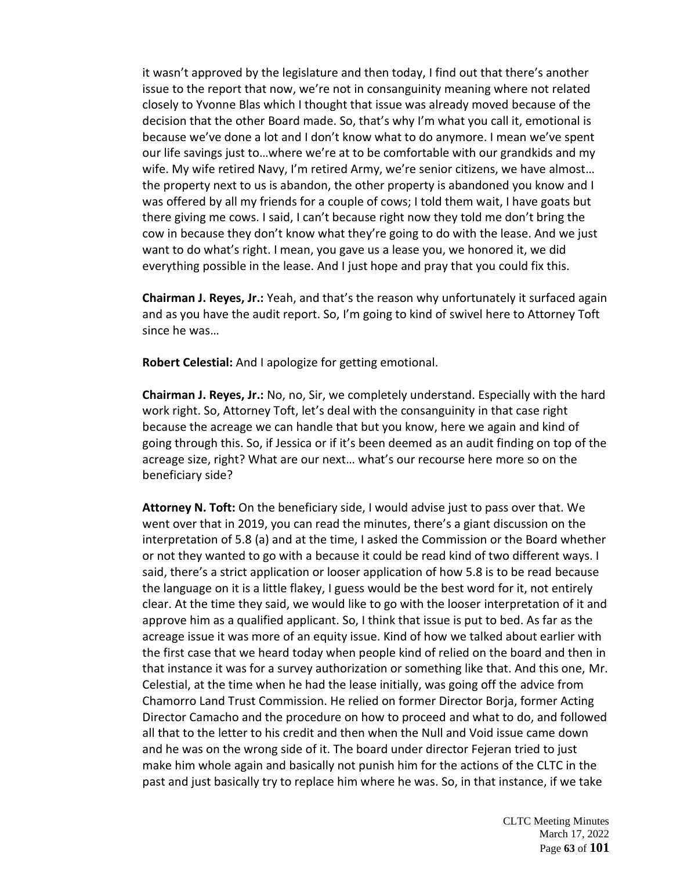it wasn't approved by the legislature and then today, I find out that there's another issue to the report that now, we're not in consanguinity meaning where not related closely to Yvonne Blas which I thought that issue was already moved because of the decision that the other Board made. So, that's why I'm what you call it, emotional is because we've done a lot and I don't know what to do anymore. I mean we've spent our life savings just to…where we're at to be comfortable with our grandkids and my wife. My wife retired Navy, I'm retired Army, we're senior citizens, we have almost… the property next to us is abandon, the other property is abandoned you know and I was offered by all my friends for a couple of cows; I told them wait, I have goats but there giving me cows. I said, I can't because right now they told me don't bring the cow in because they don't know what they're going to do with the lease. And we just want to do what's right. I mean, you gave us a lease you, we honored it, we did everything possible in the lease. And I just hope and pray that you could fix this.

**Chairman J. Reyes, Jr.:** Yeah, and that's the reason why unfortunately it surfaced again and as you have the audit report. So, I'm going to kind of swivel here to Attorney Toft since he was…

**Robert Celestial:** And I apologize for getting emotional.

**Chairman J. Reyes, Jr.:** No, no, Sir, we completely understand. Especially with the hard work right. So, Attorney Toft, let's deal with the consanguinity in that case right because the acreage we can handle that but you know, here we again and kind of going through this. So, if Jessica or if it's been deemed as an audit finding on top of the acreage size, right? What are our next… what's our recourse here more so on the beneficiary side?

**Attorney N. Toft:** On the beneficiary side, I would advise just to pass over that. We went over that in 2019, you can read the minutes, there's a giant discussion on the interpretation of 5.8 (a) and at the time, I asked the Commission or the Board whether or not they wanted to go with a because it could be read kind of two different ways. I said, there's a strict application or looser application of how 5.8 is to be read because the language on it is a little flakey, I guess would be the best word for it, not entirely clear. At the time they said, we would like to go with the looser interpretation of it and approve him as a qualified applicant. So, I think that issue is put to bed. As far as the acreage issue it was more of an equity issue. Kind of how we talked about earlier with the first case that we heard today when people kind of relied on the board and then in that instance it was for a survey authorization or something like that. And this one, Mr. Celestial, at the time when he had the lease initially, was going off the advice from Chamorro Land Trust Commission. He relied on former Director Borja, former Acting Director Camacho and the procedure on how to proceed and what to do, and followed all that to the letter to his credit and then when the Null and Void issue came down and he was on the wrong side of it. The board under director Fejeran tried to just make him whole again and basically not punish him for the actions of the CLTC in the past and just basically try to replace him where he was. So, in that instance, if we take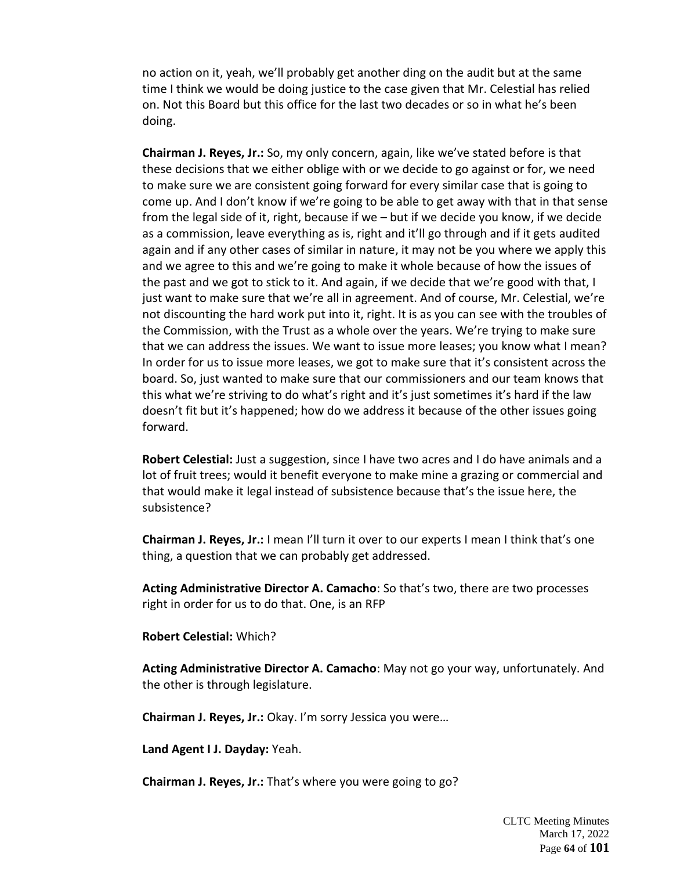no action on it, yeah, we'll probably get another ding on the audit but at the same time I think we would be doing justice to the case given that Mr. Celestial has relied on. Not this Board but this office for the last two decades or so in what he's been doing.

**Chairman J. Reyes, Jr.:** So, my only concern, again, like we've stated before is that these decisions that we either oblige with or we decide to go against or for, we need to make sure we are consistent going forward for every similar case that is going to come up. And I don't know if we're going to be able to get away with that in that sense from the legal side of it, right, because if we – but if we decide you know, if we decide as a commission, leave everything as is, right and it'll go through and if it gets audited again and if any other cases of similar in nature, it may not be you where we apply this and we agree to this and we're going to make it whole because of how the issues of the past and we got to stick to it. And again, if we decide that we're good with that, I just want to make sure that we're all in agreement. And of course, Mr. Celestial, we're not discounting the hard work put into it, right. It is as you can see with the troubles of the Commission, with the Trust as a whole over the years. We're trying to make sure that we can address the issues. We want to issue more leases; you know what I mean? In order for us to issue more leases, we got to make sure that it's consistent across the board. So, just wanted to make sure that our commissioners and our team knows that this what we're striving to do what's right and it's just sometimes it's hard if the law doesn't fit but it's happened; how do we address it because of the other issues going forward.

**Robert Celestial:** Just a suggestion, since I have two acres and I do have animals and a lot of fruit trees; would it benefit everyone to make mine a grazing or commercial and that would make it legal instead of subsistence because that's the issue here, the subsistence?

**Chairman J. Reyes, Jr.:** I mean I'll turn it over to our experts I mean I think that's one thing, a question that we can probably get addressed.

**Acting Administrative Director A. Camacho**: So that's two, there are two processes right in order for us to do that. One, is an RFP

**Robert Celestial:** Which?

**Acting Administrative Director A. Camacho**: May not go your way, unfortunately. And the other is through legislature.

**Chairman J. Reyes, Jr.:** Okay. I'm sorry Jessica you were…

**Land Agent I J. Dayday:** Yeah.

**Chairman J. Reyes, Jr.:** That's where you were going to go?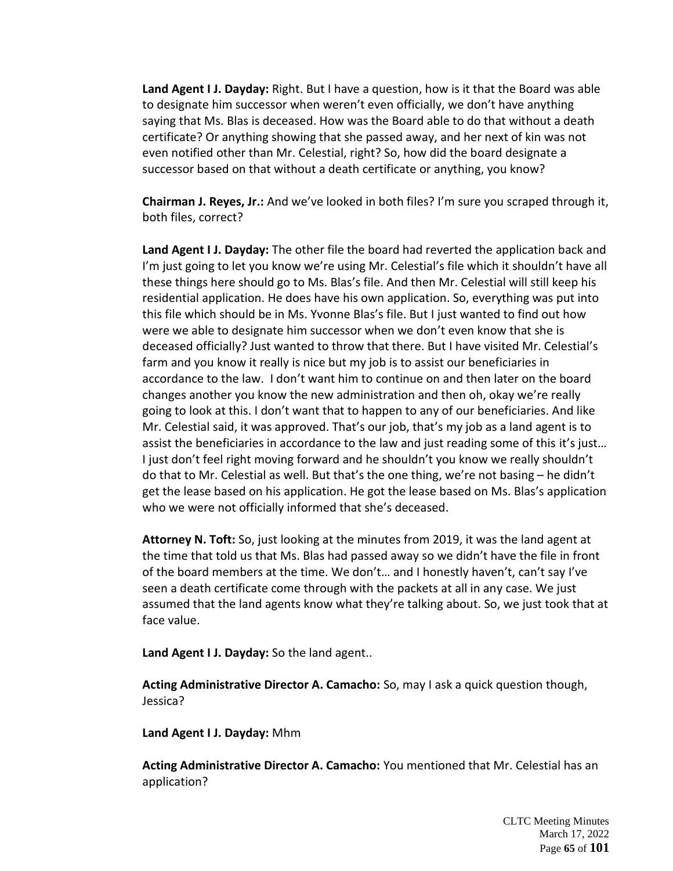**Land Agent I J. Dayday:** Right. But I have a question, how is it that the Board was able to designate him successor when weren't even officially, we don't have anything saying that Ms. Blas is deceased. How was the Board able to do that without a death certificate? Or anything showing that she passed away, and her next of kin was not even notified other than Mr. Celestial, right? So, how did the board designate a successor based on that without a death certificate or anything, you know?

**Chairman J. Reyes, Jr.:** And we've looked in both files? I'm sure you scraped through it, both files, correct?

**Land Agent I J. Dayday:** The other file the board had reverted the application back and I'm just going to let you know we're using Mr. Celestial's file which it shouldn't have all these things here should go to Ms. Blas's file. And then Mr. Celestial will still keep his residential application. He does have his own application. So, everything was put into this file which should be in Ms. Yvonne Blas's file. But I just wanted to find out how were we able to designate him successor when we don't even know that she is deceased officially? Just wanted to throw that there. But I have visited Mr. Celestial's farm and you know it really is nice but my job is to assist our beneficiaries in accordance to the law. I don't want him to continue on and then later on the board changes another you know the new administration and then oh, okay we're really going to look at this. I don't want that to happen to any of our beneficiaries. And like Mr. Celestial said, it was approved. That's our job, that's my job as a land agent is to assist the beneficiaries in accordance to the law and just reading some of this it's just... I just don't feel right moving forward and he shouldn't you know we really shouldn't do that to Mr. Celestial as well. But that's the one thing, we're not basing – he didn't get the lease based on his application. He got the lease based on Ms. Blas's application who we were not officially informed that she's deceased.

**Attorney N. Toft:** So, just looking at the minutes from 2019, it was the land agent at the time that told us that Ms. Blas had passed away so we didn't have the file in front of the board members at the time. We don't… and I honestly haven't, can't say I've seen a death certificate come through with the packets at all in any case. We just assumed that the land agents know what they're talking about. So, we just took that at face value.

**Land Agent I J. Dayday:** So the land agent..

**Acting Administrative Director A. Camacho:** So, may I ask a quick question though, Jessica?

**Land Agent I J. Dayday:** Mhm

**Acting Administrative Director A. Camacho:** You mentioned that Mr. Celestial has an application?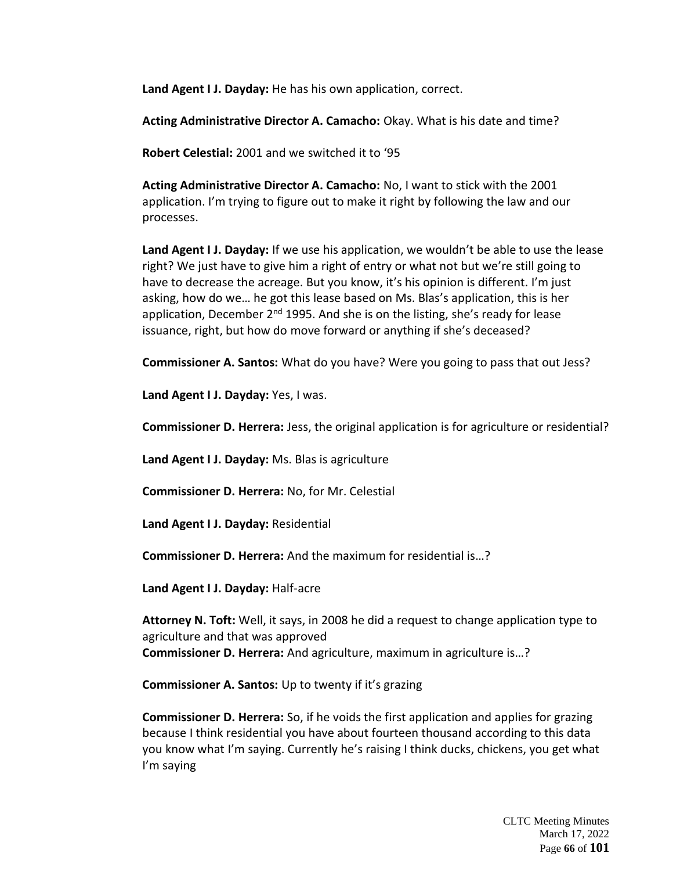**Land Agent I J. Dayday:** He has his own application, correct.

**Acting Administrative Director A. Camacho:** Okay. What is his date and time?

**Robert Celestial:** 2001 and we switched it to '95

**Acting Administrative Director A. Camacho:** No, I want to stick with the 2001 application. I'm trying to figure out to make it right by following the law and our processes.

**Land Agent I J. Dayday:** If we use his application, we wouldn't be able to use the lease right? We just have to give him a right of entry or what not but we're still going to have to decrease the acreage. But you know, it's his opinion is different. I'm just asking, how do we… he got this lease based on Ms. Blas's application, this is her application, December  $2^{nd}$  1995. And she is on the listing, she's ready for lease issuance, right, but how do move forward or anything if she's deceased?

**Commissioner A. Santos:** What do you have? Were you going to pass that out Jess?

**Land Agent I J. Dayday:** Yes, I was.

**Commissioner D. Herrera:** Jess, the original application is for agriculture or residential?

**Land Agent I J. Dayday:** Ms. Blas is agriculture

**Commissioner D. Herrera:** No, for Mr. Celestial

**Land Agent I J. Dayday:** Residential

**Commissioner D. Herrera:** And the maximum for residential is…?

**Land Agent I J. Dayday:** Half-acre

**Attorney N. Toft:** Well, it says, in 2008 he did a request to change application type to agriculture and that was approved **Commissioner D. Herrera:** And agriculture, maximum in agriculture is…?

**Commissioner A. Santos:** Up to twenty if it's grazing

**Commissioner D. Herrera:** So, if he voids the first application and applies for grazing because I think residential you have about fourteen thousand according to this data you know what I'm saying. Currently he's raising I think ducks, chickens, you get what I'm saying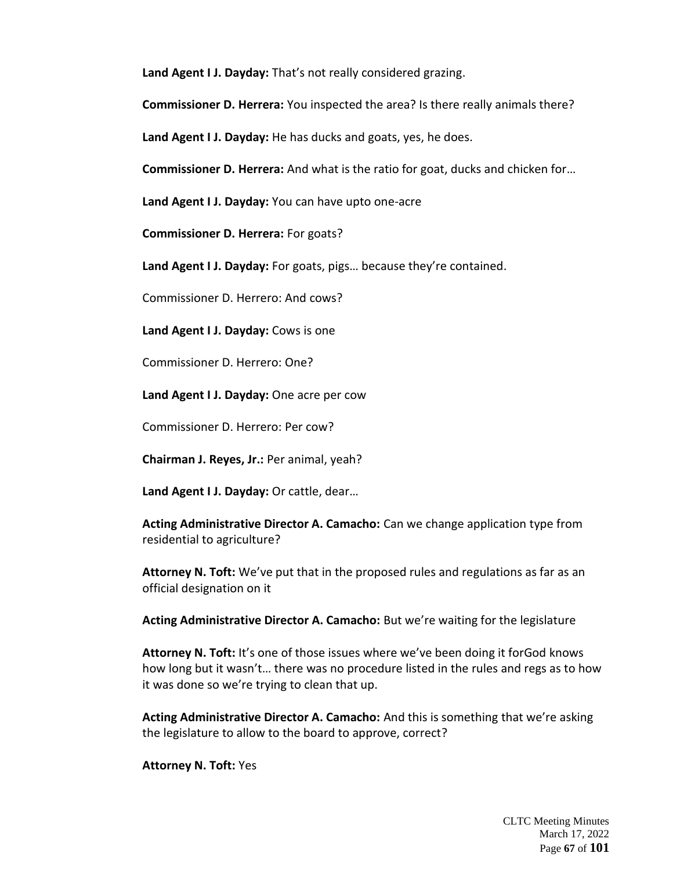**Land Agent I J. Dayday:** That's not really considered grazing.

**Commissioner D. Herrera:** You inspected the area? Is there really animals there?

**Land Agent I J. Dayday:** He has ducks and goats, yes, he does.

**Commissioner D. Herrera:** And what is the ratio for goat, ducks and chicken for…

**Land Agent I J. Dayday:** You can have upto one-acre

**Commissioner D. Herrera:** For goats?

**Land Agent I J. Dayday:** For goats, pigs… because they're contained.

Commissioner D. Herrero: And cows?

**Land Agent I J. Dayday:** Cows is one

Commissioner D. Herrero: One?

**Land Agent I J. Dayday:** One acre per cow

Commissioner D. Herrero: Per cow?

**Chairman J. Reyes, Jr.:** Per animal, yeah?

**Land Agent I J. Dayday:** Or cattle, dear…

**Acting Administrative Director A. Camacho:** Can we change application type from residential to agriculture?

**Attorney N. Toft:** We've put that in the proposed rules and regulations as far as an official designation on it

**Acting Administrative Director A. Camacho:** But we're waiting for the legislature

**Attorney N. Toft:** It's one of those issues where we've been doing it forGod knows how long but it wasn't… there was no procedure listed in the rules and regs as to how it was done so we're trying to clean that up.

**Acting Administrative Director A. Camacho:** And this is something that we're asking the legislature to allow to the board to approve, correct?

**Attorney N. Toft:** Yes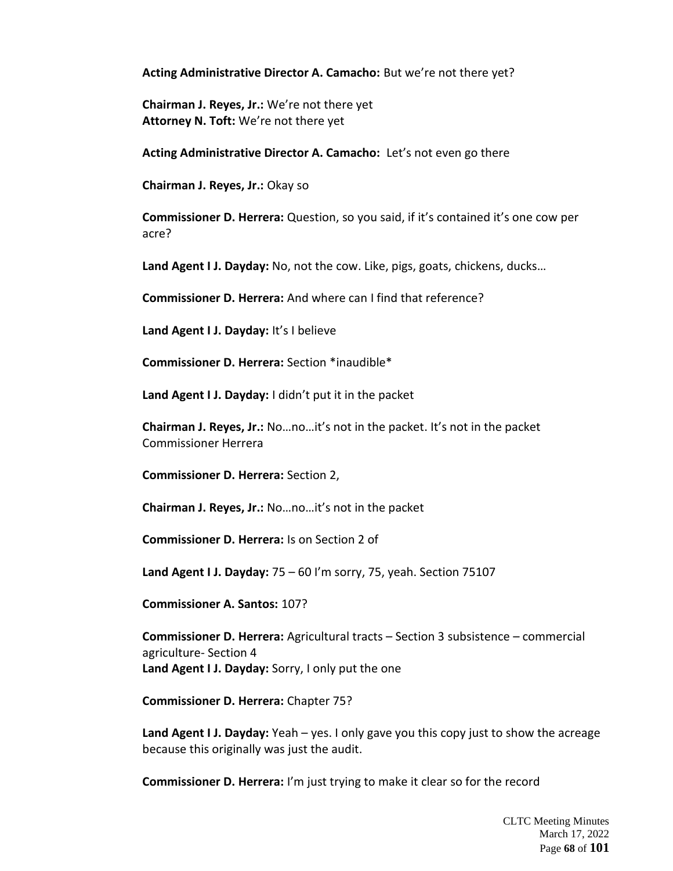**Acting Administrative Director A. Camacho:** But we're not there yet?

**Chairman J. Reyes, Jr.:** We're not there yet **Attorney N. Toft:** We're not there yet

**Acting Administrative Director A. Camacho:** Let's not even go there

**Chairman J. Reyes, Jr.:** Okay so

**Commissioner D. Herrera:** Question, so you said, if it's contained it's one cow per acre?

**Land Agent I J. Dayday:** No, not the cow. Like, pigs, goats, chickens, ducks…

**Commissioner D. Herrera:** And where can I find that reference?

**Land Agent I J. Dayday:** It's I believe

**Commissioner D. Herrera:** Section \*inaudible\*

**Land Agent I J. Dayday:** I didn't put it in the packet

**Chairman J. Reyes, Jr.:** No…no…it's not in the packet. It's not in the packet Commissioner Herrera

**Commissioner D. Herrera:** Section 2,

**Chairman J. Reyes, Jr.:** No…no…it's not in the packet

**Commissioner D. Herrera:** Is on Section 2 of

**Land Agent I J. Dayday:** 75 – 60 I'm sorry, 75, yeah. Section 75107

**Commissioner A. Santos:** 107?

**Commissioner D. Herrera:** Agricultural tracts – Section 3 subsistence – commercial agriculture- Section 4 **Land Agent I J. Dayday:** Sorry, I only put the one

**Commissioner D. Herrera:** Chapter 75?

**Land Agent I J. Dayday:** Yeah – yes. I only gave you this copy just to show the acreage because this originally was just the audit.

**Commissioner D. Herrera:** I'm just trying to make it clear so for the record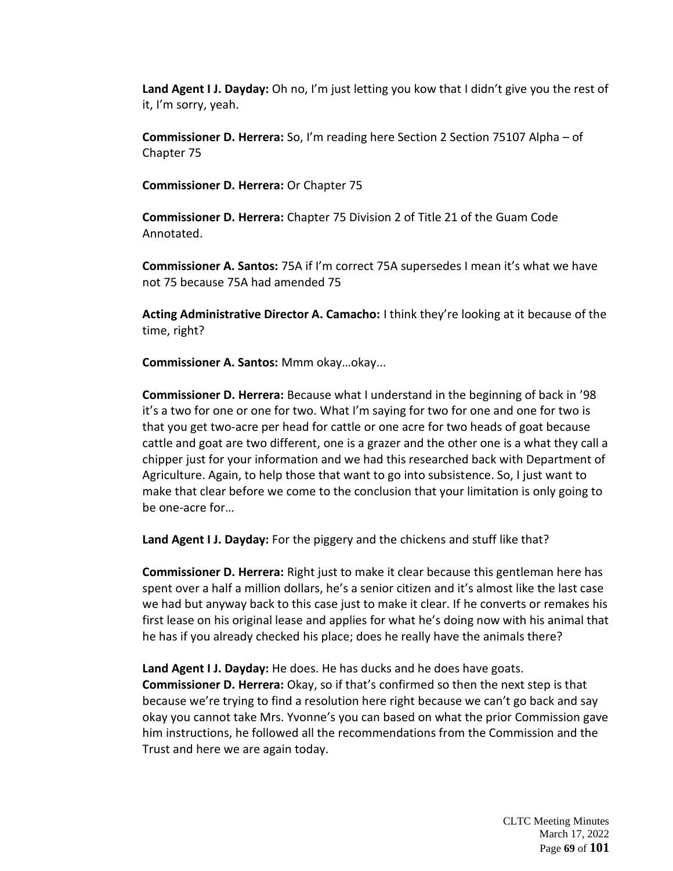**Land Agent I J. Dayday:** Oh no, I'm just letting you kow that I didn't give you the rest of it, I'm sorry, yeah.

**Commissioner D. Herrera:** So, I'm reading here Section 2 Section 75107 Alpha – of Chapter 75

**Commissioner D. Herrera:** Or Chapter 75

**Commissioner D. Herrera:** Chapter 75 Division 2 of Title 21 of the Guam Code Annotated.

**Commissioner A. Santos:** 75A if I'm correct 75A supersedes I mean it's what we have not 75 because 75A had amended 75

**Acting Administrative Director A. Camacho:** I think they're looking at it because of the time, right?

**Commissioner A. Santos:** Mmm okay…okay...

**Commissioner D. Herrera:** Because what I understand in the beginning of back in '98 it's a two for one or one for two. What I'm saying for two for one and one for two is that you get two-acre per head for cattle or one acre for two heads of goat because cattle and goat are two different, one is a grazer and the other one is a what they call a chipper just for your information and we had this researched back with Department of Agriculture. Again, to help those that want to go into subsistence. So, I just want to make that clear before we come to the conclusion that your limitation is only going to be one-acre for…

**Land Agent I J. Dayday:** For the piggery and the chickens and stuff like that?

**Commissioner D. Herrera:** Right just to make it clear because this gentleman here has spent over a half a million dollars, he's a senior citizen and it's almost like the last case we had but anyway back to this case just to make it clear. If he converts or remakes his first lease on his original lease and applies for what he's doing now with his animal that he has if you already checked his place; does he really have the animals there?

**Land Agent I J. Dayday:** He does. He has ducks and he does have goats. **Commissioner D. Herrera:** Okay, so if that's confirmed so then the next step is that because we're trying to find a resolution here right because we can't go back and say okay you cannot take Mrs. Yvonne's you can based on what the prior Commission gave him instructions, he followed all the recommendations from the Commission and the Trust and here we are again today.

> CLTC Meeting Minutes March 17, 2022 Page **69** of **101**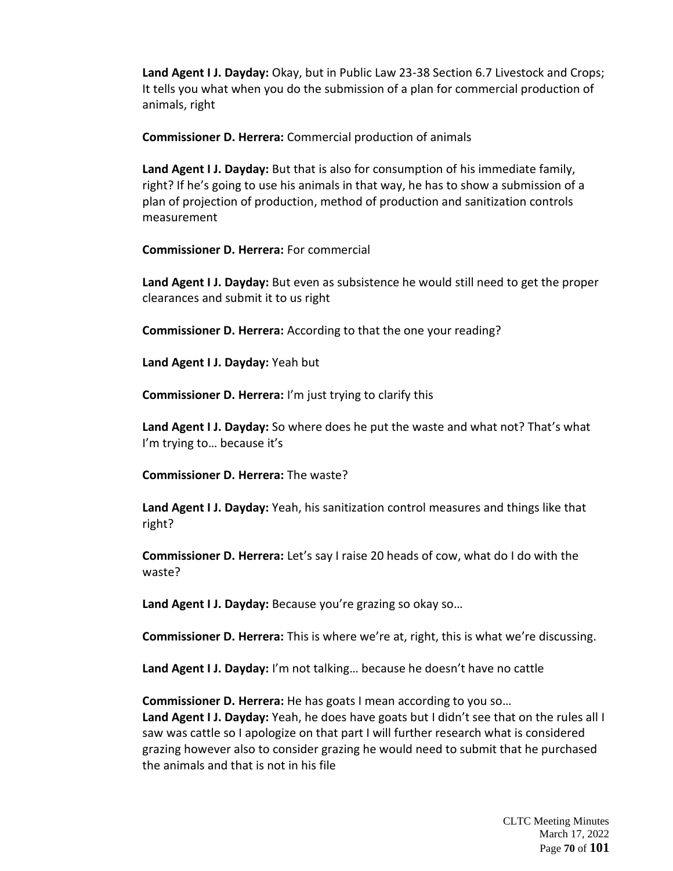**Land Agent I J. Dayday:** Okay, but in Public Law 23-38 Section 6.7 Livestock and Crops; It tells you what when you do the submission of a plan for commercial production of animals, right

**Commissioner D. Herrera:** Commercial production of animals

**Land Agent I J. Dayday:** But that is also for consumption of his immediate family, right? If he's going to use his animals in that way, he has to show a submission of a plan of projection of production, method of production and sanitization controls measurement

**Commissioner D. Herrera:** For commercial

**Land Agent I J. Dayday:** But even as subsistence he would still need to get the proper clearances and submit it to us right

**Commissioner D. Herrera:** According to that the one your reading?

**Land Agent I J. Dayday:** Yeah but

**Commissioner D. Herrera:** I'm just trying to clarify this

**Land Agent I J. Dayday:** So where does he put the waste and what not? That's what I'm trying to… because it's

**Commissioner D. Herrera:** The waste?

**Land Agent I J. Dayday:** Yeah, his sanitization control measures and things like that right?

**Commissioner D. Herrera:** Let's say I raise 20 heads of cow, what do I do with the waste?

**Land Agent I J. Dayday:** Because you're grazing so okay so…

**Commissioner D. Herrera:** This is where we're at, right, this is what we're discussing.

**Land Agent I J. Dayday:** I'm not talking… because he doesn't have no cattle

**Commissioner D. Herrera:** He has goats I mean according to you so… **Land Agent I J. Dayday:** Yeah, he does have goats but I didn't see that on the rules all I saw was cattle so I apologize on that part I will further research what is considered grazing however also to consider grazing he would need to submit that he purchased the animals and that is not in his file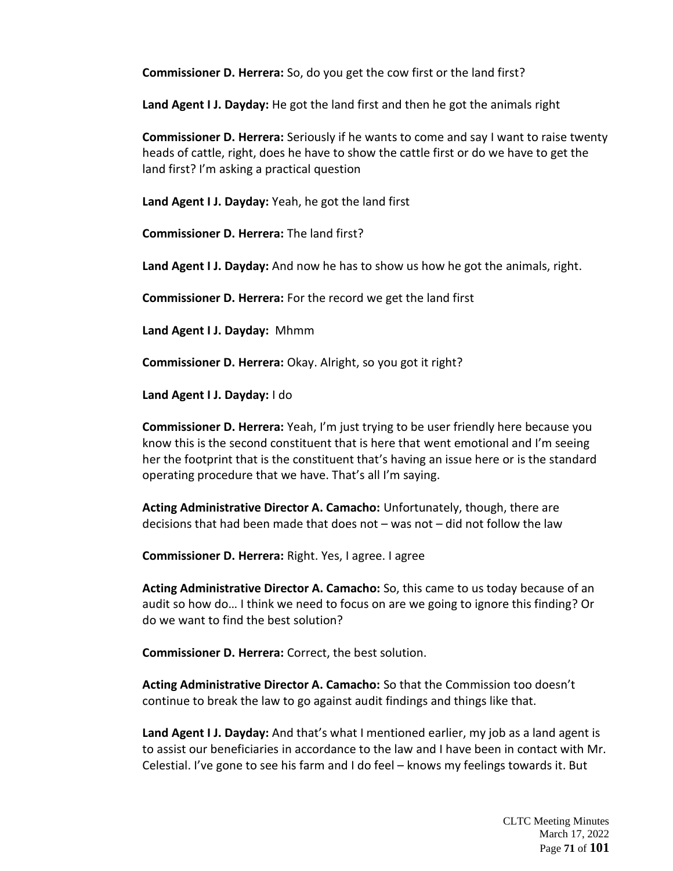**Commissioner D. Herrera:** So, do you get the cow first or the land first?

**Land Agent I J. Dayday:** He got the land first and then he got the animals right

**Commissioner D. Herrera:** Seriously if he wants to come and say I want to raise twenty heads of cattle, right, does he have to show the cattle first or do we have to get the land first? I'm asking a practical question

**Land Agent I J. Dayday:** Yeah, he got the land first

**Commissioner D. Herrera:** The land first?

**Land Agent I J. Dayday:** And now he has to show us how he got the animals, right.

**Commissioner D. Herrera:** For the record we get the land first

**Land Agent I J. Dayday:** Mhmm

**Commissioner D. Herrera:** Okay. Alright, so you got it right?

**Land Agent I J. Dayday:** I do

**Commissioner D. Herrera:** Yeah, I'm just trying to be user friendly here because you know this is the second constituent that is here that went emotional and I'm seeing her the footprint that is the constituent that's having an issue here or is the standard operating procedure that we have. That's all I'm saying.

**Acting Administrative Director A. Camacho:** Unfortunately, though, there are decisions that had been made that does not – was not – did not follow the law

**Commissioner D. Herrera:** Right. Yes, I agree. I agree

**Acting Administrative Director A. Camacho:** So, this came to us today because of an audit so how do… I think we need to focus on are we going to ignore this finding? Or do we want to find the best solution?

**Commissioner D. Herrera:** Correct, the best solution.

**Acting Administrative Director A. Camacho:** So that the Commission too doesn't continue to break the law to go against audit findings and things like that.

**Land Agent I J. Dayday:** And that's what I mentioned earlier, my job as a land agent is to assist our beneficiaries in accordance to the law and I have been in contact with Mr. Celestial. I've gone to see his farm and I do feel – knows my feelings towards it. But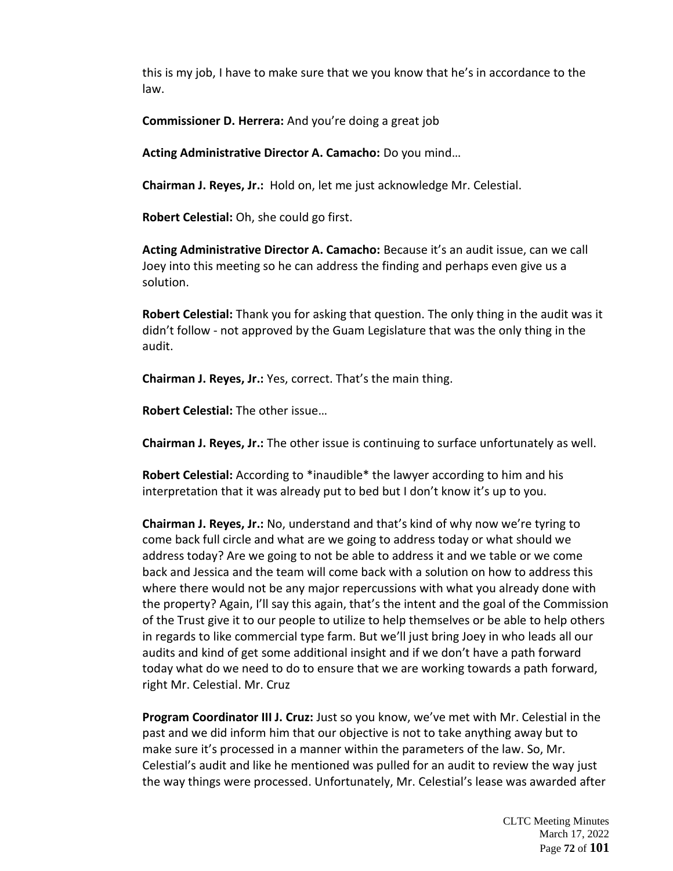this is my job, I have to make sure that we you know that he's in accordance to the law.

**Commissioner D. Herrera:** And you're doing a great job

**Acting Administrative Director A. Camacho:** Do you mind…

**Chairman J. Reyes, Jr.:** Hold on, let me just acknowledge Mr. Celestial.

**Robert Celestial:** Oh, she could go first.

**Acting Administrative Director A. Camacho:** Because it's an audit issue, can we call Joey into this meeting so he can address the finding and perhaps even give us a solution.

**Robert Celestial:** Thank you for asking that question. The only thing in the audit was it didn't follow - not approved by the Guam Legislature that was the only thing in the audit.

**Chairman J. Reyes, Jr.:** Yes, correct. That's the main thing.

**Robert Celestial:** The other issue…

**Chairman J. Reyes, Jr.:** The other issue is continuing to surface unfortunately as well.

**Robert Celestial:** According to \*inaudible\* the lawyer according to him and his interpretation that it was already put to bed but I don't know it's up to you.

**Chairman J. Reyes, Jr.:** No, understand and that's kind of why now we're tyring to come back full circle and what are we going to address today or what should we address today? Are we going to not be able to address it and we table or we come back and Jessica and the team will come back with a solution on how to address this where there would not be any major repercussions with what you already done with the property? Again, I'll say this again, that's the intent and the goal of the Commission of the Trust give it to our people to utilize to help themselves or be able to help others in regards to like commercial type farm. But we'll just bring Joey in who leads all our audits and kind of get some additional insight and if we don't have a path forward today what do we need to do to ensure that we are working towards a path forward, right Mr. Celestial. Mr. Cruz

**Program Coordinator III J. Cruz:** Just so you know, we've met with Mr. Celestial in the past and we did inform him that our objective is not to take anything away but to make sure it's processed in a manner within the parameters of the law. So, Mr. Celestial's audit and like he mentioned was pulled for an audit to review the way just the way things were processed. Unfortunately, Mr. Celestial's lease was awarded after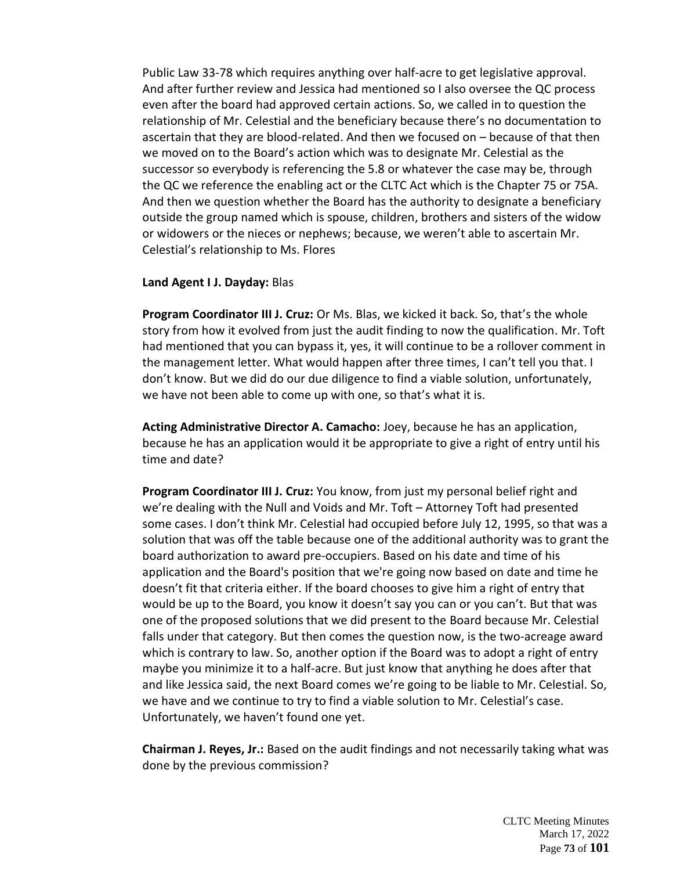Public Law 33-78 which requires anything over half-acre to get legislative approval. And after further review and Jessica had mentioned so I also oversee the QC process even after the board had approved certain actions. So, we called in to question the relationship of Mr. Celestial and the beneficiary because there's no documentation to ascertain that they are blood-related. And then we focused on – because of that then we moved on to the Board's action which was to designate Mr. Celestial as the successor so everybody is referencing the 5.8 or whatever the case may be, through the QC we reference the enabling act or the CLTC Act which is the Chapter 75 or 75A. And then we question whether the Board has the authority to designate a beneficiary outside the group named which is spouse, children, brothers and sisters of the widow or widowers or the nieces or nephews; because, we weren't able to ascertain Mr. Celestial's relationship to Ms. Flores

### **Land Agent I J. Dayday:** Blas

**Program Coordinator III J. Cruz:** Or Ms. Blas, we kicked it back. So, that's the whole story from how it evolved from just the audit finding to now the qualification. Mr. Toft had mentioned that you can bypass it, yes, it will continue to be a rollover comment in the management letter. What would happen after three times, I can't tell you that. I don't know. But we did do our due diligence to find a viable solution, unfortunately, we have not been able to come up with one, so that's what it is.

**Acting Administrative Director A. Camacho:** Joey, because he has an application, because he has an application would it be appropriate to give a right of entry until his time and date?

**Program Coordinator III J. Cruz:** You know, from just my personal belief right and we're dealing with the Null and Voids and Mr. Toft – Attorney Toft had presented some cases. I don't think Mr. Celestial had occupied before July 12, 1995, so that was a solution that was off the table because one of the additional authority was to grant the board authorization to award pre-occupiers. Based on his date and time of his application and the Board's position that we're going now based on date and time he doesn't fit that criteria either. If the board chooses to give him a right of entry that would be up to the Board, you know it doesn't say you can or you can't. But that was one of the proposed solutions that we did present to the Board because Mr. Celestial falls under that category. But then comes the question now, is the two-acreage award which is contrary to law. So, another option if the Board was to adopt a right of entry maybe you minimize it to a half-acre. But just know that anything he does after that and like Jessica said, the next Board comes we're going to be liable to Mr. Celestial. So, we have and we continue to try to find a viable solution to Mr. Celestial's case. Unfortunately, we haven't found one yet.

**Chairman J. Reyes, Jr.:** Based on the audit findings and not necessarily taking what was done by the previous commission?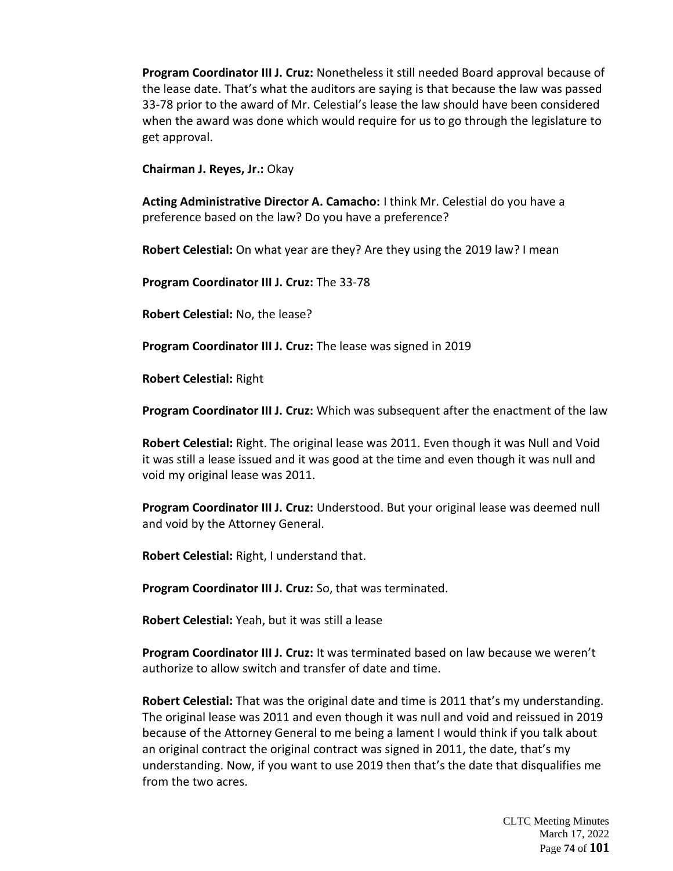**Program Coordinator III J. Cruz:** Nonetheless it still needed Board approval because of the lease date. That's what the auditors are saying is that because the law was passed 33-78 prior to the award of Mr. Celestial's lease the law should have been considered when the award was done which would require for us to go through the legislature to get approval.

**Chairman J. Reyes, Jr.:** Okay

**Acting Administrative Director A. Camacho:** I think Mr. Celestial do you have a preference based on the law? Do you have a preference?

**Robert Celestial:** On what year are they? Are they using the 2019 law? I mean

**Program Coordinator III J. Cruz:** The 33-78

**Robert Celestial:** No, the lease?

**Program Coordinator III J. Cruz:** The lease was signed in 2019

**Robert Celestial:** Right

**Program Coordinator III J. Cruz:** Which was subsequent after the enactment of the law

**Robert Celestial:** Right. The original lease was 2011. Even though it was Null and Void it was still a lease issued and it was good at the time and even though it was null and void my original lease was 2011.

**Program Coordinator III J. Cruz:** Understood. But your original lease was deemed null and void by the Attorney General.

**Robert Celestial:** Right, I understand that.

**Program Coordinator III J. Cruz:** So, that was terminated.

**Robert Celestial:** Yeah, but it was still a lease

**Program Coordinator III J. Cruz:** It was terminated based on law because we weren't authorize to allow switch and transfer of date and time.

**Robert Celestial:** That was the original date and time is 2011 that's my understanding. The original lease was 2011 and even though it was null and void and reissued in 2019 because of the Attorney General to me being a lament I would think if you talk about an original contract the original contract was signed in 2011, the date, that's my understanding. Now, if you want to use 2019 then that's the date that disqualifies me from the two acres.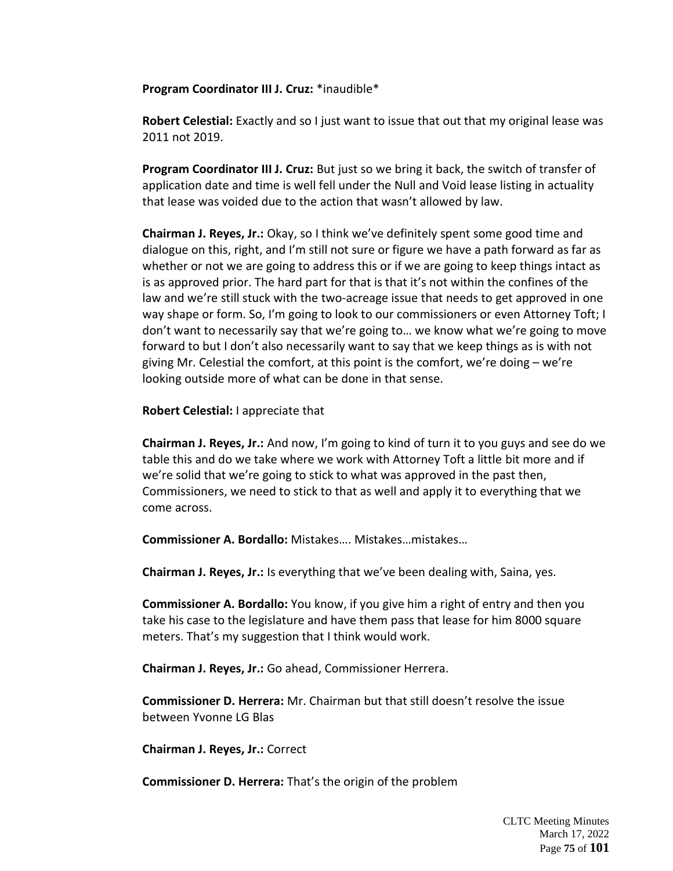**Program Coordinator III J. Cruz:** \*inaudible\*

**Robert Celestial:** Exactly and so I just want to issue that out that my original lease was 2011 not 2019.

**Program Coordinator III J. Cruz:** But just so we bring it back, the switch of transfer of application date and time is well fell under the Null and Void lease listing in actuality that lease was voided due to the action that wasn't allowed by law.

**Chairman J. Reyes, Jr.:** Okay, so I think we've definitely spent some good time and dialogue on this, right, and I'm still not sure or figure we have a path forward as far as whether or not we are going to address this or if we are going to keep things intact as is as approved prior. The hard part for that is that it's not within the confines of the law and we're still stuck with the two-acreage issue that needs to get approved in one way shape or form. So, I'm going to look to our commissioners or even Attorney Toft; I don't want to necessarily say that we're going to… we know what we're going to move forward to but I don't also necessarily want to say that we keep things as is with not giving Mr. Celestial the comfort, at this point is the comfort, we're doing – we're looking outside more of what can be done in that sense.

**Robert Celestial:** I appreciate that

**Chairman J. Reyes, Jr.:** And now, I'm going to kind of turn it to you guys and see do we table this and do we take where we work with Attorney Toft a little bit more and if we're solid that we're going to stick to what was approved in the past then, Commissioners, we need to stick to that as well and apply it to everything that we come across.

**Commissioner A. Bordallo:** Mistakes…. Mistakes…mistakes…

**Chairman J. Reyes, Jr.:** Is everything that we've been dealing with, Saina, yes.

**Commissioner A. Bordallo:** You know, if you give him a right of entry and then you take his case to the legislature and have them pass that lease for him 8000 square meters. That's my suggestion that I think would work.

**Chairman J. Reyes, Jr.:** Go ahead, Commissioner Herrera.

**Commissioner D. Herrera:** Mr. Chairman but that still doesn't resolve the issue between Yvonne LG Blas

**Chairman J. Reyes, Jr.:** Correct

**Commissioner D. Herrera:** That's the origin of the problem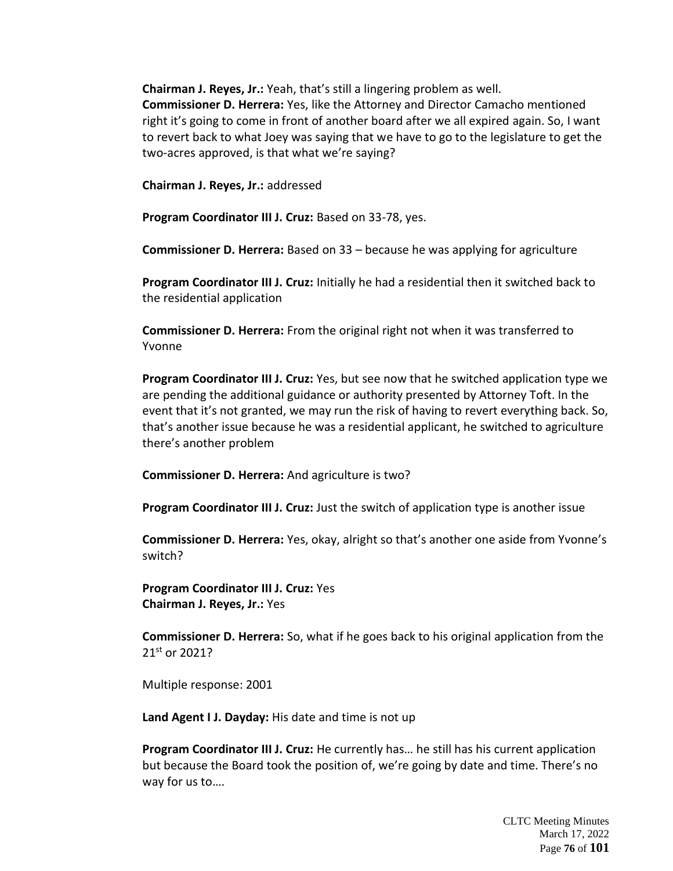**Chairman J. Reyes, Jr.:** Yeah, that's still a lingering problem as well. **Commissioner D. Herrera:** Yes, like the Attorney and Director Camacho mentioned right it's going to come in front of another board after we all expired again. So, I want to revert back to what Joey was saying that we have to go to the legislature to get the two-acres approved, is that what we're saying?

**Chairman J. Reyes, Jr.:** addressed

**Program Coordinator III J. Cruz:** Based on 33-78, yes.

**Commissioner D. Herrera:** Based on 33 – because he was applying for agriculture

**Program Coordinator III J. Cruz:** Initially he had a residential then it switched back to the residential application

**Commissioner D. Herrera:** From the original right not when it was transferred to Yvonne

**Program Coordinator III J. Cruz:** Yes, but see now that he switched application type we are pending the additional guidance or authority presented by Attorney Toft. In the event that it's not granted, we may run the risk of having to revert everything back. So, that's another issue because he was a residential applicant, he switched to agriculture there's another problem

**Commissioner D. Herrera:** And agriculture is two?

**Program Coordinator III J. Cruz:** Just the switch of application type is another issue

**Commissioner D. Herrera:** Yes, okay, alright so that's another one aside from Yvonne's switch?

**Program Coordinator III J. Cruz:** Yes **Chairman J. Reyes, Jr.:** Yes

**Commissioner D. Herrera:** So, what if he goes back to his original application from the 21st or 2021?

Multiple response: 2001

**Land Agent I J. Dayday:** His date and time is not up

**Program Coordinator III J. Cruz:** He currently has… he still has his current application but because the Board took the position of, we're going by date and time. There's no way for us to….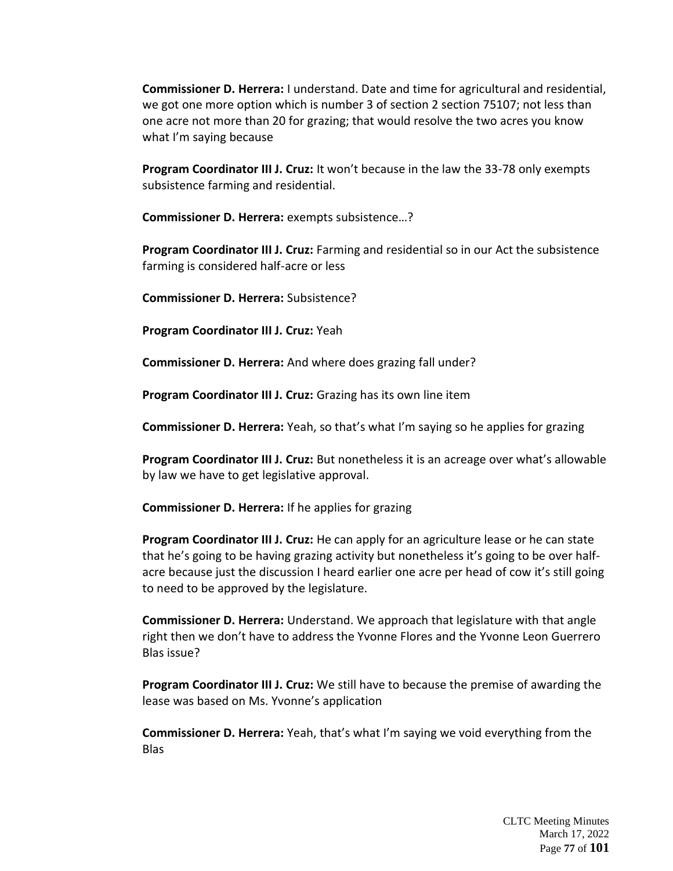**Commissioner D. Herrera:** I understand. Date and time for agricultural and residential, we got one more option which is number 3 of section 2 section 75107; not less than one acre not more than 20 for grazing; that would resolve the two acres you know what I'm saying because

**Program Coordinator III J. Cruz:** It won't because in the law the 33-78 only exempts subsistence farming and residential.

**Commissioner D. Herrera:** exempts subsistence…?

**Program Coordinator III J. Cruz:** Farming and residential so in our Act the subsistence farming is considered half-acre or less

**Commissioner D. Herrera:** Subsistence?

**Program Coordinator III J. Cruz:** Yeah

**Commissioner D. Herrera:** And where does grazing fall under?

**Program Coordinator III J. Cruz:** Grazing has its own line item

**Commissioner D. Herrera:** Yeah, so that's what I'm saying so he applies for grazing

**Program Coordinator III J. Cruz:** But nonetheless it is an acreage over what's allowable by law we have to get legislative approval.

**Commissioner D. Herrera:** If he applies for grazing

**Program Coordinator III J. Cruz:** He can apply for an agriculture lease or he can state that he's going to be having grazing activity but nonetheless it's going to be over halfacre because just the discussion I heard earlier one acre per head of cow it's still going to need to be approved by the legislature.

**Commissioner D. Herrera:** Understand. We approach that legislature with that angle right then we don't have to address the Yvonne Flores and the Yvonne Leon Guerrero Blas issue?

**Program Coordinator III J. Cruz:** We still have to because the premise of awarding the lease was based on Ms. Yvonne's application

**Commissioner D. Herrera:** Yeah, that's what I'm saying we void everything from the Blas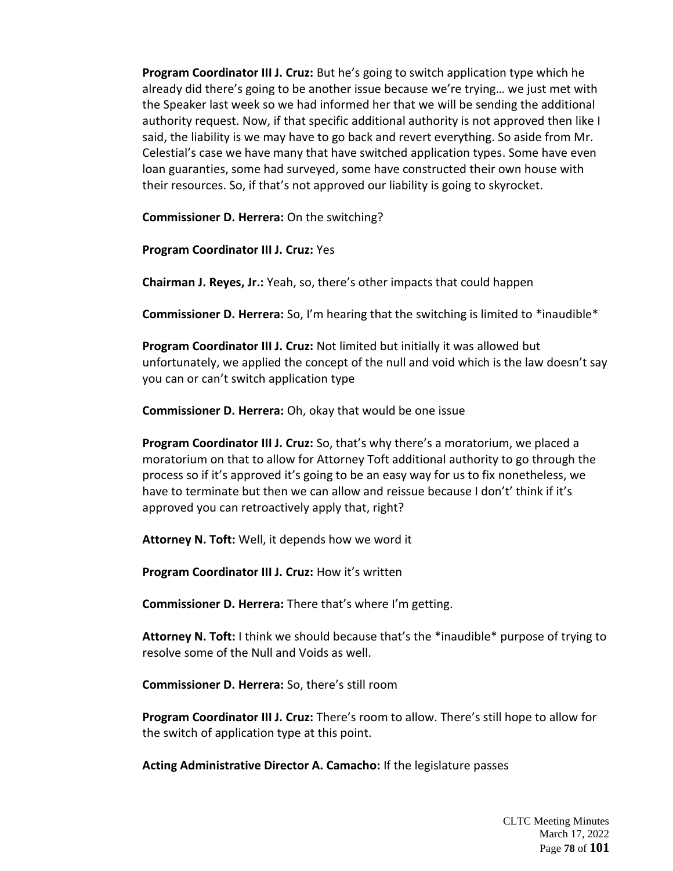**Program Coordinator III J. Cruz:** But he's going to switch application type which he already did there's going to be another issue because we're trying… we just met with the Speaker last week so we had informed her that we will be sending the additional authority request. Now, if that specific additional authority is not approved then like I said, the liability is we may have to go back and revert everything. So aside from Mr. Celestial's case we have many that have switched application types. Some have even loan guaranties, some had surveyed, some have constructed their own house with their resources. So, if that's not approved our liability is going to skyrocket.

**Commissioner D. Herrera:** On the switching?

**Program Coordinator III J. Cruz:** Yes

**Chairman J. Reyes, Jr.:** Yeah, so, there's other impacts that could happen

**Commissioner D. Herrera:** So, I'm hearing that the switching is limited to \*inaudible\*

**Program Coordinator III J. Cruz:** Not limited but initially it was allowed but unfortunately, we applied the concept of the null and void which is the law doesn't say you can or can't switch application type

**Commissioner D. Herrera:** Oh, okay that would be one issue

**Program Coordinator III J. Cruz:** So, that's why there's a moratorium, we placed a moratorium on that to allow for Attorney Toft additional authority to go through the process so if it's approved it's going to be an easy way for us to fix nonetheless, we have to terminate but then we can allow and reissue because I don't' think if it's approved you can retroactively apply that, right?

**Attorney N. Toft:** Well, it depends how we word it

**Program Coordinator III J. Cruz:** How it's written

**Commissioner D. Herrera:** There that's where I'm getting.

**Attorney N. Toft:** I think we should because that's the \*inaudible\* purpose of trying to resolve some of the Null and Voids as well.

**Commissioner D. Herrera:** So, there's still room

**Program Coordinator III J. Cruz:** There's room to allow. There's still hope to allow for the switch of application type at this point.

**Acting Administrative Director A. Camacho:** If the legislature passes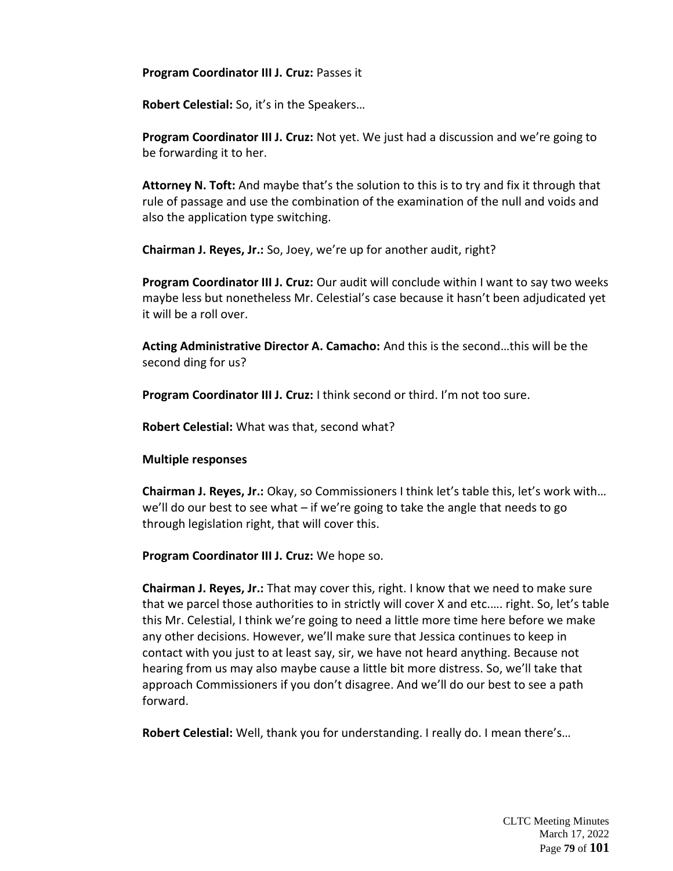**Program Coordinator III J. Cruz:** Passes it

**Robert Celestial:** So, it's in the Speakers…

**Program Coordinator III J. Cruz:** Not yet. We just had a discussion and we're going to be forwarding it to her.

**Attorney N. Toft:** And maybe that's the solution to this is to try and fix it through that rule of passage and use the combination of the examination of the null and voids and also the application type switching.

**Chairman J. Reyes, Jr.:** So, Joey, we're up for another audit, right?

**Program Coordinator III J. Cruz:** Our audit will conclude within I want to say two weeks maybe less but nonetheless Mr. Celestial's case because it hasn't been adjudicated yet it will be a roll over.

**Acting Administrative Director A. Camacho:** And this is the second…this will be the second ding for us?

**Program Coordinator III J. Cruz:** I think second or third. I'm not too sure.

**Robert Celestial:** What was that, second what?

**Multiple responses**

**Chairman J. Reyes, Jr.:** Okay, so Commissioners I think let's table this, let's work with… we'll do our best to see what – if we're going to take the angle that needs to go through legislation right, that will cover this.

**Program Coordinator III J. Cruz:** We hope so.

**Chairman J. Reyes, Jr.:** That may cover this, right. I know that we need to make sure that we parcel those authorities to in strictly will cover X and etc.…. right. So, let's table this Mr. Celestial, I think we're going to need a little more time here before we make any other decisions. However, we'll make sure that Jessica continues to keep in contact with you just to at least say, sir, we have not heard anything. Because not hearing from us may also maybe cause a little bit more distress. So, we'll take that approach Commissioners if you don't disagree. And we'll do our best to see a path forward.

**Robert Celestial:** Well, thank you for understanding. I really do. I mean there's…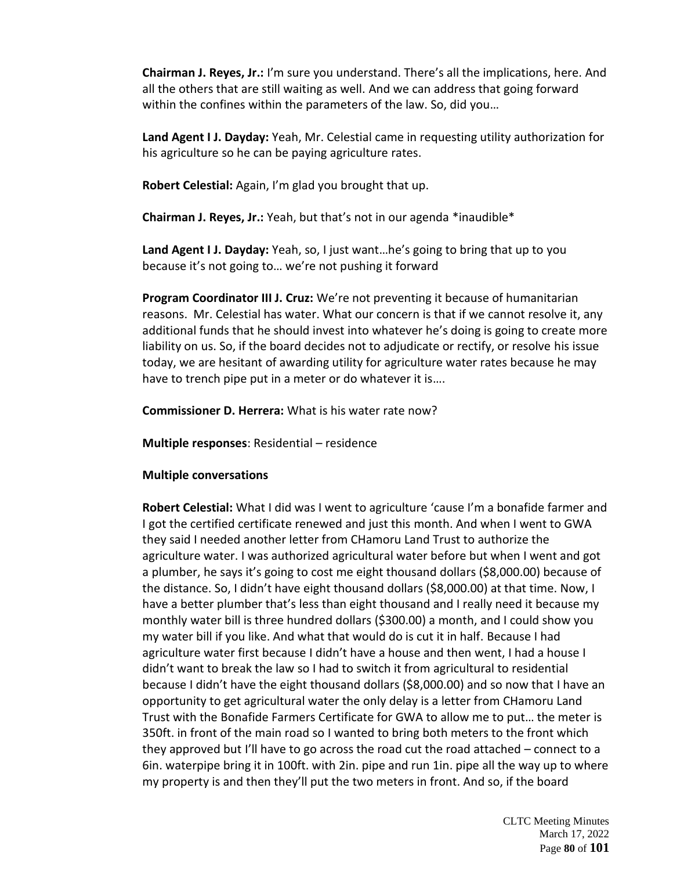**Chairman J. Reyes, Jr.:** I'm sure you understand. There's all the implications, here. And all the others that are still waiting as well. And we can address that going forward within the confines within the parameters of the law. So, did you…

**Land Agent I J. Dayday:** Yeah, Mr. Celestial came in requesting utility authorization for his agriculture so he can be paying agriculture rates.

**Robert Celestial:** Again, I'm glad you brought that up.

**Chairman J. Reyes, Jr.:** Yeah, but that's not in our agenda \*inaudible\*

**Land Agent I J. Dayday:** Yeah, so, I just want…he's going to bring that up to you because it's not going to… we're not pushing it forward

**Program Coordinator III J. Cruz:** We're not preventing it because of humanitarian reasons. Mr. Celestial has water. What our concern is that if we cannot resolve it, any additional funds that he should invest into whatever he's doing is going to create more liability on us. So, if the board decides not to adjudicate or rectify, or resolve his issue today, we are hesitant of awarding utility for agriculture water rates because he may have to trench pipe put in a meter or do whatever it is….

**Commissioner D. Herrera:** What is his water rate now?

**Multiple responses**: Residential – residence

## **Multiple conversations**

**Robert Celestial:** What I did was I went to agriculture 'cause I'm a bonafide farmer and I got the certified certificate renewed and just this month. And when I went to GWA they said I needed another letter from CHamoru Land Trust to authorize the agriculture water. I was authorized agricultural water before but when I went and got a plumber, he says it's going to cost me eight thousand dollars (\$8,000.00) because of the distance. So, I didn't have eight thousand dollars (\$8,000.00) at that time. Now, I have a better plumber that's less than eight thousand and I really need it because my monthly water bill is three hundred dollars (\$300.00) a month, and I could show you my water bill if you like. And what that would do is cut it in half. Because I had agriculture water first because I didn't have a house and then went, I had a house I didn't want to break the law so I had to switch it from agricultural to residential because I didn't have the eight thousand dollars (\$8,000.00) and so now that I have an opportunity to get agricultural water the only delay is a letter from CHamoru Land Trust with the Bonafide Farmers Certificate for GWA to allow me to put… the meter is 350ft. in front of the main road so I wanted to bring both meters to the front which they approved but I'll have to go across the road cut the road attached – connect to a 6in. waterpipe bring it in 100ft. with 2in. pipe and run 1in. pipe all the way up to where my property is and then they'll put the two meters in front. And so, if the board

> CLTC Meeting Minutes March 17, 2022 Page **80** of **101**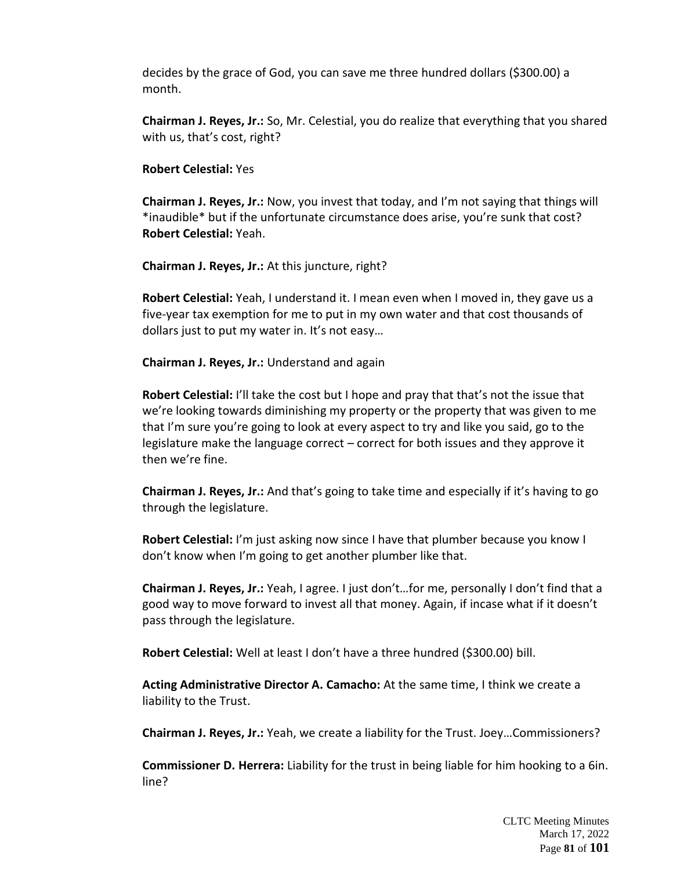decides by the grace of God, you can save me three hundred dollars (\$300.00) a month.

**Chairman J. Reyes, Jr.:** So, Mr. Celestial, you do realize that everything that you shared with us, that's cost, right?

### **Robert Celestial:** Yes

**Chairman J. Reyes, Jr.:** Now, you invest that today, and I'm not saying that things will \*inaudible\* but if the unfortunate circumstance does arise, you're sunk that cost? **Robert Celestial:** Yeah.

**Chairman J. Reyes, Jr.:** At this juncture, right?

**Robert Celestial:** Yeah, I understand it. I mean even when I moved in, they gave us a five-year tax exemption for me to put in my own water and that cost thousands of dollars just to put my water in. It's not easy…

**Chairman J. Reyes, Jr.:** Understand and again

**Robert Celestial:** I'll take the cost but I hope and pray that that's not the issue that we're looking towards diminishing my property or the property that was given to me that I'm sure you're going to look at every aspect to try and like you said, go to the legislature make the language correct – correct for both issues and they approve it then we're fine.

**Chairman J. Reyes, Jr.:** And that's going to take time and especially if it's having to go through the legislature.

**Robert Celestial:** I'm just asking now since I have that plumber because you know I don't know when I'm going to get another plumber like that.

**Chairman J. Reyes, Jr.:** Yeah, I agree. I just don't…for me, personally I don't find that a good way to move forward to invest all that money. Again, if incase what if it doesn't pass through the legislature.

**Robert Celestial:** Well at least I don't have a three hundred (\$300.00) bill.

**Acting Administrative Director A. Camacho:** At the same time, I think we create a liability to the Trust.

**Chairman J. Reyes, Jr.:** Yeah, we create a liability for the Trust. Joey…Commissioners?

**Commissioner D. Herrera:** Liability for the trust in being liable for him hooking to a 6in. line?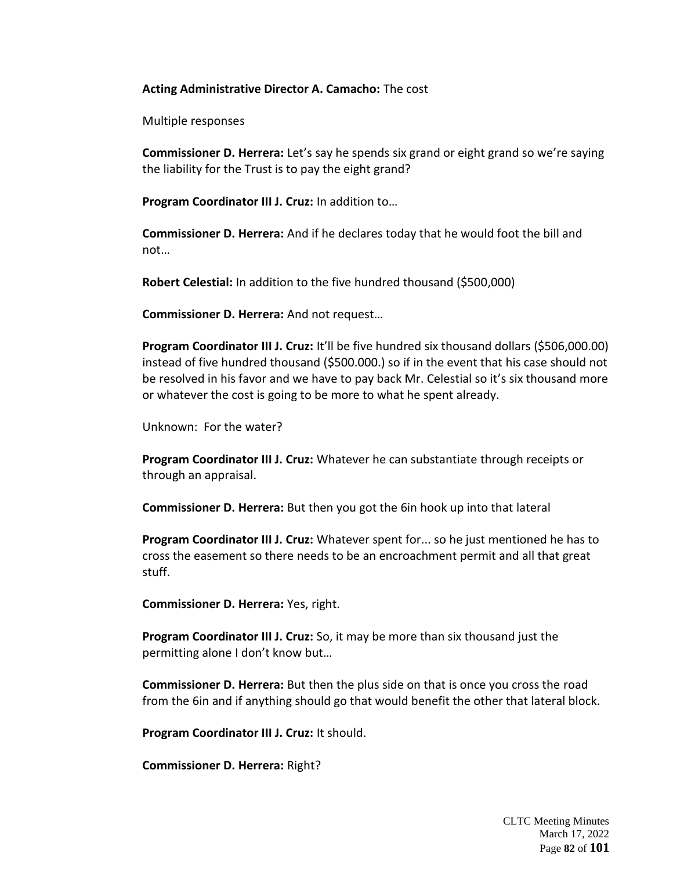### **Acting Administrative Director A. Camacho:** The cost

Multiple responses

**Commissioner D. Herrera:** Let's say he spends six grand or eight grand so we're saying the liability for the Trust is to pay the eight grand?

**Program Coordinator III J. Cruz:** In addition to…

**Commissioner D. Herrera:** And if he declares today that he would foot the bill and not…

**Robert Celestial:** In addition to the five hundred thousand (\$500,000)

**Commissioner D. Herrera:** And not request…

**Program Coordinator III J. Cruz:** It'll be five hundred six thousand dollars (\$506,000.00) instead of five hundred thousand (\$500.000.) so if in the event that his case should not be resolved in his favor and we have to pay back Mr. Celestial so it's six thousand more or whatever the cost is going to be more to what he spent already.

Unknown: For the water?

**Program Coordinator III J. Cruz:** Whatever he can substantiate through receipts or through an appraisal.

**Commissioner D. Herrera:** But then you got the 6in hook up into that lateral

**Program Coordinator III J. Cruz:** Whatever spent for... so he just mentioned he has to cross the easement so there needs to be an encroachment permit and all that great stuff.

**Commissioner D. Herrera:** Yes, right.

**Program Coordinator III J. Cruz:** So, it may be more than six thousand just the permitting alone I don't know but…

**Commissioner D. Herrera:** But then the plus side on that is once you cross the road from the 6in and if anything should go that would benefit the other that lateral block.

**Program Coordinator III J. Cruz:** It should.

**Commissioner D. Herrera:** Right?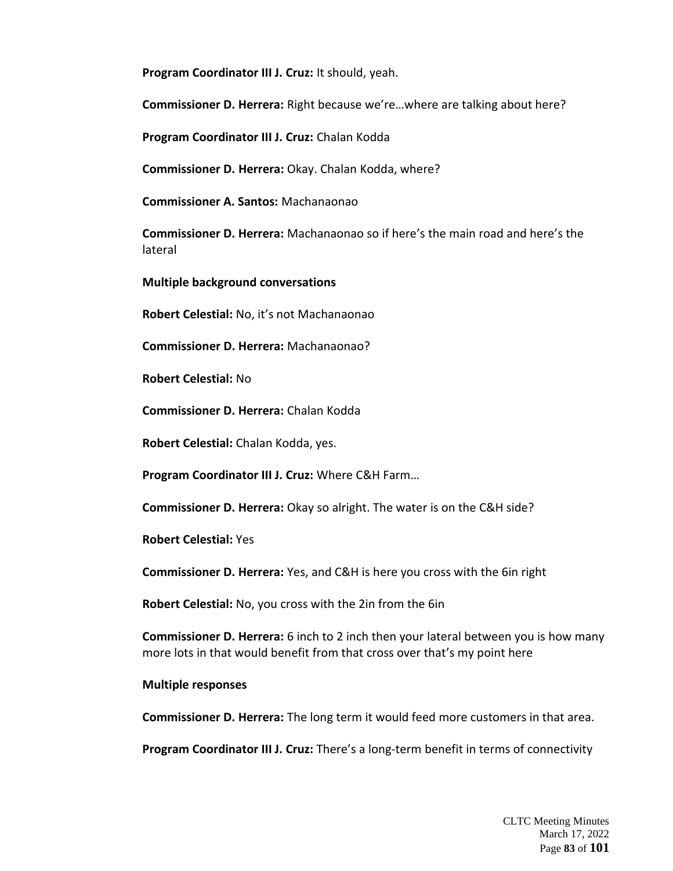**Program Coordinator III J. Cruz:** It should, yeah.

**Commissioner D. Herrera:** Right because we're…where are talking about here?

**Program Coordinator III J. Cruz:** Chalan Kodda

**Commissioner D. Herrera:** Okay. Chalan Kodda, where?

**Commissioner A. Santos:** Machanaonao

**Commissioner D. Herrera:** Machanaonao so if here's the main road and here's the lateral

**Multiple background conversations**

**Robert Celestial:** No, it's not Machanaonao

**Commissioner D. Herrera:** Machanaonao?

**Robert Celestial:** No

**Commissioner D. Herrera:** Chalan Kodda

**Robert Celestial:** Chalan Kodda, yes.

**Program Coordinator III J. Cruz:** Where C&H Farm…

**Commissioner D. Herrera:** Okay so alright. The water is on the C&H side?

**Robert Celestial:** Yes

**Commissioner D. Herrera:** Yes, and C&H is here you cross with the 6in right

**Robert Celestial:** No, you cross with the 2in from the 6in

**Commissioner D. Herrera:** 6 inch to 2 inch then your lateral between you is how many more lots in that would benefit from that cross over that's my point here

#### **Multiple responses**

**Commissioner D. Herrera:** The long term it would feed more customers in that area.

**Program Coordinator III J. Cruz:** There's a long-term benefit in terms of connectivity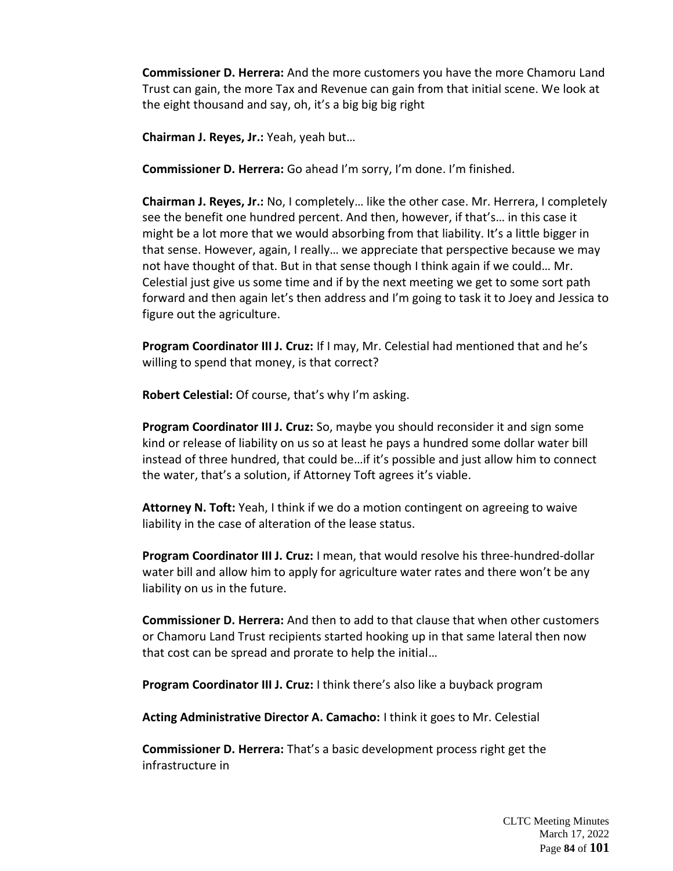**Commissioner D. Herrera:** And the more customers you have the more Chamoru Land Trust can gain, the more Tax and Revenue can gain from that initial scene. We look at the eight thousand and say, oh, it's a big big big right

**Chairman J. Reyes, Jr.:** Yeah, yeah but…

**Commissioner D. Herrera:** Go ahead I'm sorry, I'm done. I'm finished.

**Chairman J. Reyes, Jr.:** No, I completely… like the other case. Mr. Herrera, I completely see the benefit one hundred percent. And then, however, if that's… in this case it might be a lot more that we would absorbing from that liability. It's a little bigger in that sense. However, again, I really… we appreciate that perspective because we may not have thought of that. But in that sense though I think again if we could… Mr. Celestial just give us some time and if by the next meeting we get to some sort path forward and then again let's then address and I'm going to task it to Joey and Jessica to figure out the agriculture.

**Program Coordinator III J. Cruz:** If I may, Mr. Celestial had mentioned that and he's willing to spend that money, is that correct?

**Robert Celestial:** Of course, that's why I'm asking.

**Program Coordinator III J. Cruz:** So, maybe you should reconsider it and sign some kind or release of liability on us so at least he pays a hundred some dollar water bill instead of three hundred, that could be…if it's possible and just allow him to connect the water, that's a solution, if Attorney Toft agrees it's viable.

**Attorney N. Toft:** Yeah, I think if we do a motion contingent on agreeing to waive liability in the case of alteration of the lease status.

**Program Coordinator III J. Cruz:** I mean, that would resolve his three-hundred-dollar water bill and allow him to apply for agriculture water rates and there won't be any liability on us in the future.

**Commissioner D. Herrera:** And then to add to that clause that when other customers or Chamoru Land Trust recipients started hooking up in that same lateral then now that cost can be spread and prorate to help the initial…

**Program Coordinator III J. Cruz:** I think there's also like a buyback program

**Acting Administrative Director A. Camacho:** I think it goes to Mr. Celestial

**Commissioner D. Herrera:** That's a basic development process right get the infrastructure in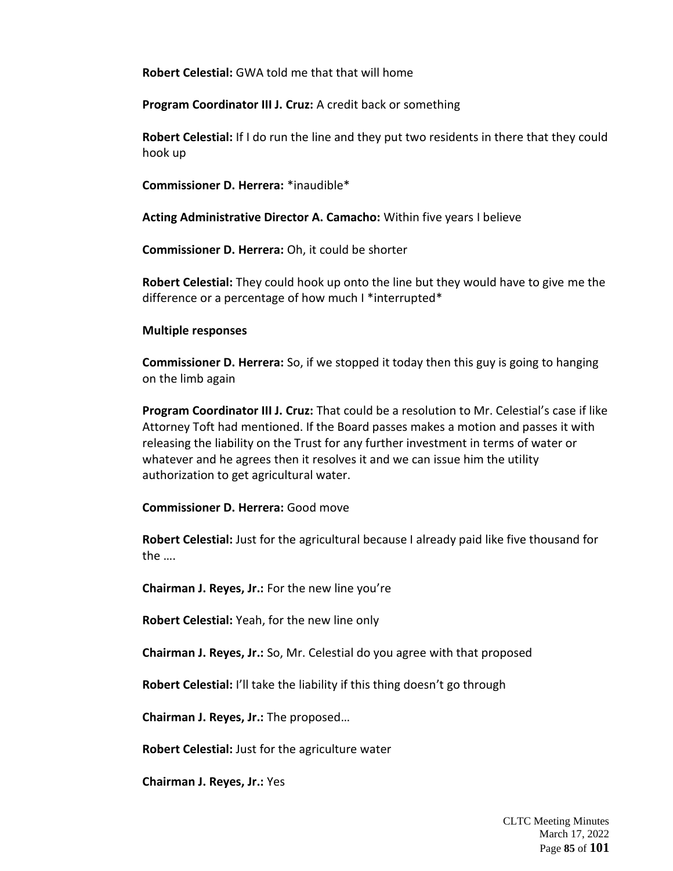**Robert Celestial:** GWA told me that that will home

**Program Coordinator III J. Cruz:** A credit back or something

**Robert Celestial:** If I do run the line and they put two residents in there that they could hook up

**Commissioner D. Herrera:** \*inaudible\*

**Acting Administrative Director A. Camacho:** Within five years I believe

**Commissioner D. Herrera:** Oh, it could be shorter

**Robert Celestial:** They could hook up onto the line but they would have to give me the difference or a percentage of how much I \*interrupted\*

### **Multiple responses**

**Commissioner D. Herrera:** So, if we stopped it today then this guy is going to hanging on the limb again

**Program Coordinator III J. Cruz:** That could be a resolution to Mr. Celestial's case if like Attorney Toft had mentioned. If the Board passes makes a motion and passes it with releasing the liability on the Trust for any further investment in terms of water or whatever and he agrees then it resolves it and we can issue him the utility authorization to get agricultural water.

**Commissioner D. Herrera:** Good move

**Robert Celestial:** Just for the agricultural because I already paid like five thousand for the ….

**Chairman J. Reyes, Jr.:** For the new line you're

**Robert Celestial:** Yeah, for the new line only

**Chairman J. Reyes, Jr.:** So, Mr. Celestial do you agree with that proposed

**Robert Celestial:** I'll take the liability if this thing doesn't go through

**Chairman J. Reyes, Jr.:** The proposed…

**Robert Celestial:** Just for the agriculture water

**Chairman J. Reyes, Jr.:** Yes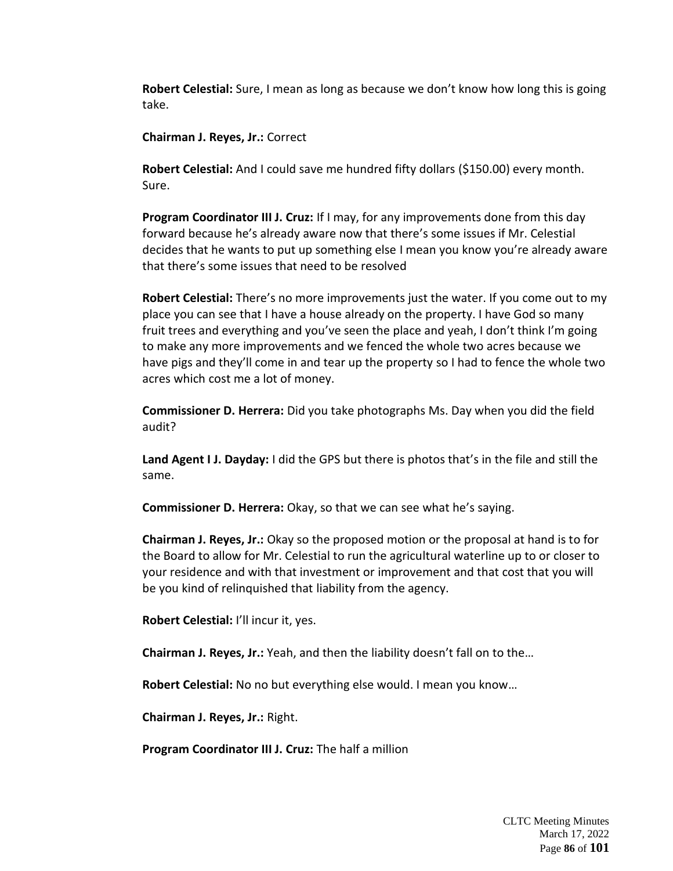**Robert Celestial:** Sure, I mean as long as because we don't know how long this is going take.

**Chairman J. Reyes, Jr.:** Correct

**Robert Celestial:** And I could save me hundred fifty dollars (\$150.00) every month. Sure.

**Program Coordinator III J. Cruz:** If I may, for any improvements done from this day forward because he's already aware now that there's some issues if Mr. Celestial decides that he wants to put up something else I mean you know you're already aware that there's some issues that need to be resolved

**Robert Celestial:** There's no more improvements just the water. If you come out to my place you can see that I have a house already on the property. I have God so many fruit trees and everything and you've seen the place and yeah, I don't think I'm going to make any more improvements and we fenced the whole two acres because we have pigs and they'll come in and tear up the property so I had to fence the whole two acres which cost me a lot of money.

**Commissioner D. Herrera:** Did you take photographs Ms. Day when you did the field audit?

**Land Agent I J. Dayday:** I did the GPS but there is photos that's in the file and still the same.

**Commissioner D. Herrera:** Okay, so that we can see what he's saying.

**Chairman J. Reyes, Jr.:** Okay so the proposed motion or the proposal at hand is to for the Board to allow for Mr. Celestial to run the agricultural waterline up to or closer to your residence and with that investment or improvement and that cost that you will be you kind of relinquished that liability from the agency.

**Robert Celestial:** I'll incur it, yes.

**Chairman J. Reyes, Jr.:** Yeah, and then the liability doesn't fall on to the…

**Robert Celestial:** No no but everything else would. I mean you know…

**Chairman J. Reyes, Jr.:** Right.

**Program Coordinator III J. Cruz:** The half a million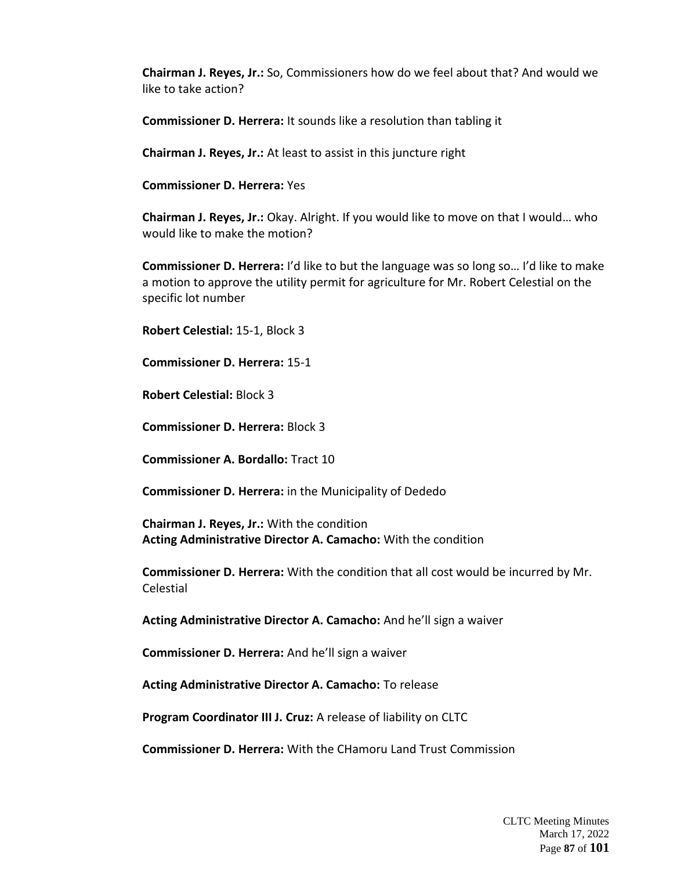**Chairman J. Reyes, Jr.:** So, Commissioners how do we feel about that? And would we like to take action?

**Commissioner D. Herrera:** It sounds like a resolution than tabling it

**Chairman J. Reyes, Jr.:** At least to assist in this juncture right

**Commissioner D. Herrera:** Yes

**Chairman J. Reyes, Jr.:** Okay. Alright. If you would like to move on that I would… who would like to make the motion?

**Commissioner D. Herrera:** I'd like to but the language was so long so… I'd like to make a motion to approve the utility permit for agriculture for Mr. Robert Celestial on the specific lot number

**Robert Celestial:** 15-1, Block 3

**Commissioner D. Herrera:** 15-1

**Robert Celestial:** Block 3

**Commissioner D. Herrera:** Block 3

**Commissioner A. Bordallo:** Tract 10

**Commissioner D. Herrera:** in the Municipality of Dededo

**Chairman J. Reyes, Jr.:** With the condition **Acting Administrative Director A. Camacho:** With the condition

**Commissioner D. Herrera:** With the condition that all cost would be incurred by Mr. Celestial

**Acting Administrative Director A. Camacho:** And he'll sign a waiver

**Commissioner D. Herrera:** And he'll sign a waiver

**Acting Administrative Director A. Camacho:** To release

**Program Coordinator III J. Cruz:** A release of liability on CLTC

**Commissioner D. Herrera:** With the CHamoru Land Trust Commission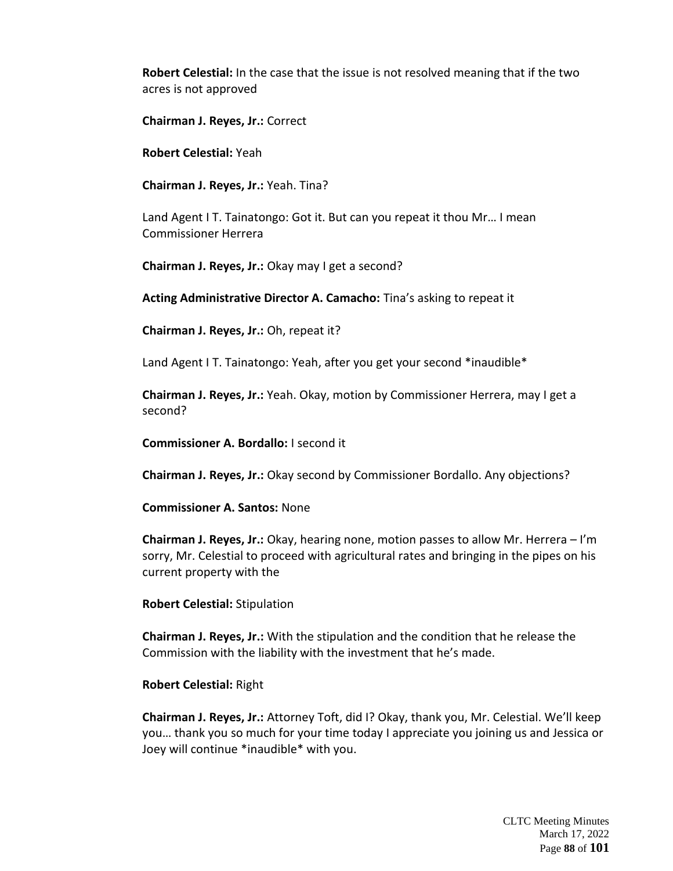**Robert Celestial:** In the case that the issue is not resolved meaning that if the two acres is not approved

**Chairman J. Reyes, Jr.:** Correct

**Robert Celestial:** Yeah

**Chairman J. Reyes, Jr.:** Yeah. Tina?

Land Agent I T. Tainatongo: Got it. But can you repeat it thou Mr… I mean Commissioner Herrera

**Chairman J. Reyes, Jr.:** Okay may I get a second?

**Acting Administrative Director A. Camacho:** Tina's asking to repeat it

**Chairman J. Reyes, Jr.:** Oh, repeat it?

Land Agent I T. Tainatongo: Yeah, after you get your second \*inaudible\*

**Chairman J. Reyes, Jr.:** Yeah. Okay, motion by Commissioner Herrera, may I get a second?

**Commissioner A. Bordallo:** I second it

**Chairman J. Reyes, Jr.:** Okay second by Commissioner Bordallo. Any objections?

**Commissioner A. Santos:** None

**Chairman J. Reyes, Jr.:** Okay, hearing none, motion passes to allow Mr. Herrera – I'm sorry, Mr. Celestial to proceed with agricultural rates and bringing in the pipes on his current property with the

**Robert Celestial:** Stipulation

**Chairman J. Reyes, Jr.:** With the stipulation and the condition that he release the Commission with the liability with the investment that he's made.

#### **Robert Celestial:** Right

**Chairman J. Reyes, Jr.:** Attorney Toft, did I? Okay, thank you, Mr. Celestial. We'll keep you… thank you so much for your time today I appreciate you joining us and Jessica or Joey will continue \*inaudible\* with you.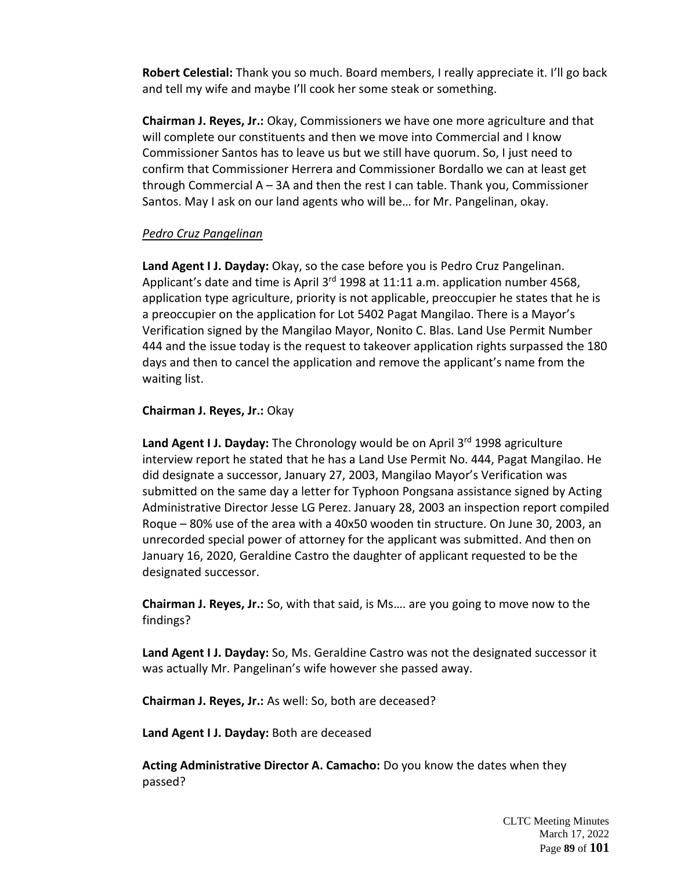**Robert Celestial:** Thank you so much. Board members, I really appreciate it. I'll go back and tell my wife and maybe I'll cook her some steak or something.

**Chairman J. Reyes, Jr.:** Okay, Commissioners we have one more agriculture and that will complete our constituents and then we move into Commercial and I know Commissioner Santos has to leave us but we still have quorum. So, I just need to confirm that Commissioner Herrera and Commissioner Bordallo we can at least get through Commercial A – 3A and then the rest I can table. Thank you, Commissioner Santos. May I ask on our land agents who will be… for Mr. Pangelinan, okay.

# *Pedro Cruz Pangelinan*

**Land Agent I J. Dayday:** Okay, so the case before you is Pedro Cruz Pangelinan. Applicant's date and time is April 3<sup>rd</sup> 1998 at 11:11 a.m. application number 4568, application type agriculture, priority is not applicable, preoccupier he states that he is a preoccupier on the application for Lot 5402 Pagat Mangilao. There is a Mayor's Verification signed by the Mangilao Mayor, Nonito C. Blas. Land Use Permit Number 444 and the issue today is the request to takeover application rights surpassed the 180 days and then to cancel the application and remove the applicant's name from the waiting list.

**Chairman J. Reyes, Jr.:** Okay

Land Agent I J. Dayday: The Chronology would be on April 3<sup>rd</sup> 1998 agriculture interview report he stated that he has a Land Use Permit No. 444, Pagat Mangilao. He did designate a successor, January 27, 2003, Mangilao Mayor's Verification was submitted on the same day a letter for Typhoon Pongsana assistance signed by Acting Administrative Director Jesse LG Perez. January 28, 2003 an inspection report compiled Roque – 80% use of the area with a 40x50 wooden tin structure. On June 30, 2003, an unrecorded special power of attorney for the applicant was submitted. And then on January 16, 2020, Geraldine Castro the daughter of applicant requested to be the designated successor.

**Chairman J. Reyes, Jr.:** So, with that said, is Ms…. are you going to move now to the findings?

**Land Agent I J. Dayday:** So, Ms. Geraldine Castro was not the designated successor it was actually Mr. Pangelinan's wife however she passed away.

**Chairman J. Reyes, Jr.:** As well: So, both are deceased?

**Land Agent I J. Dayday:** Both are deceased

**Acting Administrative Director A. Camacho:** Do you know the dates when they passed?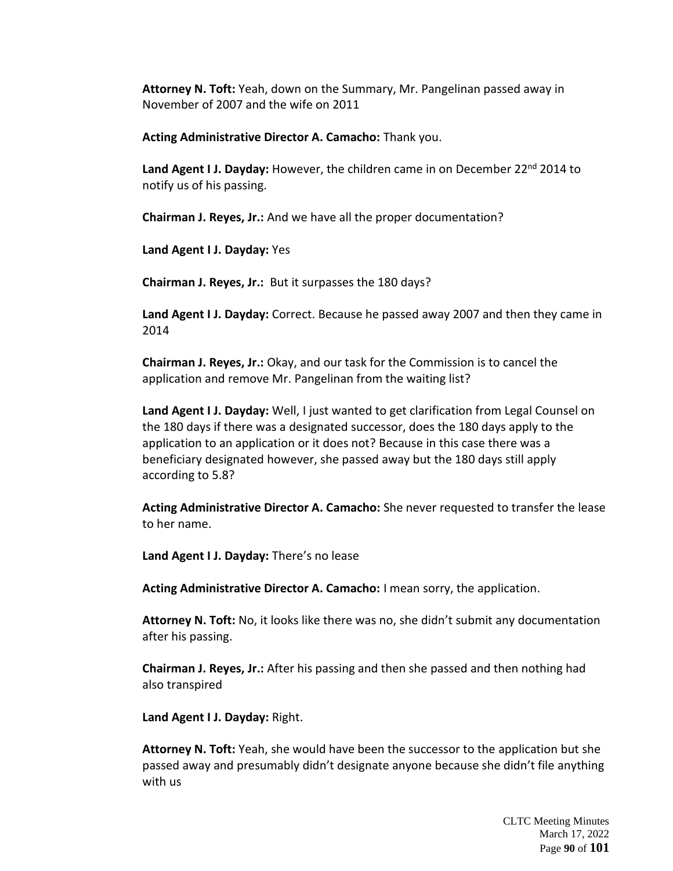**Attorney N. Toft:** Yeah, down on the Summary, Mr. Pangelinan passed away in November of 2007 and the wife on 2011

**Acting Administrative Director A. Camacho:** Thank you.

Land Agent I J. Dayday: However, the children came in on December 22<sup>nd</sup> 2014 to notify us of his passing.

**Chairman J. Reyes, Jr.:** And we have all the proper documentation?

**Land Agent I J. Dayday:** Yes

**Chairman J. Reyes, Jr.:** But it surpasses the 180 days?

**Land Agent I J. Dayday:** Correct. Because he passed away 2007 and then they came in 2014

**Chairman J. Reyes, Jr.:** Okay, and our task for the Commission is to cancel the application and remove Mr. Pangelinan from the waiting list?

**Land Agent I J. Dayday:** Well, I just wanted to get clarification from Legal Counsel on the 180 days if there was a designated successor, does the 180 days apply to the application to an application or it does not? Because in this case there was a beneficiary designated however, she passed away but the 180 days still apply according to 5.8?

**Acting Administrative Director A. Camacho:** She never requested to transfer the lease to her name.

**Land Agent I J. Dayday:** There's no lease

**Acting Administrative Director A. Camacho:** I mean sorry, the application.

**Attorney N. Toft:** No, it looks like there was no, she didn't submit any documentation after his passing.

**Chairman J. Reyes, Jr.:** After his passing and then she passed and then nothing had also transpired

**Land Agent I J. Dayday:** Right.

**Attorney N. Toft:** Yeah, she would have been the successor to the application but she passed away and presumably didn't designate anyone because she didn't file anything with us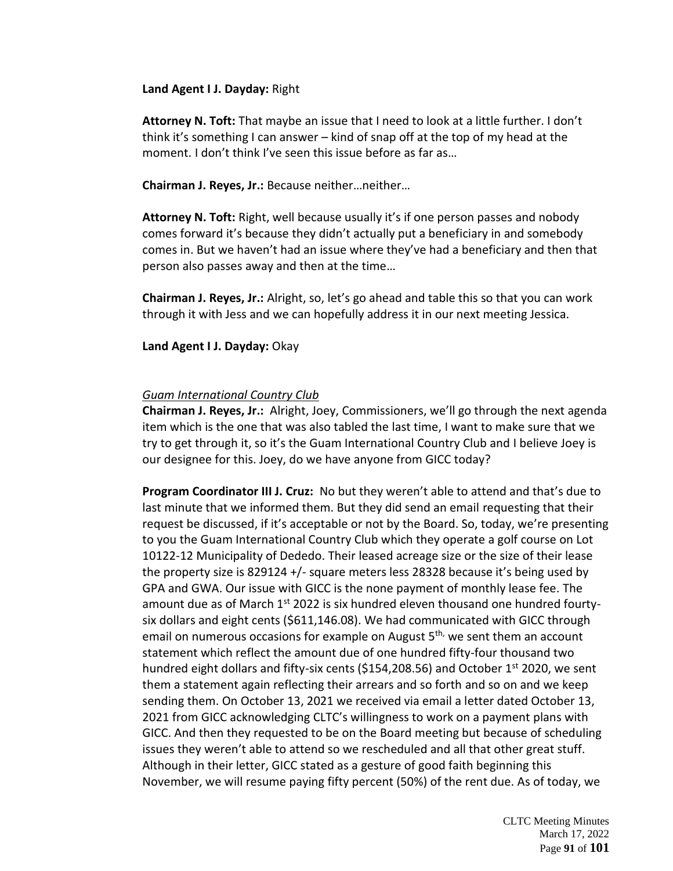### **Land Agent I J. Dayday:** Right

**Attorney N. Toft:** That maybe an issue that I need to look at a little further. I don't think it's something I can answer – kind of snap off at the top of my head at the moment. I don't think I've seen this issue before as far as…

**Chairman J. Reyes, Jr.:** Because neither…neither…

**Attorney N. Toft:** Right, well because usually it's if one person passes and nobody comes forward it's because they didn't actually put a beneficiary in and somebody comes in. But we haven't had an issue where they've had a beneficiary and then that person also passes away and then at the time…

**Chairman J. Reyes, Jr.:** Alright, so, let's go ahead and table this so that you can work through it with Jess and we can hopefully address it in our next meeting Jessica.

### **Land Agent I J. Dayday:** Okay

## *Guam International Country Club*

**Chairman J. Reyes, Jr.:** Alright, Joey, Commissioners, we'll go through the next agenda item which is the one that was also tabled the last time, I want to make sure that we try to get through it, so it's the Guam International Country Club and I believe Joey is our designee for this. Joey, do we have anyone from GICC today?

**Program Coordinator III J. Cruz:** No but they weren't able to attend and that's due to last minute that we informed them. But they did send an email requesting that their request be discussed, if it's acceptable or not by the Board. So, today, we're presenting to you the Guam International Country Club which they operate a golf course on Lot 10122-12 Municipality of Dededo. Their leased acreage size or the size of their lease the property size is 829124 +/- square meters less 28328 because it's being used by GPA and GWA. Our issue with GICC is the none payment of monthly lease fee. The amount due as of March 1<sup>st</sup> 2022 is six hundred eleven thousand one hundred fourtysix dollars and eight cents (\$611,146.08). We had communicated with GICC through email on numerous occasions for example on August  $5<sup>th</sup>$ , we sent them an account statement which reflect the amount due of one hundred fifty-four thousand two hundred eight dollars and fifty-six cents (\$154,208.56) and October  $1<sup>st</sup>$  2020, we sent them a statement again reflecting their arrears and so forth and so on and we keep sending them. On October 13, 2021 we received via email a letter dated October 13, 2021 from GICC acknowledging CLTC's willingness to work on a payment plans with GICC. And then they requested to be on the Board meeting but because of scheduling issues they weren't able to attend so we rescheduled and all that other great stuff. Although in their letter, GICC stated as a gesture of good faith beginning this November, we will resume paying fifty percent (50%) of the rent due. As of today, we

> CLTC Meeting Minutes March 17, 2022 Page **91** of **101**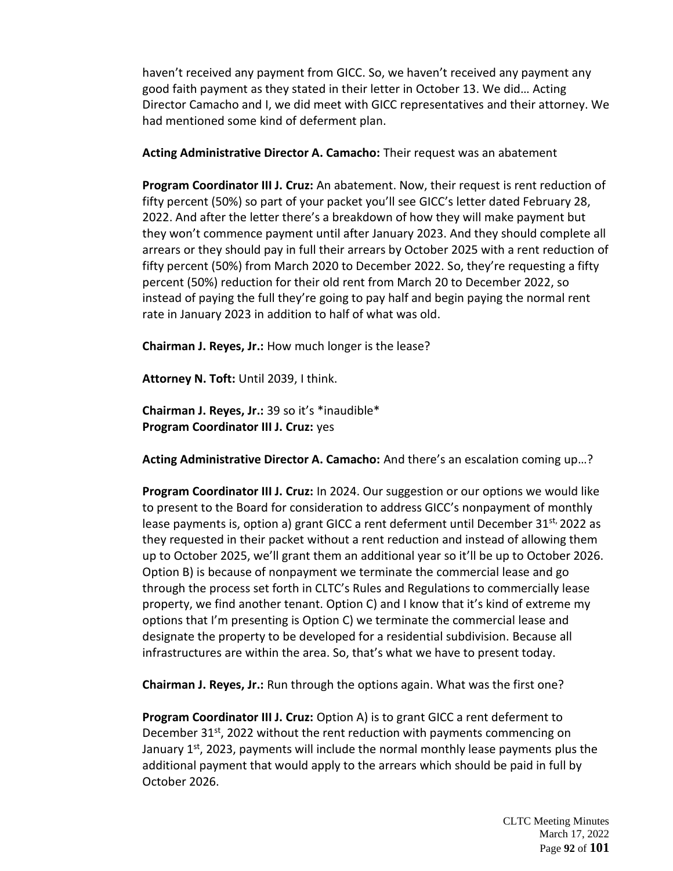haven't received any payment from GICC. So, we haven't received any payment any good faith payment as they stated in their letter in October 13. We did… Acting Director Camacho and I, we did meet with GICC representatives and their attorney. We had mentioned some kind of deferment plan.

## **Acting Administrative Director A. Camacho:** Their request was an abatement

**Program Coordinator III J. Cruz:** An abatement. Now, their request is rent reduction of fifty percent (50%) so part of your packet you'll see GICC's letter dated February 28, 2022. And after the letter there's a breakdown of how they will make payment but they won't commence payment until after January 2023. And they should complete all arrears or they should pay in full their arrears by October 2025 with a rent reduction of fifty percent (50%) from March 2020 to December 2022. So, they're requesting a fifty percent (50%) reduction for their old rent from March 20 to December 2022, so instead of paying the full they're going to pay half and begin paying the normal rent rate in January 2023 in addition to half of what was old.

**Chairman J. Reyes, Jr.:** How much longer is the lease?

**Attorney N. Toft:** Until 2039, I think.

**Chairman J. Reyes, Jr.:** 39 so it's \*inaudible\* **Program Coordinator III J. Cruz:** yes

**Acting Administrative Director A. Camacho:** And there's an escalation coming up…?

**Program Coordinator III J. Cruz:** In 2024. Our suggestion or our options we would like to present to the Board for consideration to address GICC's nonpayment of monthly lease payments is, option a) grant GICC a rent deferment until December 31<sup>st,</sup> 2022 as they requested in their packet without a rent reduction and instead of allowing them up to October 2025, we'll grant them an additional year so it'll be up to October 2026. Option B) is because of nonpayment we terminate the commercial lease and go through the process set forth in CLTC's Rules and Regulations to commercially lease property, we find another tenant. Option C) and I know that it's kind of extreme my options that I'm presenting is Option C) we terminate the commercial lease and designate the property to be developed for a residential subdivision. Because all infrastructures are within the area. So, that's what we have to present today.

**Chairman J. Reyes, Jr.:** Run through the options again. What was the first one?

**Program Coordinator III J. Cruz:** Option A) is to grant GICC a rent deferment to December 31 $st$ , 2022 without the rent reduction with payments commencing on January 1<sup>st</sup>, 2023, payments will include the normal monthly lease payments plus the additional payment that would apply to the arrears which should be paid in full by October 2026.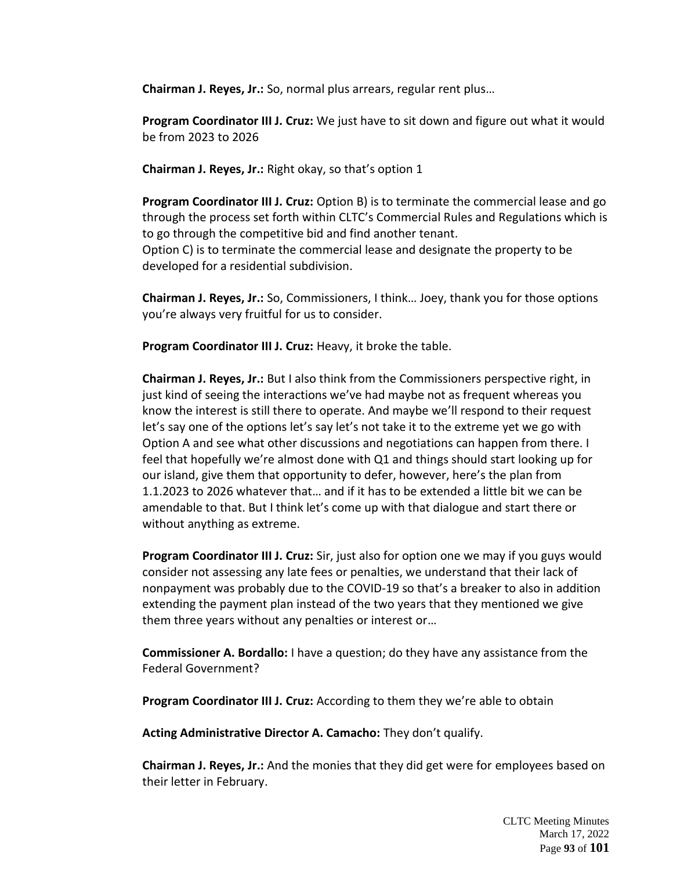**Chairman J. Reyes, Jr.:** So, normal plus arrears, regular rent plus…

**Program Coordinator III J. Cruz:** We just have to sit down and figure out what it would be from 2023 to 2026

**Chairman J. Reyes, Jr.:** Right okay, so that's option 1

**Program Coordinator III J. Cruz:** Option B) is to terminate the commercial lease and go through the process set forth within CLTC's Commercial Rules and Regulations which is to go through the competitive bid and find another tenant. Option C) is to terminate the commercial lease and designate the property to be developed for a residential subdivision.

**Chairman J. Reyes, Jr.:** So, Commissioners, I think… Joey, thank you for those options you're always very fruitful for us to consider.

**Program Coordinator III J. Cruz:** Heavy, it broke the table.

**Chairman J. Reyes, Jr.:** But I also think from the Commissioners perspective right, in just kind of seeing the interactions we've had maybe not as frequent whereas you know the interest is still there to operate. And maybe we'll respond to their request let's say one of the options let's say let's not take it to the extreme yet we go with Option A and see what other discussions and negotiations can happen from there. I feel that hopefully we're almost done with Q1 and things should start looking up for our island, give them that opportunity to defer, however, here's the plan from 1.1.2023 to 2026 whatever that… and if it has to be extended a little bit we can be amendable to that. But I think let's come up with that dialogue and start there or without anything as extreme.

**Program Coordinator III J. Cruz:** Sir, just also for option one we may if you guys would consider not assessing any late fees or penalties, we understand that their lack of nonpayment was probably due to the COVID-19 so that's a breaker to also in addition extending the payment plan instead of the two years that they mentioned we give them three years without any penalties or interest or…

**Commissioner A. Bordallo:** I have a question; do they have any assistance from the Federal Government?

**Program Coordinator III J. Cruz:** According to them they we're able to obtain

**Acting Administrative Director A. Camacho:** They don't qualify.

**Chairman J. Reyes, Jr.:** And the monies that they did get were for employees based on their letter in February.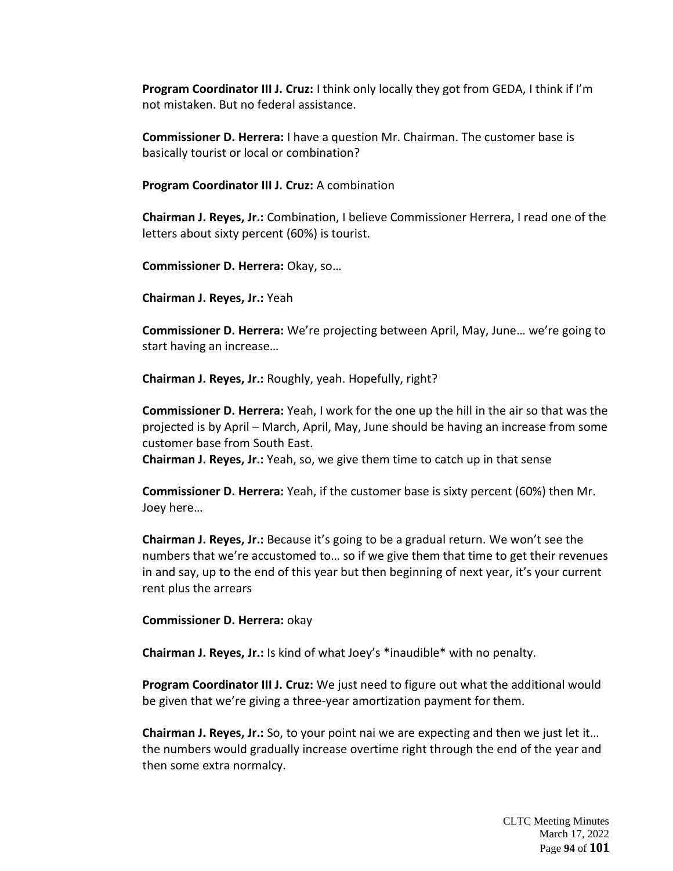**Program Coordinator III J. Cruz:** I think only locally they got from GEDA, I think if I'm not mistaken. But no federal assistance.

**Commissioner D. Herrera:** I have a question Mr. Chairman. The customer base is basically tourist or local or combination?

**Program Coordinator III J. Cruz:** A combination

**Chairman J. Reyes, Jr.:** Combination, I believe Commissioner Herrera, I read one of the letters about sixty percent (60%) is tourist.

**Commissioner D. Herrera:** Okay, so…

**Chairman J. Reyes, Jr.:** Yeah

**Commissioner D. Herrera:** We're projecting between April, May, June… we're going to start having an increase…

**Chairman J. Reyes, Jr.:** Roughly, yeah. Hopefully, right?

**Commissioner D. Herrera:** Yeah, I work for the one up the hill in the air so that was the projected is by April – March, April, May, June should be having an increase from some customer base from South East.

**Chairman J. Reyes, Jr.:** Yeah, so, we give them time to catch up in that sense

**Commissioner D. Herrera:** Yeah, if the customer base is sixty percent (60%) then Mr. Joey here…

**Chairman J. Reyes, Jr.:** Because it's going to be a gradual return. We won't see the numbers that we're accustomed to… so if we give them that time to get their revenues in and say, up to the end of this year but then beginning of next year, it's your current rent plus the arrears

**Commissioner D. Herrera:** okay

**Chairman J. Reyes, Jr.:** Is kind of what Joey's \*inaudible\* with no penalty.

**Program Coordinator III J. Cruz:** We just need to figure out what the additional would be given that we're giving a three-year amortization payment for them.

**Chairman J. Reyes, Jr.:** So, to your point nai we are expecting and then we just let it… the numbers would gradually increase overtime right through the end of the year and then some extra normalcy.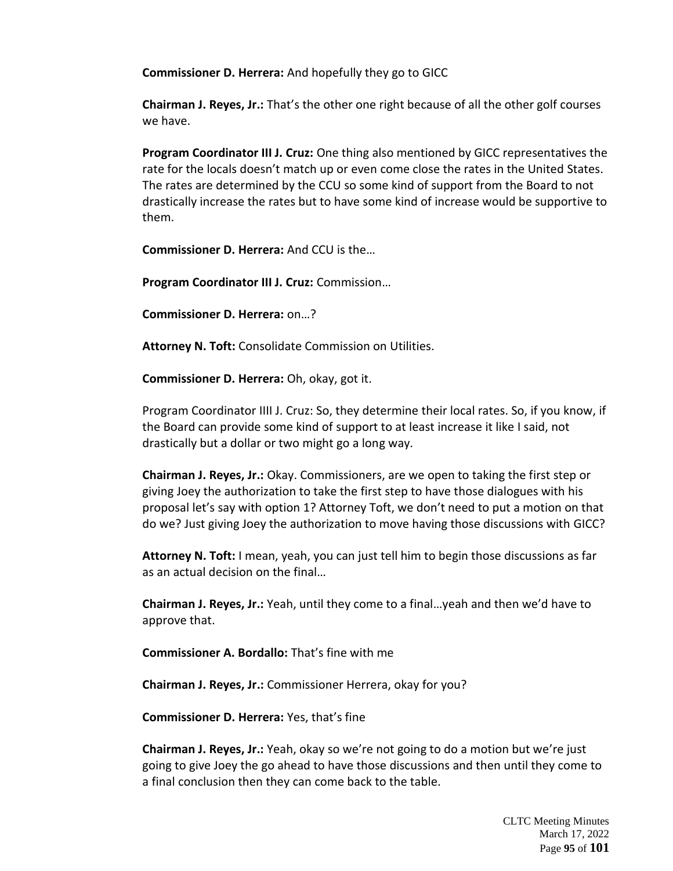**Commissioner D. Herrera:** And hopefully they go to GICC

**Chairman J. Reyes, Jr.:** That's the other one right because of all the other golf courses we have.

**Program Coordinator III J. Cruz:** One thing also mentioned by GICC representatives the rate for the locals doesn't match up or even come close the rates in the United States. The rates are determined by the CCU so some kind of support from the Board to not drastically increase the rates but to have some kind of increase would be supportive to them.

**Commissioner D. Herrera:** And CCU is the…

**Program Coordinator III J. Cruz:** Commission…

**Commissioner D. Herrera:** on…?

**Attorney N. Toft:** Consolidate Commission on Utilities.

**Commissioner D. Herrera:** Oh, okay, got it.

Program Coordinator IIII J. Cruz: So, they determine their local rates. So, if you know, if the Board can provide some kind of support to at least increase it like I said, not drastically but a dollar or two might go a long way.

**Chairman J. Reyes, Jr.:** Okay. Commissioners, are we open to taking the first step or giving Joey the authorization to take the first step to have those dialogues with his proposal let's say with option 1? Attorney Toft, we don't need to put a motion on that do we? Just giving Joey the authorization to move having those discussions with GICC?

**Attorney N. Toft:** I mean, yeah, you can just tell him to begin those discussions as far as an actual decision on the final…

**Chairman J. Reyes, Jr.:** Yeah, until they come to a final…yeah and then we'd have to approve that.

**Commissioner A. Bordallo:** That's fine with me

**Chairman J. Reyes, Jr.:** Commissioner Herrera, okay for you?

**Commissioner D. Herrera:** Yes, that's fine

**Chairman J. Reyes, Jr.:** Yeah, okay so we're not going to do a motion but we're just going to give Joey the go ahead to have those discussions and then until they come to a final conclusion then they can come back to the table.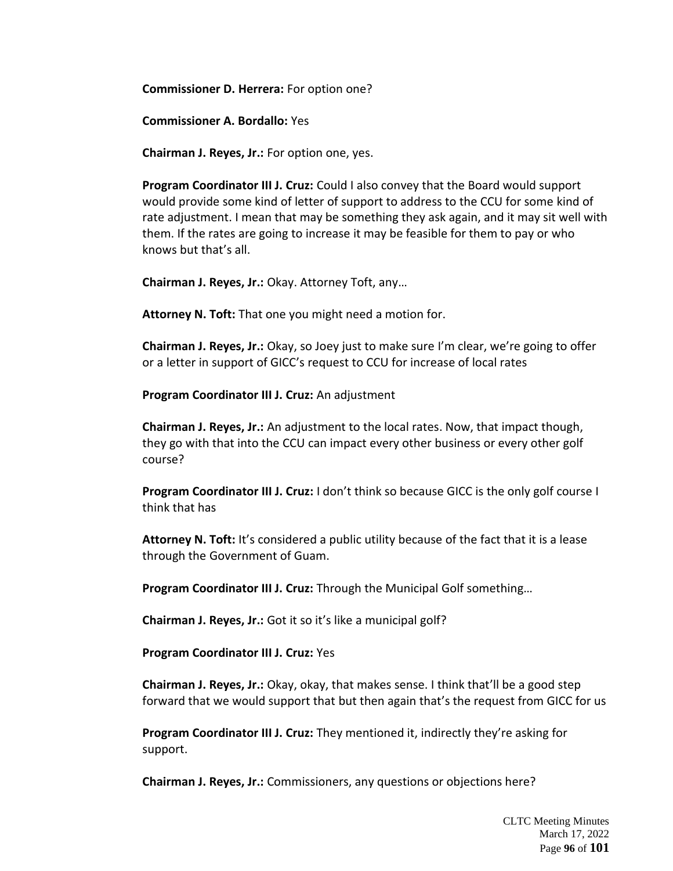**Commissioner D. Herrera:** For option one?

**Commissioner A. Bordallo:** Yes

**Chairman J. Reyes, Jr.:** For option one, yes.

**Program Coordinator III J. Cruz:** Could I also convey that the Board would support would provide some kind of letter of support to address to the CCU for some kind of rate adjustment. I mean that may be something they ask again, and it may sit well with them. If the rates are going to increase it may be feasible for them to pay or who knows but that's all.

**Chairman J. Reyes, Jr.:** Okay. Attorney Toft, any…

**Attorney N. Toft:** That one you might need a motion for.

**Chairman J. Reyes, Jr.:** Okay, so Joey just to make sure I'm clear, we're going to offer or a letter in support of GICC's request to CCU for increase of local rates

**Program Coordinator III J. Cruz:** An adjustment

**Chairman J. Reyes, Jr.:** An adjustment to the local rates. Now, that impact though, they go with that into the CCU can impact every other business or every other golf course?

**Program Coordinator III J. Cruz:** I don't think so because GICC is the only golf course I think that has

**Attorney N. Toft:** It's considered a public utility because of the fact that it is a lease through the Government of Guam.

**Program Coordinator III J. Cruz:** Through the Municipal Golf something…

**Chairman J. Reyes, Jr.:** Got it so it's like a municipal golf?

**Program Coordinator III J. Cruz:** Yes

**Chairman J. Reyes, Jr.:** Okay, okay, that makes sense. I think that'll be a good step forward that we would support that but then again that's the request from GICC for us

**Program Coordinator III J. Cruz:** They mentioned it, indirectly they're asking for support.

**Chairman J. Reyes, Jr.:** Commissioners, any questions or objections here?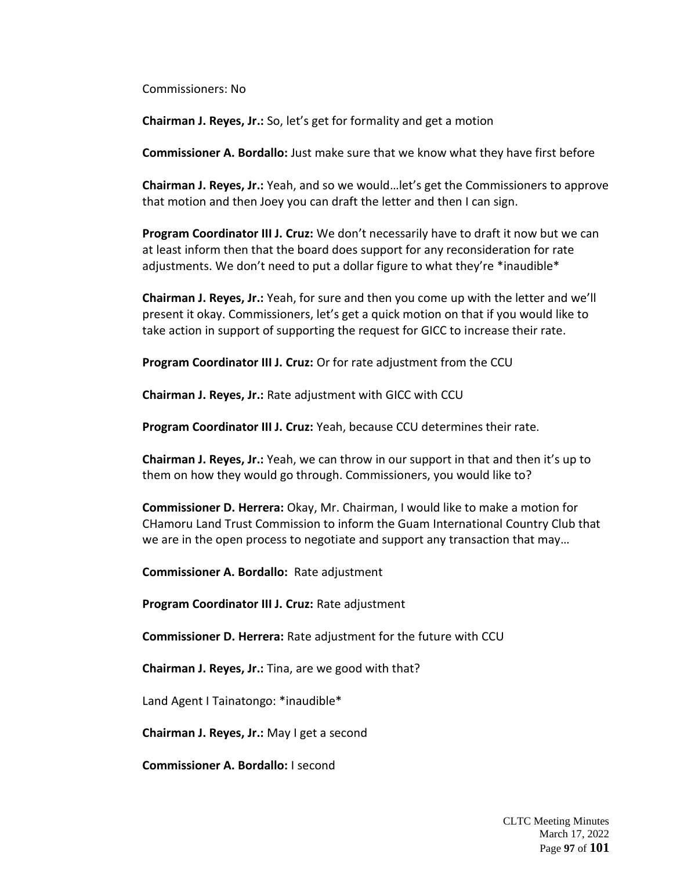Commissioners: No

**Chairman J. Reyes, Jr.:** So, let's get for formality and get a motion

**Commissioner A. Bordallo:** Just make sure that we know what they have first before

**Chairman J. Reyes, Jr.:** Yeah, and so we would…let's get the Commissioners to approve that motion and then Joey you can draft the letter and then I can sign.

**Program Coordinator III J. Cruz:** We don't necessarily have to draft it now but we can at least inform then that the board does support for any reconsideration for rate adjustments. We don't need to put a dollar figure to what they're \*inaudible\*

**Chairman J. Reyes, Jr.:** Yeah, for sure and then you come up with the letter and we'll present it okay. Commissioners, let's get a quick motion on that if you would like to take action in support of supporting the request for GICC to increase their rate.

**Program Coordinator III J. Cruz:** Or for rate adjustment from the CCU

**Chairman J. Reyes, Jr.:** Rate adjustment with GICC with CCU

**Program Coordinator III J. Cruz:** Yeah, because CCU determines their rate.

**Chairman J. Reyes, Jr.:** Yeah, we can throw in our support in that and then it's up to them on how they would go through. Commissioners, you would like to?

**Commissioner D. Herrera:** Okay, Mr. Chairman, I would like to make a motion for CHamoru Land Trust Commission to inform the Guam International Country Club that we are in the open process to negotiate and support any transaction that may…

**Commissioner A. Bordallo:** Rate adjustment

**Program Coordinator III J. Cruz:** Rate adjustment

**Commissioner D. Herrera:** Rate adjustment for the future with CCU

**Chairman J. Reyes, Jr.:** Tina, are we good with that?

Land Agent I Tainatongo: \*inaudible\*

**Chairman J. Reyes, Jr.:** May I get a second

**Commissioner A. Bordallo:** I second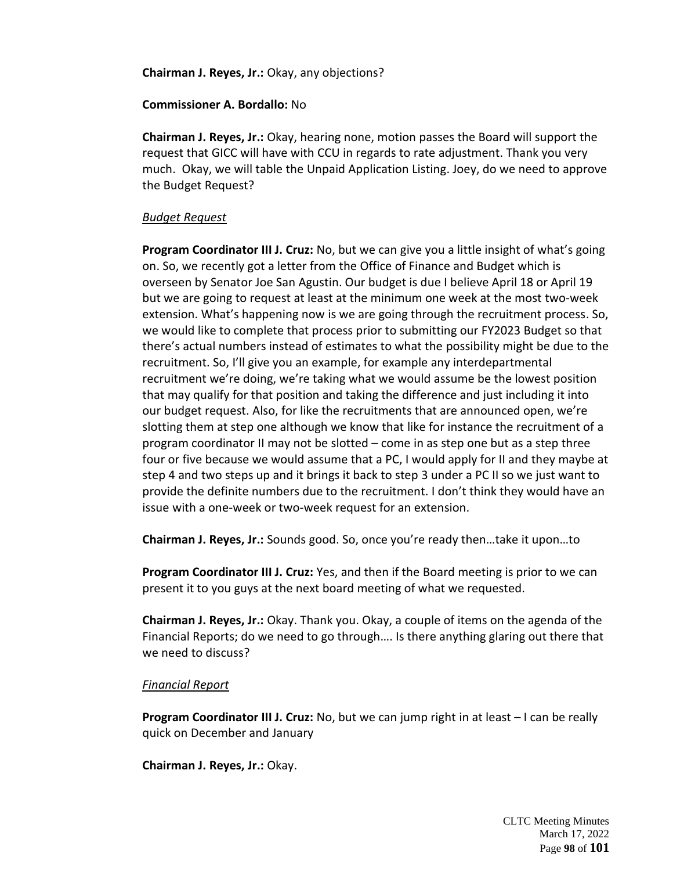**Chairman J. Reyes, Jr.:** Okay, any objections?

## **Commissioner A. Bordallo:** No

**Chairman J. Reyes, Jr.:** Okay, hearing none, motion passes the Board will support the request that GICC will have with CCU in regards to rate adjustment. Thank you very much. Okay, we will table the Unpaid Application Listing. Joey, do we need to approve the Budget Request?

# *Budget Request*

**Program Coordinator III J. Cruz:** No, but we can give you a little insight of what's going on. So, we recently got a letter from the Office of Finance and Budget which is overseen by Senator Joe San Agustin. Our budget is due I believe April 18 or April 19 but we are going to request at least at the minimum one week at the most two-week extension. What's happening now is we are going through the recruitment process. So, we would like to complete that process prior to submitting our FY2023 Budget so that there's actual numbers instead of estimates to what the possibility might be due to the recruitment. So, I'll give you an example, for example any interdepartmental recruitment we're doing, we're taking what we would assume be the lowest position that may qualify for that position and taking the difference and just including it into our budget request. Also, for like the recruitments that are announced open, we're slotting them at step one although we know that like for instance the recruitment of a program coordinator II may not be slotted – come in as step one but as a step three four or five because we would assume that a PC, I would apply for II and they maybe at step 4 and two steps up and it brings it back to step 3 under a PC II so we just want to provide the definite numbers due to the recruitment. I don't think they would have an issue with a one-week or two-week request for an extension.

**Chairman J. Reyes, Jr.:** Sounds good. So, once you're ready then…take it upon…to

**Program Coordinator III J. Cruz:** Yes, and then if the Board meeting is prior to we can present it to you guys at the next board meeting of what we requested.

**Chairman J. Reyes, Jr.:** Okay. Thank you. Okay, a couple of items on the agenda of the Financial Reports; do we need to go through…. Is there anything glaring out there that we need to discuss?

# *Financial Report*

**Program Coordinator III J. Cruz:** No, but we can jump right in at least – I can be really quick on December and January

**Chairman J. Reyes, Jr.:** Okay.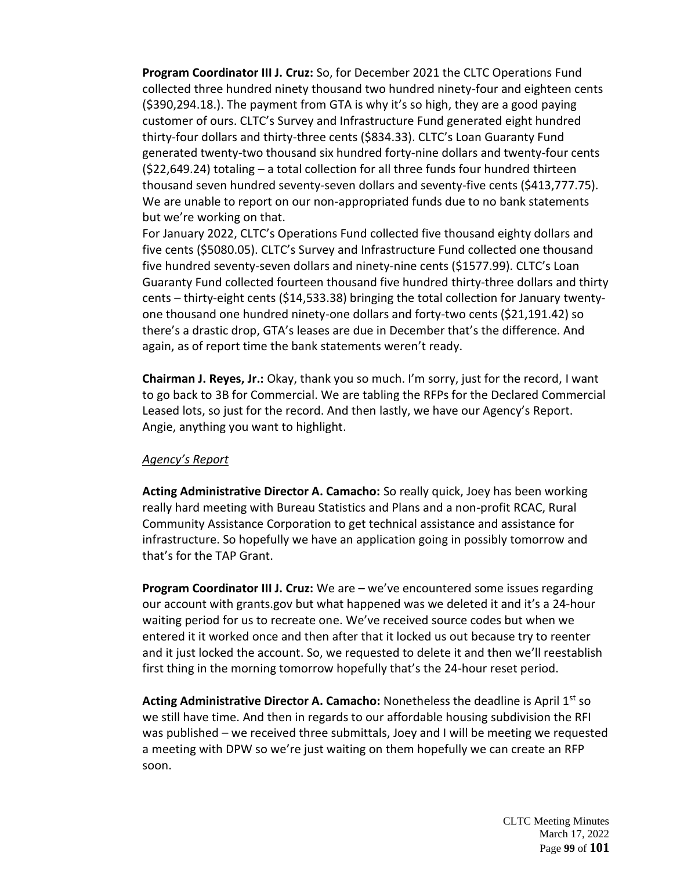**Program Coordinator III J. Cruz:** So, for December 2021 the CLTC Operations Fund collected three hundred ninety thousand two hundred ninety-four and eighteen cents (\$390,294.18.). The payment from GTA is why it's so high, they are a good paying customer of ours. CLTC's Survey and Infrastructure Fund generated eight hundred thirty-four dollars and thirty-three cents (\$834.33). CLTC's Loan Guaranty Fund generated twenty-two thousand six hundred forty-nine dollars and twenty-four cents (\$22,649.24) totaling – a total collection for all three funds four hundred thirteen thousand seven hundred seventy-seven dollars and seventy-five cents (\$413,777.75). We are unable to report on our non-appropriated funds due to no bank statements but we're working on that.

For January 2022, CLTC's Operations Fund collected five thousand eighty dollars and five cents (\$5080.05). CLTC's Survey and Infrastructure Fund collected one thousand five hundred seventy-seven dollars and ninety-nine cents (\$1577.99). CLTC's Loan Guaranty Fund collected fourteen thousand five hundred thirty-three dollars and thirty cents – thirty-eight cents (\$14,533.38) bringing the total collection for January twentyone thousand one hundred ninety-one dollars and forty-two cents (\$21,191.42) so there's a drastic drop, GTA's leases are due in December that's the difference. And again, as of report time the bank statements weren't ready.

**Chairman J. Reyes, Jr.:** Okay, thank you so much. I'm sorry, just for the record, I want to go back to 3B for Commercial. We are tabling the RFPs for the Declared Commercial Leased lots, so just for the record. And then lastly, we have our Agency's Report. Angie, anything you want to highlight.

## *Agency's Report*

**Acting Administrative Director A. Camacho:** So really quick, Joey has been working really hard meeting with Bureau Statistics and Plans and a non-profit RCAC, Rural Community Assistance Corporation to get technical assistance and assistance for infrastructure. So hopefully we have an application going in possibly tomorrow and that's for the TAP Grant.

**Program Coordinator III J. Cruz:** We are – we've encountered some issues regarding our account with grants.gov but what happened was we deleted it and it's a 24-hour waiting period for us to recreate one. We've received source codes but when we entered it it worked once and then after that it locked us out because try to reenter and it just locked the account. So, we requested to delete it and then we'll reestablish first thing in the morning tomorrow hopefully that's the 24-hour reset period.

Acting Administrative Director A. Camacho: Nonetheless the deadline is April 1<sup>st</sup> so we still have time. And then in regards to our affordable housing subdivision the RFI was published – we received three submittals, Joey and I will be meeting we requested a meeting with DPW so we're just waiting on them hopefully we can create an RFP soon.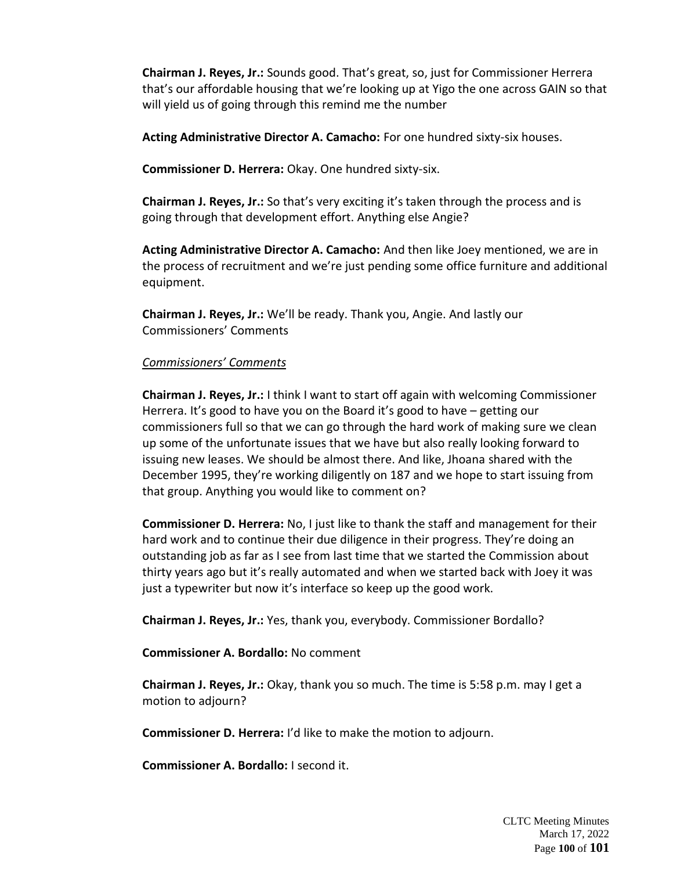**Chairman J. Reyes, Jr.:** Sounds good. That's great, so, just for Commissioner Herrera that's our affordable housing that we're looking up at Yigo the one across GAIN so that will yield us of going through this remind me the number

**Acting Administrative Director A. Camacho:** For one hundred sixty-six houses.

**Commissioner D. Herrera:** Okay. One hundred sixty-six.

**Chairman J. Reyes, Jr.:** So that's very exciting it's taken through the process and is going through that development effort. Anything else Angie?

**Acting Administrative Director A. Camacho:** And then like Joey mentioned, we are in the process of recruitment and we're just pending some office furniture and additional equipment.

**Chairman J. Reyes, Jr.:** We'll be ready. Thank you, Angie. And lastly our Commissioners' Comments

### *Commissioners' Comments*

**Chairman J. Reyes, Jr.:** I think I want to start off again with welcoming Commissioner Herrera. It's good to have you on the Board it's good to have – getting our commissioners full so that we can go through the hard work of making sure we clean up some of the unfortunate issues that we have but also really looking forward to issuing new leases. We should be almost there. And like, Jhoana shared with the December 1995, they're working diligently on 187 and we hope to start issuing from that group. Anything you would like to comment on?

**Commissioner D. Herrera:** No, I just like to thank the staff and management for their hard work and to continue their due diligence in their progress. They're doing an outstanding job as far as I see from last time that we started the Commission about thirty years ago but it's really automated and when we started back with Joey it was just a typewriter but now it's interface so keep up the good work.

**Chairman J. Reyes, Jr.:** Yes, thank you, everybody. Commissioner Bordallo?

**Commissioner A. Bordallo:** No comment

**Chairman J. Reyes, Jr.:** Okay, thank you so much. The time is 5:58 p.m. may I get a motion to adjourn?

**Commissioner D. Herrera:** I'd like to make the motion to adjourn.

**Commissioner A. Bordallo:** I second it.